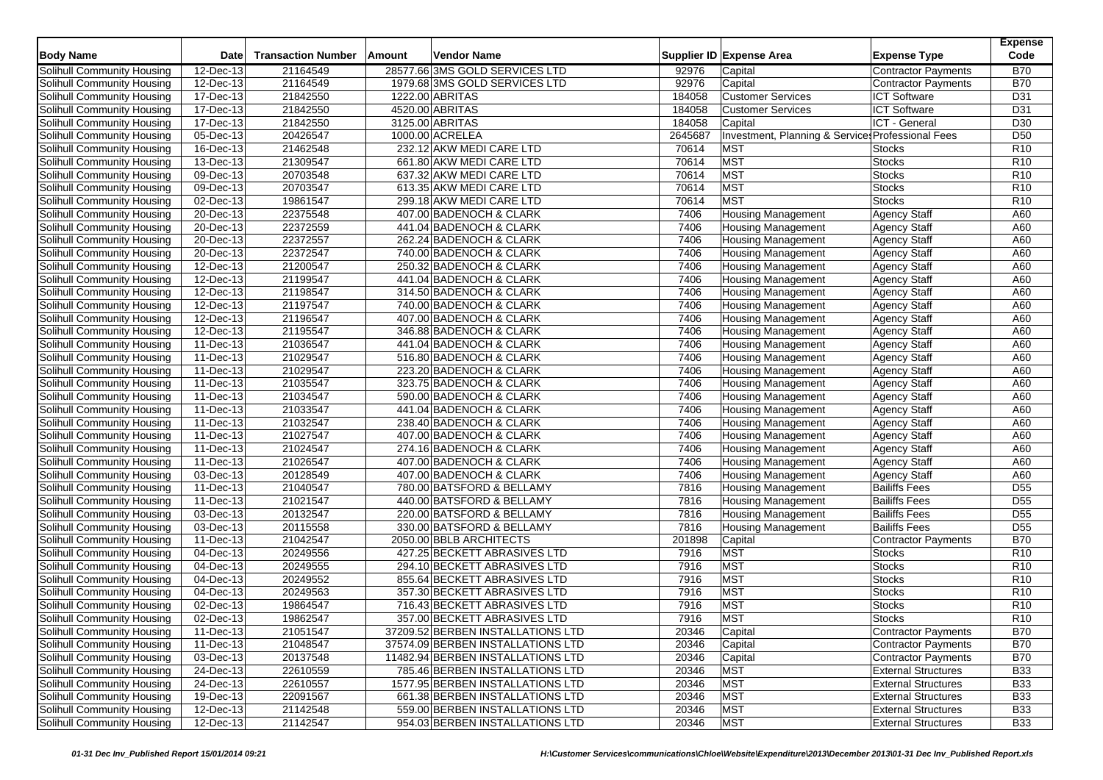| 21164549<br>28577.66 3MS GOLD SERVICES LTD<br><b>Contractor Payments</b><br><b>B70</b><br>Solihull Community Housing<br>12-Dec-13<br>92976<br>Capital<br><b>B70</b><br>12-Dec-13<br>21164549<br>1979.68 3MS GOLD SERVICES LTD<br>92976<br>Capital<br>Solihull Community Housing<br><b>Contractor Payments</b><br>17-Dec-13<br>21842550<br>1222.00 ABRITAS<br>184058<br><b>Customer Services</b><br><b>ICT Software</b><br>D31<br>Solihull Community Housing<br>17-Dec-13<br>21842550<br>184058<br><b>Customer Services</b><br><b>ICT Software</b><br>D31<br>Solihull Community Housing<br>4520.00 ABRITAS<br>21842550<br>3125.00 ABRITAS<br>184058<br>ICT - General<br>D30<br>Solihull Community Housing<br>17-Dec-13<br>Capital<br>20426547<br>05-Dec-13<br>1000.00 ACRELEA<br>2645687<br>Investment, Planning & Services Professional Fees<br>D <sub>50</sub><br>Solihull Community Housing<br>16-Dec-13<br>21462548<br>232.12 AKW MEDI CARE LTD<br>70614<br><b>MST</b><br>R <sub>10</sub><br>Solihull Community Housing<br><b>Stocks</b><br>21309547<br><b>MST</b><br>R10<br>13-Dec-13<br>661.80 AKW MEDI CARE LTD<br>70614<br><b>Stocks</b><br>Solihull Community Housing<br>20703548<br><b>MST</b><br>R <sub>10</sub><br>Solihull Community Housing<br>09-Dec-13<br>637.32 AKW MEDI CARE LTD<br>70614<br><b>Stocks</b><br>R <sub>10</sub><br>$\overline{09\text{-}$ Dec-13<br>20703547<br>613.35 AKW MEDI CARE LTD<br>70614<br><b>MST</b><br><b>Stocks</b><br>Solihull Community Housing<br><b>MST</b><br>Solihull Community Housing<br>02-Dec-13<br>19861547<br>299.18 AKW MEDI CARE LTD<br>70614<br><b>Stocks</b><br>R <sub>10</sub><br>22375548<br>A60<br>Solihull Community Housing<br>20-Dec-13<br>407.00 BADENOCH & CLARK<br>7406<br><b>Housing Management</b><br><b>Agency Staff</b><br>22372559<br>7406<br>Agency Staff<br>A60<br>Solihull Community Housing<br>20-Dec-13<br>441.04 BADENOCH & CLARK<br><b>Housing Management</b><br>22372557<br>262.24 BADENOCH & CLARK<br>7406<br><b>Housing Management</b><br><b>Agency Staff</b><br>A60<br>Solihull Community Housing<br>20-Dec-13<br>22372547<br>20-Dec-13<br>740.00 BADENOCH & CLARK<br>7406<br><b>Housing Management</b><br><b>Agency Staff</b><br>A60<br>Solihull Community Housing<br>A60<br>21200547<br>7406<br><b>Agency Staff</b><br>Solihull Community Housing<br>12-Dec-13<br>250.32 BADENOCH & CLARK<br><b>Housing Management</b><br>21199547<br>Solihull Community Housing<br>12-Dec-13<br>441.04 BADENOCH & CLARK<br>7406<br><b>Housing Management</b><br><b>Agency Staff</b><br>A60<br>21198547<br>Solihull Community Housing<br>12-Dec-13<br>314.50 BADENOCH & CLARK<br>7406<br><b>Agency Staff</b><br>A60<br><b>Housing Management</b><br>21197547<br>Solihull Community Housing<br>12-Dec-13<br>7406<br><b>Agency Staff</b><br>A60<br>740.00 BADENOCH & CLARK<br><b>Housing Management</b><br>21196547<br>12-Dec-13<br>407.00 BADENOCH & CLARK<br>7406<br><b>Housing Management</b><br>Agency Staff<br>A60<br>Solihull Community Housing<br>21195547<br>Solihull Community Housing<br>12-Dec-13<br>346.88 BADENOCH & CLARK<br>7406<br>Housing Management<br><b>Agency Staff</b><br>A60<br>A60<br>21036547<br>7406<br>Solihull Community Housing<br>11-Dec-13<br>441.04 BADENOCH & CLARK<br><b>Housing Management</b><br><b>Agency Staff</b><br>21029547<br>A60<br>11-Dec-13<br>516.80 BADENOCH & CLARK<br>7406<br><b>Housing Management</b><br><b>Agency Staff</b><br>Solihull Community Housing<br>21029547<br>Solihull Community Housing<br>11-Dec-13<br>223.20 BADENOCH & CLARK<br>7406<br><b>Housing Management</b><br><b>Agency Staff</b><br>A60<br>21035547<br>323.75 BADENOCH & CLARK<br>7406<br>A60<br>Solihull Community Housing<br>11-Dec-13<br><b>Housing Management</b><br><b>Agency Staff</b><br>21034547<br>11-Dec-13<br>590.00 BADENOCH & CLARK<br>7406<br><b>Housing Management</b><br><b>Agency Staff</b><br>A60<br>Solihull Community Housing<br>21033547<br>11-Dec-13<br>441.04 BADENOCH & CLARK<br>7406<br><b>Housing Management</b><br><b>Agency Staff</b><br>A60<br>Solihull Community Housing<br>Solihull Community Housing<br>21032547<br>7406<br><b>Agency Staff</b><br>A60<br>11-Dec-13<br>238.40 BADENOCH & CLARK<br><b>Housing Management</b><br>21027547<br>407.00 BADENOCH & CLARK<br>7406<br><b>Agency Staff</b><br>A60<br>Solihull Community Housing<br>11-Dec-13<br><b>Housing Management</b><br>21024547<br>Solihull Community Housing<br>11-Dec-13<br>274.16 BADENOCH & CLARK<br>7406<br><b>Housing Management</b><br><b>Agency Staff</b><br>A60<br>21026547<br>407.00 BADENOCH & CLARK<br>7406<br><b>Agency Staff</b><br>A60<br>Solihull Community Housing<br>11-Dec-13<br><b>Housing Management</b><br>20128549<br>A60<br>03-Dec-13<br>407.00 BADENOCH & CLARK<br>7406<br><b>Agency Staff</b><br>Solihull Community Housing<br><b>Housing Management</b><br>21040547<br>D <sub>55</sub><br>Solihull Community Housing<br>11-Dec-13<br>780.00 BATSFORD & BELLAMY<br>7816<br><b>Housing Management</b><br><b>Bailiffs Fees</b><br>D <sub>55</sub><br>21021547<br>440.00 BATSFORD & BELLAMY<br>7816<br>Solihull Community Housing<br>11-Dec-13<br><b>Housing Management</b><br><b>Bailiffs Fees</b><br>20132547<br><b>Bailiffs Fees</b><br>Solihull Community Housing<br>03-Dec-13<br>220.00 BATSFORD & BELLAMY<br>7816<br><b>Housing Management</b><br>D <sub>55</sub><br>20115558<br><b>Bailiffs Fees</b><br>$\overline{D55}$<br>03-Dec-13<br>330.00 BATSFORD & BELLAMY<br>7816<br><b>Solihull Community Housing</b><br><b>Housing Management</b><br>21042547<br><b>B70</b><br>11-Dec-13<br>2050.00 BBLB ARCHITECTS<br>201898<br>Capital<br>Solihull Community Housing<br><b>Contractor Payments</b><br>20249556<br><b>MST</b><br>04-Dec-13<br>427.25 BECKETT ABRASIVES LTD<br>7916<br>R <sub>10</sub><br>Solihull Community Housing<br><b>Stocks</b><br><b>MST</b><br>$\overline{04}$ -Dec-13<br>20249555<br>294.10 BECKETT ABRASIVES LTD<br>7916<br><b>Stocks</b><br>R <sub>10</sub><br>Solihull Community Housing<br><b>MST</b><br>R <sub>10</sub><br>04-Dec-13<br>20249552<br>855.64 BECKETT ABRASIVES LTD<br>7916<br><b>Stocks</b><br>Solihull Community Housing<br>20249563<br>7916<br><b>MST</b><br><b>Stocks</b><br>R <sub>10</sub><br>Solihull Community Housing<br>04-Dec-13<br>357.30 BECKETT ABRASIVES LTD<br><b>MST</b><br><b>Stocks</b><br>R <sub>10</sub><br>02-Dec-13<br>19864547<br>716.43 BECKETT ABRASIVES LTD<br>7916<br>Solihull Community Housing<br><b>MST</b><br>02-Dec-13<br>19862547<br>357.00 BECKETT ABRASIVES LTD<br>7916<br>R <sub>10</sub><br>Solihull Community Housing<br><b>Stocks</b><br>Solihull Community Housing<br>11-Dec-13<br>21051547<br>37209.52 BERBEN INSTALLATIONS LTD<br>20346<br>Capital<br>Contractor Payments<br><b>B70</b><br>Solihull Community Housing<br>Contractor Payments<br><b>B70</b><br>11-Dec-13<br>21048547<br>37574.09 BERBEN INSTALLATIONS LTD<br>20346<br>Capital<br>Solihull Community Housing<br>03-Dec-13<br>20137548<br>11482.94 BERBEN INSTALLATIONS LTD<br><b>B70</b><br>20346<br>Capital<br>Contractor Payments<br>Solihull Community Housing<br>$24$ -Dec-13<br>22610559<br><b>MST</b><br><b>B33</b><br>785.46 BERBEN INSTALLATIONS LTD<br>20346<br><b>External Structures</b><br>Solihull Community Housing<br>22610557<br>1577.95 BERBEN INSTALLATIONS LTD<br><b>MST</b><br><b>B33</b><br>24-Dec-13<br>20346<br><b>External Structures</b><br>Solihull Community Housing<br>19-Dec-13<br>22091567<br>661.38 BERBEN INSTALLATIONS LTD<br><b>MST</b><br><b>External Structures</b><br><b>B33</b><br>20346<br>12-Dec-13<br><b>MST</b><br><b>External Structures</b><br><b>B33</b><br>Solihull Community Housing<br>21142548<br>559.00 BERBEN INSTALLATIONS LTD<br>20346<br>954.03 BERBEN INSTALLATIONS LTD | <b>Body Name</b>           | <b>Date</b> | <b>Transaction Number</b> | Amount | <b>Vendor Name</b> |       | Supplier ID Expense Area | <b>Expense Type</b>        | <b>Expense</b><br>Code |
|----------------------------------------------------------------------------------------------------------------------------------------------------------------------------------------------------------------------------------------------------------------------------------------------------------------------------------------------------------------------------------------------------------------------------------------------------------------------------------------------------------------------------------------------------------------------------------------------------------------------------------------------------------------------------------------------------------------------------------------------------------------------------------------------------------------------------------------------------------------------------------------------------------------------------------------------------------------------------------------------------------------------------------------------------------------------------------------------------------------------------------------------------------------------------------------------------------------------------------------------------------------------------------------------------------------------------------------------------------------------------------------------------------------------------------------------------------------------------------------------------------------------------------------------------------------------------------------------------------------------------------------------------------------------------------------------------------------------------------------------------------------------------------------------------------------------------------------------------------------------------------------------------------------------------------------------------------------------------------------------------------------------------------------------------------------------------------------------------------------------------------------------------------------------------------------------------------------------------------------------------------------------------------------------------------------------------------------------------------------------------------------------------------------------------------------------------------------------------------------------------------------------------------------------------------------------------------------------------------------------------------------------------------------------------------------------------------------------------------------------------------------------------------------------------------------------------------------------------------------------------------------------------------------------------------------------------------------------------------------------------------------------------------------------------------------------------------------------------------------------------------------------------------------------------------------------------------------------------------------------------------------------------------------------------------------------------------------------------------------------------------------------------------------------------------------------------------------------------------------------------------------------------------------------------------------------------------------------------------------------------------------------------------------------------------------------------------------------------------------------------------------------------------------------------------------------------------------------------------------------------------------------------------------------------------------------------------------------------------------------------------------------------------------------------------------------------------------------------------------------------------------------------------------------------------------------------------------------------------------------------------------------------------------------------------------------------------------------------------------------------------------------------------------------------------------------------------------------------------------------------------------------------------------------------------------------------------------------------------------------------------------------------------------------------------------------------------------------------------------------------------------------------------------------------------------------------------------------------------------------------------------------------------------------------------------------------------------------------------------------------------------------------------------------------------------------------------------------------------------------------------------------------------------------------------------------------------------------------------------------------------------------------------------------------------------------------------------------------------------------------------------------------------------------------------------------------------------------------------------------------------------------------------------------------------------------------------------------------------------------------------------------------------------------------------------------------------------------------------------------------------------------------------------------------------------------------------------------------------------------------------------------------------------------------------------------------------------------------------------------------------------------------------------------------------------------------------------------------------------------------------------------------------------------------------------------------------------------------------------------------------------------------------------------------------------------------------------------------------------------------------------------------------------------------------------------------------------------------------------------------------------------------------------------------------------------------------------------------------------------------------------------------------------------------------------------------------------------------------------------------------------------------------------------------------------------------------------------------------------------------------------------------------------------------------------------------------------------------------------------------------------------------------------------------------------------------------------------------------------------------------------------------------------------------------------------------------------------------------------------------------------------------------------------------------------------------------------------------------------------------------------------------------------------------------------------------------------------------------------------------------------------------------------------------------------------------------------------------------------------------------------------------------------------------------------------------------------------------------------------------------------------------------------------------------|----------------------------|-------------|---------------------------|--------|--------------------|-------|--------------------------|----------------------------|------------------------|
|                                                                                                                                                                                                                                                                                                                                                                                                                                                                                                                                                                                                                                                                                                                                                                                                                                                                                                                                                                                                                                                                                                                                                                                                                                                                                                                                                                                                                                                                                                                                                                                                                                                                                                                                                                                                                                                                                                                                                                                                                                                                                                                                                                                                                                                                                                                                                                                                                                                                                                                                                                                                                                                                                                                                                                                                                                                                                                                                                                                                                                                                                                                                                                                                                                                                                                                                                                                                                                                                                                                                                                                                                                                                                                                                                                                                                                                                                                                                                                                                                                                                                                                                                                                                                                                                                                                                                                                                                                                                                                                                                                                                                                                                                                                                                                                                                                                                                                                                                                                                                                                                                                                                                                                                                                                                                                                                                                                                                                                                                                                                                                                                                                                                                                                                                                                                                                                                                                                                                                                                                                                                                                                                                                                                                                                                                                                                                                                                                                                                                                                                                                                                                                                                                                                                                                                                                                                                                                                                                                                                                                                                                                                                                                                                                                                                                                                                                                                                                                                                                                                                                                                                                                                                                                                                                                                                          |                            |             |                           |        |                    |       |                          |                            |                        |
|                                                                                                                                                                                                                                                                                                                                                                                                                                                                                                                                                                                                                                                                                                                                                                                                                                                                                                                                                                                                                                                                                                                                                                                                                                                                                                                                                                                                                                                                                                                                                                                                                                                                                                                                                                                                                                                                                                                                                                                                                                                                                                                                                                                                                                                                                                                                                                                                                                                                                                                                                                                                                                                                                                                                                                                                                                                                                                                                                                                                                                                                                                                                                                                                                                                                                                                                                                                                                                                                                                                                                                                                                                                                                                                                                                                                                                                                                                                                                                                                                                                                                                                                                                                                                                                                                                                                                                                                                                                                                                                                                                                                                                                                                                                                                                                                                                                                                                                                                                                                                                                                                                                                                                                                                                                                                                                                                                                                                                                                                                                                                                                                                                                                                                                                                                                                                                                                                                                                                                                                                                                                                                                                                                                                                                                                                                                                                                                                                                                                                                                                                                                                                                                                                                                                                                                                                                                                                                                                                                                                                                                                                                                                                                                                                                                                                                                                                                                                                                                                                                                                                                                                                                                                                                                                                                                                          |                            |             |                           |        |                    |       |                          |                            |                        |
|                                                                                                                                                                                                                                                                                                                                                                                                                                                                                                                                                                                                                                                                                                                                                                                                                                                                                                                                                                                                                                                                                                                                                                                                                                                                                                                                                                                                                                                                                                                                                                                                                                                                                                                                                                                                                                                                                                                                                                                                                                                                                                                                                                                                                                                                                                                                                                                                                                                                                                                                                                                                                                                                                                                                                                                                                                                                                                                                                                                                                                                                                                                                                                                                                                                                                                                                                                                                                                                                                                                                                                                                                                                                                                                                                                                                                                                                                                                                                                                                                                                                                                                                                                                                                                                                                                                                                                                                                                                                                                                                                                                                                                                                                                                                                                                                                                                                                                                                                                                                                                                                                                                                                                                                                                                                                                                                                                                                                                                                                                                                                                                                                                                                                                                                                                                                                                                                                                                                                                                                                                                                                                                                                                                                                                                                                                                                                                                                                                                                                                                                                                                                                                                                                                                                                                                                                                                                                                                                                                                                                                                                                                                                                                                                                                                                                                                                                                                                                                                                                                                                                                                                                                                                                                                                                                                                          |                            |             |                           |        |                    |       |                          |                            |                        |
|                                                                                                                                                                                                                                                                                                                                                                                                                                                                                                                                                                                                                                                                                                                                                                                                                                                                                                                                                                                                                                                                                                                                                                                                                                                                                                                                                                                                                                                                                                                                                                                                                                                                                                                                                                                                                                                                                                                                                                                                                                                                                                                                                                                                                                                                                                                                                                                                                                                                                                                                                                                                                                                                                                                                                                                                                                                                                                                                                                                                                                                                                                                                                                                                                                                                                                                                                                                                                                                                                                                                                                                                                                                                                                                                                                                                                                                                                                                                                                                                                                                                                                                                                                                                                                                                                                                                                                                                                                                                                                                                                                                                                                                                                                                                                                                                                                                                                                                                                                                                                                                                                                                                                                                                                                                                                                                                                                                                                                                                                                                                                                                                                                                                                                                                                                                                                                                                                                                                                                                                                                                                                                                                                                                                                                                                                                                                                                                                                                                                                                                                                                                                                                                                                                                                                                                                                                                                                                                                                                                                                                                                                                                                                                                                                                                                                                                                                                                                                                                                                                                                                                                                                                                                                                                                                                                                          |                            |             |                           |        |                    |       |                          |                            |                        |
|                                                                                                                                                                                                                                                                                                                                                                                                                                                                                                                                                                                                                                                                                                                                                                                                                                                                                                                                                                                                                                                                                                                                                                                                                                                                                                                                                                                                                                                                                                                                                                                                                                                                                                                                                                                                                                                                                                                                                                                                                                                                                                                                                                                                                                                                                                                                                                                                                                                                                                                                                                                                                                                                                                                                                                                                                                                                                                                                                                                                                                                                                                                                                                                                                                                                                                                                                                                                                                                                                                                                                                                                                                                                                                                                                                                                                                                                                                                                                                                                                                                                                                                                                                                                                                                                                                                                                                                                                                                                                                                                                                                                                                                                                                                                                                                                                                                                                                                                                                                                                                                                                                                                                                                                                                                                                                                                                                                                                                                                                                                                                                                                                                                                                                                                                                                                                                                                                                                                                                                                                                                                                                                                                                                                                                                                                                                                                                                                                                                                                                                                                                                                                                                                                                                                                                                                                                                                                                                                                                                                                                                                                                                                                                                                                                                                                                                                                                                                                                                                                                                                                                                                                                                                                                                                                                                                          |                            |             |                           |        |                    |       |                          |                            |                        |
|                                                                                                                                                                                                                                                                                                                                                                                                                                                                                                                                                                                                                                                                                                                                                                                                                                                                                                                                                                                                                                                                                                                                                                                                                                                                                                                                                                                                                                                                                                                                                                                                                                                                                                                                                                                                                                                                                                                                                                                                                                                                                                                                                                                                                                                                                                                                                                                                                                                                                                                                                                                                                                                                                                                                                                                                                                                                                                                                                                                                                                                                                                                                                                                                                                                                                                                                                                                                                                                                                                                                                                                                                                                                                                                                                                                                                                                                                                                                                                                                                                                                                                                                                                                                                                                                                                                                                                                                                                                                                                                                                                                                                                                                                                                                                                                                                                                                                                                                                                                                                                                                                                                                                                                                                                                                                                                                                                                                                                                                                                                                                                                                                                                                                                                                                                                                                                                                                                                                                                                                                                                                                                                                                                                                                                                                                                                                                                                                                                                                                                                                                                                                                                                                                                                                                                                                                                                                                                                                                                                                                                                                                                                                                                                                                                                                                                                                                                                                                                                                                                                                                                                                                                                                                                                                                                                                          |                            |             |                           |        |                    |       |                          |                            |                        |
|                                                                                                                                                                                                                                                                                                                                                                                                                                                                                                                                                                                                                                                                                                                                                                                                                                                                                                                                                                                                                                                                                                                                                                                                                                                                                                                                                                                                                                                                                                                                                                                                                                                                                                                                                                                                                                                                                                                                                                                                                                                                                                                                                                                                                                                                                                                                                                                                                                                                                                                                                                                                                                                                                                                                                                                                                                                                                                                                                                                                                                                                                                                                                                                                                                                                                                                                                                                                                                                                                                                                                                                                                                                                                                                                                                                                                                                                                                                                                                                                                                                                                                                                                                                                                                                                                                                                                                                                                                                                                                                                                                                                                                                                                                                                                                                                                                                                                                                                                                                                                                                                                                                                                                                                                                                                                                                                                                                                                                                                                                                                                                                                                                                                                                                                                                                                                                                                                                                                                                                                                                                                                                                                                                                                                                                                                                                                                                                                                                                                                                                                                                                                                                                                                                                                                                                                                                                                                                                                                                                                                                                                                                                                                                                                                                                                                                                                                                                                                                                                                                                                                                                                                                                                                                                                                                                                          |                            |             |                           |        |                    |       |                          |                            |                        |
|                                                                                                                                                                                                                                                                                                                                                                                                                                                                                                                                                                                                                                                                                                                                                                                                                                                                                                                                                                                                                                                                                                                                                                                                                                                                                                                                                                                                                                                                                                                                                                                                                                                                                                                                                                                                                                                                                                                                                                                                                                                                                                                                                                                                                                                                                                                                                                                                                                                                                                                                                                                                                                                                                                                                                                                                                                                                                                                                                                                                                                                                                                                                                                                                                                                                                                                                                                                                                                                                                                                                                                                                                                                                                                                                                                                                                                                                                                                                                                                                                                                                                                                                                                                                                                                                                                                                                                                                                                                                                                                                                                                                                                                                                                                                                                                                                                                                                                                                                                                                                                                                                                                                                                                                                                                                                                                                                                                                                                                                                                                                                                                                                                                                                                                                                                                                                                                                                                                                                                                                                                                                                                                                                                                                                                                                                                                                                                                                                                                                                                                                                                                                                                                                                                                                                                                                                                                                                                                                                                                                                                                                                                                                                                                                                                                                                                                                                                                                                                                                                                                                                                                                                                                                                                                                                                                                          |                            |             |                           |        |                    |       |                          |                            |                        |
|                                                                                                                                                                                                                                                                                                                                                                                                                                                                                                                                                                                                                                                                                                                                                                                                                                                                                                                                                                                                                                                                                                                                                                                                                                                                                                                                                                                                                                                                                                                                                                                                                                                                                                                                                                                                                                                                                                                                                                                                                                                                                                                                                                                                                                                                                                                                                                                                                                                                                                                                                                                                                                                                                                                                                                                                                                                                                                                                                                                                                                                                                                                                                                                                                                                                                                                                                                                                                                                                                                                                                                                                                                                                                                                                                                                                                                                                                                                                                                                                                                                                                                                                                                                                                                                                                                                                                                                                                                                                                                                                                                                                                                                                                                                                                                                                                                                                                                                                                                                                                                                                                                                                                                                                                                                                                                                                                                                                                                                                                                                                                                                                                                                                                                                                                                                                                                                                                                                                                                                                                                                                                                                                                                                                                                                                                                                                                                                                                                                                                                                                                                                                                                                                                                                                                                                                                                                                                                                                                                                                                                                                                                                                                                                                                                                                                                                                                                                                                                                                                                                                                                                                                                                                                                                                                                                                          |                            |             |                           |        |                    |       |                          |                            |                        |
|                                                                                                                                                                                                                                                                                                                                                                                                                                                                                                                                                                                                                                                                                                                                                                                                                                                                                                                                                                                                                                                                                                                                                                                                                                                                                                                                                                                                                                                                                                                                                                                                                                                                                                                                                                                                                                                                                                                                                                                                                                                                                                                                                                                                                                                                                                                                                                                                                                                                                                                                                                                                                                                                                                                                                                                                                                                                                                                                                                                                                                                                                                                                                                                                                                                                                                                                                                                                                                                                                                                                                                                                                                                                                                                                                                                                                                                                                                                                                                                                                                                                                                                                                                                                                                                                                                                                                                                                                                                                                                                                                                                                                                                                                                                                                                                                                                                                                                                                                                                                                                                                                                                                                                                                                                                                                                                                                                                                                                                                                                                                                                                                                                                                                                                                                                                                                                                                                                                                                                                                                                                                                                                                                                                                                                                                                                                                                                                                                                                                                                                                                                                                                                                                                                                                                                                                                                                                                                                                                                                                                                                                                                                                                                                                                                                                                                                                                                                                                                                                                                                                                                                                                                                                                                                                                                                                          |                            |             |                           |        |                    |       |                          |                            |                        |
|                                                                                                                                                                                                                                                                                                                                                                                                                                                                                                                                                                                                                                                                                                                                                                                                                                                                                                                                                                                                                                                                                                                                                                                                                                                                                                                                                                                                                                                                                                                                                                                                                                                                                                                                                                                                                                                                                                                                                                                                                                                                                                                                                                                                                                                                                                                                                                                                                                                                                                                                                                                                                                                                                                                                                                                                                                                                                                                                                                                                                                                                                                                                                                                                                                                                                                                                                                                                                                                                                                                                                                                                                                                                                                                                                                                                                                                                                                                                                                                                                                                                                                                                                                                                                                                                                                                                                                                                                                                                                                                                                                                                                                                                                                                                                                                                                                                                                                                                                                                                                                                                                                                                                                                                                                                                                                                                                                                                                                                                                                                                                                                                                                                                                                                                                                                                                                                                                                                                                                                                                                                                                                                                                                                                                                                                                                                                                                                                                                                                                                                                                                                                                                                                                                                                                                                                                                                                                                                                                                                                                                                                                                                                                                                                                                                                                                                                                                                                                                                                                                                                                                                                                                                                                                                                                                                                          |                            |             |                           |        |                    |       |                          |                            |                        |
|                                                                                                                                                                                                                                                                                                                                                                                                                                                                                                                                                                                                                                                                                                                                                                                                                                                                                                                                                                                                                                                                                                                                                                                                                                                                                                                                                                                                                                                                                                                                                                                                                                                                                                                                                                                                                                                                                                                                                                                                                                                                                                                                                                                                                                                                                                                                                                                                                                                                                                                                                                                                                                                                                                                                                                                                                                                                                                                                                                                                                                                                                                                                                                                                                                                                                                                                                                                                                                                                                                                                                                                                                                                                                                                                                                                                                                                                                                                                                                                                                                                                                                                                                                                                                                                                                                                                                                                                                                                                                                                                                                                                                                                                                                                                                                                                                                                                                                                                                                                                                                                                                                                                                                                                                                                                                                                                                                                                                                                                                                                                                                                                                                                                                                                                                                                                                                                                                                                                                                                                                                                                                                                                                                                                                                                                                                                                                                                                                                                                                                                                                                                                                                                                                                                                                                                                                                                                                                                                                                                                                                                                                                                                                                                                                                                                                                                                                                                                                                                                                                                                                                                                                                                                                                                                                                                                          |                            |             |                           |        |                    |       |                          |                            |                        |
|                                                                                                                                                                                                                                                                                                                                                                                                                                                                                                                                                                                                                                                                                                                                                                                                                                                                                                                                                                                                                                                                                                                                                                                                                                                                                                                                                                                                                                                                                                                                                                                                                                                                                                                                                                                                                                                                                                                                                                                                                                                                                                                                                                                                                                                                                                                                                                                                                                                                                                                                                                                                                                                                                                                                                                                                                                                                                                                                                                                                                                                                                                                                                                                                                                                                                                                                                                                                                                                                                                                                                                                                                                                                                                                                                                                                                                                                                                                                                                                                                                                                                                                                                                                                                                                                                                                                                                                                                                                                                                                                                                                                                                                                                                                                                                                                                                                                                                                                                                                                                                                                                                                                                                                                                                                                                                                                                                                                                                                                                                                                                                                                                                                                                                                                                                                                                                                                                                                                                                                                                                                                                                                                                                                                                                                                                                                                                                                                                                                                                                                                                                                                                                                                                                                                                                                                                                                                                                                                                                                                                                                                                                                                                                                                                                                                                                                                                                                                                                                                                                                                                                                                                                                                                                                                                                                                          |                            |             |                           |        |                    |       |                          |                            |                        |
|                                                                                                                                                                                                                                                                                                                                                                                                                                                                                                                                                                                                                                                                                                                                                                                                                                                                                                                                                                                                                                                                                                                                                                                                                                                                                                                                                                                                                                                                                                                                                                                                                                                                                                                                                                                                                                                                                                                                                                                                                                                                                                                                                                                                                                                                                                                                                                                                                                                                                                                                                                                                                                                                                                                                                                                                                                                                                                                                                                                                                                                                                                                                                                                                                                                                                                                                                                                                                                                                                                                                                                                                                                                                                                                                                                                                                                                                                                                                                                                                                                                                                                                                                                                                                                                                                                                                                                                                                                                                                                                                                                                                                                                                                                                                                                                                                                                                                                                                                                                                                                                                                                                                                                                                                                                                                                                                                                                                                                                                                                                                                                                                                                                                                                                                                                                                                                                                                                                                                                                                                                                                                                                                                                                                                                                                                                                                                                                                                                                                                                                                                                                                                                                                                                                                                                                                                                                                                                                                                                                                                                                                                                                                                                                                                                                                                                                                                                                                                                                                                                                                                                                                                                                                                                                                                                                                          |                            |             |                           |        |                    |       |                          |                            |                        |
|                                                                                                                                                                                                                                                                                                                                                                                                                                                                                                                                                                                                                                                                                                                                                                                                                                                                                                                                                                                                                                                                                                                                                                                                                                                                                                                                                                                                                                                                                                                                                                                                                                                                                                                                                                                                                                                                                                                                                                                                                                                                                                                                                                                                                                                                                                                                                                                                                                                                                                                                                                                                                                                                                                                                                                                                                                                                                                                                                                                                                                                                                                                                                                                                                                                                                                                                                                                                                                                                                                                                                                                                                                                                                                                                                                                                                                                                                                                                                                                                                                                                                                                                                                                                                                                                                                                                                                                                                                                                                                                                                                                                                                                                                                                                                                                                                                                                                                                                                                                                                                                                                                                                                                                                                                                                                                                                                                                                                                                                                                                                                                                                                                                                                                                                                                                                                                                                                                                                                                                                                                                                                                                                                                                                                                                                                                                                                                                                                                                                                                                                                                                                                                                                                                                                                                                                                                                                                                                                                                                                                                                                                                                                                                                                                                                                                                                                                                                                                                                                                                                                                                                                                                                                                                                                                                                                          |                            |             |                           |        |                    |       |                          |                            |                        |
|                                                                                                                                                                                                                                                                                                                                                                                                                                                                                                                                                                                                                                                                                                                                                                                                                                                                                                                                                                                                                                                                                                                                                                                                                                                                                                                                                                                                                                                                                                                                                                                                                                                                                                                                                                                                                                                                                                                                                                                                                                                                                                                                                                                                                                                                                                                                                                                                                                                                                                                                                                                                                                                                                                                                                                                                                                                                                                                                                                                                                                                                                                                                                                                                                                                                                                                                                                                                                                                                                                                                                                                                                                                                                                                                                                                                                                                                                                                                                                                                                                                                                                                                                                                                                                                                                                                                                                                                                                                                                                                                                                                                                                                                                                                                                                                                                                                                                                                                                                                                                                                                                                                                                                                                                                                                                                                                                                                                                                                                                                                                                                                                                                                                                                                                                                                                                                                                                                                                                                                                                                                                                                                                                                                                                                                                                                                                                                                                                                                                                                                                                                                                                                                                                                                                                                                                                                                                                                                                                                                                                                                                                                                                                                                                                                                                                                                                                                                                                                                                                                                                                                                                                                                                                                                                                                                                          |                            |             |                           |        |                    |       |                          |                            |                        |
|                                                                                                                                                                                                                                                                                                                                                                                                                                                                                                                                                                                                                                                                                                                                                                                                                                                                                                                                                                                                                                                                                                                                                                                                                                                                                                                                                                                                                                                                                                                                                                                                                                                                                                                                                                                                                                                                                                                                                                                                                                                                                                                                                                                                                                                                                                                                                                                                                                                                                                                                                                                                                                                                                                                                                                                                                                                                                                                                                                                                                                                                                                                                                                                                                                                                                                                                                                                                                                                                                                                                                                                                                                                                                                                                                                                                                                                                                                                                                                                                                                                                                                                                                                                                                                                                                                                                                                                                                                                                                                                                                                                                                                                                                                                                                                                                                                                                                                                                                                                                                                                                                                                                                                                                                                                                                                                                                                                                                                                                                                                                                                                                                                                                                                                                                                                                                                                                                                                                                                                                                                                                                                                                                                                                                                                                                                                                                                                                                                                                                                                                                                                                                                                                                                                                                                                                                                                                                                                                                                                                                                                                                                                                                                                                                                                                                                                                                                                                                                                                                                                                                                                                                                                                                                                                                                                                          |                            |             |                           |        |                    |       |                          |                            |                        |
|                                                                                                                                                                                                                                                                                                                                                                                                                                                                                                                                                                                                                                                                                                                                                                                                                                                                                                                                                                                                                                                                                                                                                                                                                                                                                                                                                                                                                                                                                                                                                                                                                                                                                                                                                                                                                                                                                                                                                                                                                                                                                                                                                                                                                                                                                                                                                                                                                                                                                                                                                                                                                                                                                                                                                                                                                                                                                                                                                                                                                                                                                                                                                                                                                                                                                                                                                                                                                                                                                                                                                                                                                                                                                                                                                                                                                                                                                                                                                                                                                                                                                                                                                                                                                                                                                                                                                                                                                                                                                                                                                                                                                                                                                                                                                                                                                                                                                                                                                                                                                                                                                                                                                                                                                                                                                                                                                                                                                                                                                                                                                                                                                                                                                                                                                                                                                                                                                                                                                                                                                                                                                                                                                                                                                                                                                                                                                                                                                                                                                                                                                                                                                                                                                                                                                                                                                                                                                                                                                                                                                                                                                                                                                                                                                                                                                                                                                                                                                                                                                                                                                                                                                                                                                                                                                                                                          |                            |             |                           |        |                    |       |                          |                            |                        |
|                                                                                                                                                                                                                                                                                                                                                                                                                                                                                                                                                                                                                                                                                                                                                                                                                                                                                                                                                                                                                                                                                                                                                                                                                                                                                                                                                                                                                                                                                                                                                                                                                                                                                                                                                                                                                                                                                                                                                                                                                                                                                                                                                                                                                                                                                                                                                                                                                                                                                                                                                                                                                                                                                                                                                                                                                                                                                                                                                                                                                                                                                                                                                                                                                                                                                                                                                                                                                                                                                                                                                                                                                                                                                                                                                                                                                                                                                                                                                                                                                                                                                                                                                                                                                                                                                                                                                                                                                                                                                                                                                                                                                                                                                                                                                                                                                                                                                                                                                                                                                                                                                                                                                                                                                                                                                                                                                                                                                                                                                                                                                                                                                                                                                                                                                                                                                                                                                                                                                                                                                                                                                                                                                                                                                                                                                                                                                                                                                                                                                                                                                                                                                                                                                                                                                                                                                                                                                                                                                                                                                                                                                                                                                                                                                                                                                                                                                                                                                                                                                                                                                                                                                                                                                                                                                                                                          |                            |             |                           |        |                    |       |                          |                            |                        |
|                                                                                                                                                                                                                                                                                                                                                                                                                                                                                                                                                                                                                                                                                                                                                                                                                                                                                                                                                                                                                                                                                                                                                                                                                                                                                                                                                                                                                                                                                                                                                                                                                                                                                                                                                                                                                                                                                                                                                                                                                                                                                                                                                                                                                                                                                                                                                                                                                                                                                                                                                                                                                                                                                                                                                                                                                                                                                                                                                                                                                                                                                                                                                                                                                                                                                                                                                                                                                                                                                                                                                                                                                                                                                                                                                                                                                                                                                                                                                                                                                                                                                                                                                                                                                                                                                                                                                                                                                                                                                                                                                                                                                                                                                                                                                                                                                                                                                                                                                                                                                                                                                                                                                                                                                                                                                                                                                                                                                                                                                                                                                                                                                                                                                                                                                                                                                                                                                                                                                                                                                                                                                                                                                                                                                                                                                                                                                                                                                                                                                                                                                                                                                                                                                                                                                                                                                                                                                                                                                                                                                                                                                                                                                                                                                                                                                                                                                                                                                                                                                                                                                                                                                                                                                                                                                                                                          |                            |             |                           |        |                    |       |                          |                            |                        |
|                                                                                                                                                                                                                                                                                                                                                                                                                                                                                                                                                                                                                                                                                                                                                                                                                                                                                                                                                                                                                                                                                                                                                                                                                                                                                                                                                                                                                                                                                                                                                                                                                                                                                                                                                                                                                                                                                                                                                                                                                                                                                                                                                                                                                                                                                                                                                                                                                                                                                                                                                                                                                                                                                                                                                                                                                                                                                                                                                                                                                                                                                                                                                                                                                                                                                                                                                                                                                                                                                                                                                                                                                                                                                                                                                                                                                                                                                                                                                                                                                                                                                                                                                                                                                                                                                                                                                                                                                                                                                                                                                                                                                                                                                                                                                                                                                                                                                                                                                                                                                                                                                                                                                                                                                                                                                                                                                                                                                                                                                                                                                                                                                                                                                                                                                                                                                                                                                                                                                                                                                                                                                                                                                                                                                                                                                                                                                                                                                                                                                                                                                                                                                                                                                                                                                                                                                                                                                                                                                                                                                                                                                                                                                                                                                                                                                                                                                                                                                                                                                                                                                                                                                                                                                                                                                                                                          |                            |             |                           |        |                    |       |                          |                            |                        |
|                                                                                                                                                                                                                                                                                                                                                                                                                                                                                                                                                                                                                                                                                                                                                                                                                                                                                                                                                                                                                                                                                                                                                                                                                                                                                                                                                                                                                                                                                                                                                                                                                                                                                                                                                                                                                                                                                                                                                                                                                                                                                                                                                                                                                                                                                                                                                                                                                                                                                                                                                                                                                                                                                                                                                                                                                                                                                                                                                                                                                                                                                                                                                                                                                                                                                                                                                                                                                                                                                                                                                                                                                                                                                                                                                                                                                                                                                                                                                                                                                                                                                                                                                                                                                                                                                                                                                                                                                                                                                                                                                                                                                                                                                                                                                                                                                                                                                                                                                                                                                                                                                                                                                                                                                                                                                                                                                                                                                                                                                                                                                                                                                                                                                                                                                                                                                                                                                                                                                                                                                                                                                                                                                                                                                                                                                                                                                                                                                                                                                                                                                                                                                                                                                                                                                                                                                                                                                                                                                                                                                                                                                                                                                                                                                                                                                                                                                                                                                                                                                                                                                                                                                                                                                                                                                                                                          |                            |             |                           |        |                    |       |                          |                            |                        |
|                                                                                                                                                                                                                                                                                                                                                                                                                                                                                                                                                                                                                                                                                                                                                                                                                                                                                                                                                                                                                                                                                                                                                                                                                                                                                                                                                                                                                                                                                                                                                                                                                                                                                                                                                                                                                                                                                                                                                                                                                                                                                                                                                                                                                                                                                                                                                                                                                                                                                                                                                                                                                                                                                                                                                                                                                                                                                                                                                                                                                                                                                                                                                                                                                                                                                                                                                                                                                                                                                                                                                                                                                                                                                                                                                                                                                                                                                                                                                                                                                                                                                                                                                                                                                                                                                                                                                                                                                                                                                                                                                                                                                                                                                                                                                                                                                                                                                                                                                                                                                                                                                                                                                                                                                                                                                                                                                                                                                                                                                                                                                                                                                                                                                                                                                                                                                                                                                                                                                                                                                                                                                                                                                                                                                                                                                                                                                                                                                                                                                                                                                                                                                                                                                                                                                                                                                                                                                                                                                                                                                                                                                                                                                                                                                                                                                                                                                                                                                                                                                                                                                                                                                                                                                                                                                                                                          |                            |             |                           |        |                    |       |                          |                            |                        |
|                                                                                                                                                                                                                                                                                                                                                                                                                                                                                                                                                                                                                                                                                                                                                                                                                                                                                                                                                                                                                                                                                                                                                                                                                                                                                                                                                                                                                                                                                                                                                                                                                                                                                                                                                                                                                                                                                                                                                                                                                                                                                                                                                                                                                                                                                                                                                                                                                                                                                                                                                                                                                                                                                                                                                                                                                                                                                                                                                                                                                                                                                                                                                                                                                                                                                                                                                                                                                                                                                                                                                                                                                                                                                                                                                                                                                                                                                                                                                                                                                                                                                                                                                                                                                                                                                                                                                                                                                                                                                                                                                                                                                                                                                                                                                                                                                                                                                                                                                                                                                                                                                                                                                                                                                                                                                                                                                                                                                                                                                                                                                                                                                                                                                                                                                                                                                                                                                                                                                                                                                                                                                                                                                                                                                                                                                                                                                                                                                                                                                                                                                                                                                                                                                                                                                                                                                                                                                                                                                                                                                                                                                                                                                                                                                                                                                                                                                                                                                                                                                                                                                                                                                                                                                                                                                                                                          |                            |             |                           |        |                    |       |                          |                            |                        |
|                                                                                                                                                                                                                                                                                                                                                                                                                                                                                                                                                                                                                                                                                                                                                                                                                                                                                                                                                                                                                                                                                                                                                                                                                                                                                                                                                                                                                                                                                                                                                                                                                                                                                                                                                                                                                                                                                                                                                                                                                                                                                                                                                                                                                                                                                                                                                                                                                                                                                                                                                                                                                                                                                                                                                                                                                                                                                                                                                                                                                                                                                                                                                                                                                                                                                                                                                                                                                                                                                                                                                                                                                                                                                                                                                                                                                                                                                                                                                                                                                                                                                                                                                                                                                                                                                                                                                                                                                                                                                                                                                                                                                                                                                                                                                                                                                                                                                                                                                                                                                                                                                                                                                                                                                                                                                                                                                                                                                                                                                                                                                                                                                                                                                                                                                                                                                                                                                                                                                                                                                                                                                                                                                                                                                                                                                                                                                                                                                                                                                                                                                                                                                                                                                                                                                                                                                                                                                                                                                                                                                                                                                                                                                                                                                                                                                                                                                                                                                                                                                                                                                                                                                                                                                                                                                                                                          |                            |             |                           |        |                    |       |                          |                            |                        |
|                                                                                                                                                                                                                                                                                                                                                                                                                                                                                                                                                                                                                                                                                                                                                                                                                                                                                                                                                                                                                                                                                                                                                                                                                                                                                                                                                                                                                                                                                                                                                                                                                                                                                                                                                                                                                                                                                                                                                                                                                                                                                                                                                                                                                                                                                                                                                                                                                                                                                                                                                                                                                                                                                                                                                                                                                                                                                                                                                                                                                                                                                                                                                                                                                                                                                                                                                                                                                                                                                                                                                                                                                                                                                                                                                                                                                                                                                                                                                                                                                                                                                                                                                                                                                                                                                                                                                                                                                                                                                                                                                                                                                                                                                                                                                                                                                                                                                                                                                                                                                                                                                                                                                                                                                                                                                                                                                                                                                                                                                                                                                                                                                                                                                                                                                                                                                                                                                                                                                                                                                                                                                                                                                                                                                                                                                                                                                                                                                                                                                                                                                                                                                                                                                                                                                                                                                                                                                                                                                                                                                                                                                                                                                                                                                                                                                                                                                                                                                                                                                                                                                                                                                                                                                                                                                                                                          |                            |             |                           |        |                    |       |                          |                            |                        |
|                                                                                                                                                                                                                                                                                                                                                                                                                                                                                                                                                                                                                                                                                                                                                                                                                                                                                                                                                                                                                                                                                                                                                                                                                                                                                                                                                                                                                                                                                                                                                                                                                                                                                                                                                                                                                                                                                                                                                                                                                                                                                                                                                                                                                                                                                                                                                                                                                                                                                                                                                                                                                                                                                                                                                                                                                                                                                                                                                                                                                                                                                                                                                                                                                                                                                                                                                                                                                                                                                                                                                                                                                                                                                                                                                                                                                                                                                                                                                                                                                                                                                                                                                                                                                                                                                                                                                                                                                                                                                                                                                                                                                                                                                                                                                                                                                                                                                                                                                                                                                                                                                                                                                                                                                                                                                                                                                                                                                                                                                                                                                                                                                                                                                                                                                                                                                                                                                                                                                                                                                                                                                                                                                                                                                                                                                                                                                                                                                                                                                                                                                                                                                                                                                                                                                                                                                                                                                                                                                                                                                                                                                                                                                                                                                                                                                                                                                                                                                                                                                                                                                                                                                                                                                                                                                                                                          |                            |             |                           |        |                    |       |                          |                            |                        |
|                                                                                                                                                                                                                                                                                                                                                                                                                                                                                                                                                                                                                                                                                                                                                                                                                                                                                                                                                                                                                                                                                                                                                                                                                                                                                                                                                                                                                                                                                                                                                                                                                                                                                                                                                                                                                                                                                                                                                                                                                                                                                                                                                                                                                                                                                                                                                                                                                                                                                                                                                                                                                                                                                                                                                                                                                                                                                                                                                                                                                                                                                                                                                                                                                                                                                                                                                                                                                                                                                                                                                                                                                                                                                                                                                                                                                                                                                                                                                                                                                                                                                                                                                                                                                                                                                                                                                                                                                                                                                                                                                                                                                                                                                                                                                                                                                                                                                                                                                                                                                                                                                                                                                                                                                                                                                                                                                                                                                                                                                                                                                                                                                                                                                                                                                                                                                                                                                                                                                                                                                                                                                                                                                                                                                                                                                                                                                                                                                                                                                                                                                                                                                                                                                                                                                                                                                                                                                                                                                                                                                                                                                                                                                                                                                                                                                                                                                                                                                                                                                                                                                                                                                                                                                                                                                                                                          |                            |             |                           |        |                    |       |                          |                            |                        |
|                                                                                                                                                                                                                                                                                                                                                                                                                                                                                                                                                                                                                                                                                                                                                                                                                                                                                                                                                                                                                                                                                                                                                                                                                                                                                                                                                                                                                                                                                                                                                                                                                                                                                                                                                                                                                                                                                                                                                                                                                                                                                                                                                                                                                                                                                                                                                                                                                                                                                                                                                                                                                                                                                                                                                                                                                                                                                                                                                                                                                                                                                                                                                                                                                                                                                                                                                                                                                                                                                                                                                                                                                                                                                                                                                                                                                                                                                                                                                                                                                                                                                                                                                                                                                                                                                                                                                                                                                                                                                                                                                                                                                                                                                                                                                                                                                                                                                                                                                                                                                                                                                                                                                                                                                                                                                                                                                                                                                                                                                                                                                                                                                                                                                                                                                                                                                                                                                                                                                                                                                                                                                                                                                                                                                                                                                                                                                                                                                                                                                                                                                                                                                                                                                                                                                                                                                                                                                                                                                                                                                                                                                                                                                                                                                                                                                                                                                                                                                                                                                                                                                                                                                                                                                                                                                                                                          |                            |             |                           |        |                    |       |                          |                            |                        |
|                                                                                                                                                                                                                                                                                                                                                                                                                                                                                                                                                                                                                                                                                                                                                                                                                                                                                                                                                                                                                                                                                                                                                                                                                                                                                                                                                                                                                                                                                                                                                                                                                                                                                                                                                                                                                                                                                                                                                                                                                                                                                                                                                                                                                                                                                                                                                                                                                                                                                                                                                                                                                                                                                                                                                                                                                                                                                                                                                                                                                                                                                                                                                                                                                                                                                                                                                                                                                                                                                                                                                                                                                                                                                                                                                                                                                                                                                                                                                                                                                                                                                                                                                                                                                                                                                                                                                                                                                                                                                                                                                                                                                                                                                                                                                                                                                                                                                                                                                                                                                                                                                                                                                                                                                                                                                                                                                                                                                                                                                                                                                                                                                                                                                                                                                                                                                                                                                                                                                                                                                                                                                                                                                                                                                                                                                                                                                                                                                                                                                                                                                                                                                                                                                                                                                                                                                                                                                                                                                                                                                                                                                                                                                                                                                                                                                                                                                                                                                                                                                                                                                                                                                                                                                                                                                                                                          |                            |             |                           |        |                    |       |                          |                            |                        |
|                                                                                                                                                                                                                                                                                                                                                                                                                                                                                                                                                                                                                                                                                                                                                                                                                                                                                                                                                                                                                                                                                                                                                                                                                                                                                                                                                                                                                                                                                                                                                                                                                                                                                                                                                                                                                                                                                                                                                                                                                                                                                                                                                                                                                                                                                                                                                                                                                                                                                                                                                                                                                                                                                                                                                                                                                                                                                                                                                                                                                                                                                                                                                                                                                                                                                                                                                                                                                                                                                                                                                                                                                                                                                                                                                                                                                                                                                                                                                                                                                                                                                                                                                                                                                                                                                                                                                                                                                                                                                                                                                                                                                                                                                                                                                                                                                                                                                                                                                                                                                                                                                                                                                                                                                                                                                                                                                                                                                                                                                                                                                                                                                                                                                                                                                                                                                                                                                                                                                                                                                                                                                                                                                                                                                                                                                                                                                                                                                                                                                                                                                                                                                                                                                                                                                                                                                                                                                                                                                                                                                                                                                                                                                                                                                                                                                                                                                                                                                                                                                                                                                                                                                                                                                                                                                                                                          |                            |             |                           |        |                    |       |                          |                            |                        |
|                                                                                                                                                                                                                                                                                                                                                                                                                                                                                                                                                                                                                                                                                                                                                                                                                                                                                                                                                                                                                                                                                                                                                                                                                                                                                                                                                                                                                                                                                                                                                                                                                                                                                                                                                                                                                                                                                                                                                                                                                                                                                                                                                                                                                                                                                                                                                                                                                                                                                                                                                                                                                                                                                                                                                                                                                                                                                                                                                                                                                                                                                                                                                                                                                                                                                                                                                                                                                                                                                                                                                                                                                                                                                                                                                                                                                                                                                                                                                                                                                                                                                                                                                                                                                                                                                                                                                                                                                                                                                                                                                                                                                                                                                                                                                                                                                                                                                                                                                                                                                                                                                                                                                                                                                                                                                                                                                                                                                                                                                                                                                                                                                                                                                                                                                                                                                                                                                                                                                                                                                                                                                                                                                                                                                                                                                                                                                                                                                                                                                                                                                                                                                                                                                                                                                                                                                                                                                                                                                                                                                                                                                                                                                                                                                                                                                                                                                                                                                                                                                                                                                                                                                                                                                                                                                                                                          |                            |             |                           |        |                    |       |                          |                            |                        |
|                                                                                                                                                                                                                                                                                                                                                                                                                                                                                                                                                                                                                                                                                                                                                                                                                                                                                                                                                                                                                                                                                                                                                                                                                                                                                                                                                                                                                                                                                                                                                                                                                                                                                                                                                                                                                                                                                                                                                                                                                                                                                                                                                                                                                                                                                                                                                                                                                                                                                                                                                                                                                                                                                                                                                                                                                                                                                                                                                                                                                                                                                                                                                                                                                                                                                                                                                                                                                                                                                                                                                                                                                                                                                                                                                                                                                                                                                                                                                                                                                                                                                                                                                                                                                                                                                                                                                                                                                                                                                                                                                                                                                                                                                                                                                                                                                                                                                                                                                                                                                                                                                                                                                                                                                                                                                                                                                                                                                                                                                                                                                                                                                                                                                                                                                                                                                                                                                                                                                                                                                                                                                                                                                                                                                                                                                                                                                                                                                                                                                                                                                                                                                                                                                                                                                                                                                                                                                                                                                                                                                                                                                                                                                                                                                                                                                                                                                                                                                                                                                                                                                                                                                                                                                                                                                                                                          |                            |             |                           |        |                    |       |                          |                            |                        |
|                                                                                                                                                                                                                                                                                                                                                                                                                                                                                                                                                                                                                                                                                                                                                                                                                                                                                                                                                                                                                                                                                                                                                                                                                                                                                                                                                                                                                                                                                                                                                                                                                                                                                                                                                                                                                                                                                                                                                                                                                                                                                                                                                                                                                                                                                                                                                                                                                                                                                                                                                                                                                                                                                                                                                                                                                                                                                                                                                                                                                                                                                                                                                                                                                                                                                                                                                                                                                                                                                                                                                                                                                                                                                                                                                                                                                                                                                                                                                                                                                                                                                                                                                                                                                                                                                                                                                                                                                                                                                                                                                                                                                                                                                                                                                                                                                                                                                                                                                                                                                                                                                                                                                                                                                                                                                                                                                                                                                                                                                                                                                                                                                                                                                                                                                                                                                                                                                                                                                                                                                                                                                                                                                                                                                                                                                                                                                                                                                                                                                                                                                                                                                                                                                                                                                                                                                                                                                                                                                                                                                                                                                                                                                                                                                                                                                                                                                                                                                                                                                                                                                                                                                                                                                                                                                                                                          |                            |             |                           |        |                    |       |                          |                            |                        |
|                                                                                                                                                                                                                                                                                                                                                                                                                                                                                                                                                                                                                                                                                                                                                                                                                                                                                                                                                                                                                                                                                                                                                                                                                                                                                                                                                                                                                                                                                                                                                                                                                                                                                                                                                                                                                                                                                                                                                                                                                                                                                                                                                                                                                                                                                                                                                                                                                                                                                                                                                                                                                                                                                                                                                                                                                                                                                                                                                                                                                                                                                                                                                                                                                                                                                                                                                                                                                                                                                                                                                                                                                                                                                                                                                                                                                                                                                                                                                                                                                                                                                                                                                                                                                                                                                                                                                                                                                                                                                                                                                                                                                                                                                                                                                                                                                                                                                                                                                                                                                                                                                                                                                                                                                                                                                                                                                                                                                                                                                                                                                                                                                                                                                                                                                                                                                                                                                                                                                                                                                                                                                                                                                                                                                                                                                                                                                                                                                                                                                                                                                                                                                                                                                                                                                                                                                                                                                                                                                                                                                                                                                                                                                                                                                                                                                                                                                                                                                                                                                                                                                                                                                                                                                                                                                                                                          |                            |             |                           |        |                    |       |                          |                            |                        |
|                                                                                                                                                                                                                                                                                                                                                                                                                                                                                                                                                                                                                                                                                                                                                                                                                                                                                                                                                                                                                                                                                                                                                                                                                                                                                                                                                                                                                                                                                                                                                                                                                                                                                                                                                                                                                                                                                                                                                                                                                                                                                                                                                                                                                                                                                                                                                                                                                                                                                                                                                                                                                                                                                                                                                                                                                                                                                                                                                                                                                                                                                                                                                                                                                                                                                                                                                                                                                                                                                                                                                                                                                                                                                                                                                                                                                                                                                                                                                                                                                                                                                                                                                                                                                                                                                                                                                                                                                                                                                                                                                                                                                                                                                                                                                                                                                                                                                                                                                                                                                                                                                                                                                                                                                                                                                                                                                                                                                                                                                                                                                                                                                                                                                                                                                                                                                                                                                                                                                                                                                                                                                                                                                                                                                                                                                                                                                                                                                                                                                                                                                                                                                                                                                                                                                                                                                                                                                                                                                                                                                                                                                                                                                                                                                                                                                                                                                                                                                                                                                                                                                                                                                                                                                                                                                                                                          |                            |             |                           |        |                    |       |                          |                            |                        |
|                                                                                                                                                                                                                                                                                                                                                                                                                                                                                                                                                                                                                                                                                                                                                                                                                                                                                                                                                                                                                                                                                                                                                                                                                                                                                                                                                                                                                                                                                                                                                                                                                                                                                                                                                                                                                                                                                                                                                                                                                                                                                                                                                                                                                                                                                                                                                                                                                                                                                                                                                                                                                                                                                                                                                                                                                                                                                                                                                                                                                                                                                                                                                                                                                                                                                                                                                                                                                                                                                                                                                                                                                                                                                                                                                                                                                                                                                                                                                                                                                                                                                                                                                                                                                                                                                                                                                                                                                                                                                                                                                                                                                                                                                                                                                                                                                                                                                                                                                                                                                                                                                                                                                                                                                                                                                                                                                                                                                                                                                                                                                                                                                                                                                                                                                                                                                                                                                                                                                                                                                                                                                                                                                                                                                                                                                                                                                                                                                                                                                                                                                                                                                                                                                                                                                                                                                                                                                                                                                                                                                                                                                                                                                                                                                                                                                                                                                                                                                                                                                                                                                                                                                                                                                                                                                                                                          |                            |             |                           |        |                    |       |                          |                            |                        |
|                                                                                                                                                                                                                                                                                                                                                                                                                                                                                                                                                                                                                                                                                                                                                                                                                                                                                                                                                                                                                                                                                                                                                                                                                                                                                                                                                                                                                                                                                                                                                                                                                                                                                                                                                                                                                                                                                                                                                                                                                                                                                                                                                                                                                                                                                                                                                                                                                                                                                                                                                                                                                                                                                                                                                                                                                                                                                                                                                                                                                                                                                                                                                                                                                                                                                                                                                                                                                                                                                                                                                                                                                                                                                                                                                                                                                                                                                                                                                                                                                                                                                                                                                                                                                                                                                                                                                                                                                                                                                                                                                                                                                                                                                                                                                                                                                                                                                                                                                                                                                                                                                                                                                                                                                                                                                                                                                                                                                                                                                                                                                                                                                                                                                                                                                                                                                                                                                                                                                                                                                                                                                                                                                                                                                                                                                                                                                                                                                                                                                                                                                                                                                                                                                                                                                                                                                                                                                                                                                                                                                                                                                                                                                                                                                                                                                                                                                                                                                                                                                                                                                                                                                                                                                                                                                                                                          |                            |             |                           |        |                    |       |                          |                            |                        |
|                                                                                                                                                                                                                                                                                                                                                                                                                                                                                                                                                                                                                                                                                                                                                                                                                                                                                                                                                                                                                                                                                                                                                                                                                                                                                                                                                                                                                                                                                                                                                                                                                                                                                                                                                                                                                                                                                                                                                                                                                                                                                                                                                                                                                                                                                                                                                                                                                                                                                                                                                                                                                                                                                                                                                                                                                                                                                                                                                                                                                                                                                                                                                                                                                                                                                                                                                                                                                                                                                                                                                                                                                                                                                                                                                                                                                                                                                                                                                                                                                                                                                                                                                                                                                                                                                                                                                                                                                                                                                                                                                                                                                                                                                                                                                                                                                                                                                                                                                                                                                                                                                                                                                                                                                                                                                                                                                                                                                                                                                                                                                                                                                                                                                                                                                                                                                                                                                                                                                                                                                                                                                                                                                                                                                                                                                                                                                                                                                                                                                                                                                                                                                                                                                                                                                                                                                                                                                                                                                                                                                                                                                                                                                                                                                                                                                                                                                                                                                                                                                                                                                                                                                                                                                                                                                                                                          |                            |             |                           |        |                    |       |                          |                            |                        |
|                                                                                                                                                                                                                                                                                                                                                                                                                                                                                                                                                                                                                                                                                                                                                                                                                                                                                                                                                                                                                                                                                                                                                                                                                                                                                                                                                                                                                                                                                                                                                                                                                                                                                                                                                                                                                                                                                                                                                                                                                                                                                                                                                                                                                                                                                                                                                                                                                                                                                                                                                                                                                                                                                                                                                                                                                                                                                                                                                                                                                                                                                                                                                                                                                                                                                                                                                                                                                                                                                                                                                                                                                                                                                                                                                                                                                                                                                                                                                                                                                                                                                                                                                                                                                                                                                                                                                                                                                                                                                                                                                                                                                                                                                                                                                                                                                                                                                                                                                                                                                                                                                                                                                                                                                                                                                                                                                                                                                                                                                                                                                                                                                                                                                                                                                                                                                                                                                                                                                                                                                                                                                                                                                                                                                                                                                                                                                                                                                                                                                                                                                                                                                                                                                                                                                                                                                                                                                                                                                                                                                                                                                                                                                                                                                                                                                                                                                                                                                                                                                                                                                                                                                                                                                                                                                                                                          |                            |             |                           |        |                    |       |                          |                            |                        |
|                                                                                                                                                                                                                                                                                                                                                                                                                                                                                                                                                                                                                                                                                                                                                                                                                                                                                                                                                                                                                                                                                                                                                                                                                                                                                                                                                                                                                                                                                                                                                                                                                                                                                                                                                                                                                                                                                                                                                                                                                                                                                                                                                                                                                                                                                                                                                                                                                                                                                                                                                                                                                                                                                                                                                                                                                                                                                                                                                                                                                                                                                                                                                                                                                                                                                                                                                                                                                                                                                                                                                                                                                                                                                                                                                                                                                                                                                                                                                                                                                                                                                                                                                                                                                                                                                                                                                                                                                                                                                                                                                                                                                                                                                                                                                                                                                                                                                                                                                                                                                                                                                                                                                                                                                                                                                                                                                                                                                                                                                                                                                                                                                                                                                                                                                                                                                                                                                                                                                                                                                                                                                                                                                                                                                                                                                                                                                                                                                                                                                                                                                                                                                                                                                                                                                                                                                                                                                                                                                                                                                                                                                                                                                                                                                                                                                                                                                                                                                                                                                                                                                                                                                                                                                                                                                                                                          |                            |             |                           |        |                    |       |                          |                            |                        |
|                                                                                                                                                                                                                                                                                                                                                                                                                                                                                                                                                                                                                                                                                                                                                                                                                                                                                                                                                                                                                                                                                                                                                                                                                                                                                                                                                                                                                                                                                                                                                                                                                                                                                                                                                                                                                                                                                                                                                                                                                                                                                                                                                                                                                                                                                                                                                                                                                                                                                                                                                                                                                                                                                                                                                                                                                                                                                                                                                                                                                                                                                                                                                                                                                                                                                                                                                                                                                                                                                                                                                                                                                                                                                                                                                                                                                                                                                                                                                                                                                                                                                                                                                                                                                                                                                                                                                                                                                                                                                                                                                                                                                                                                                                                                                                                                                                                                                                                                                                                                                                                                                                                                                                                                                                                                                                                                                                                                                                                                                                                                                                                                                                                                                                                                                                                                                                                                                                                                                                                                                                                                                                                                                                                                                                                                                                                                                                                                                                                                                                                                                                                                                                                                                                                                                                                                                                                                                                                                                                                                                                                                                                                                                                                                                                                                                                                                                                                                                                                                                                                                                                                                                                                                                                                                                                                                          |                            |             |                           |        |                    |       |                          |                            |                        |
|                                                                                                                                                                                                                                                                                                                                                                                                                                                                                                                                                                                                                                                                                                                                                                                                                                                                                                                                                                                                                                                                                                                                                                                                                                                                                                                                                                                                                                                                                                                                                                                                                                                                                                                                                                                                                                                                                                                                                                                                                                                                                                                                                                                                                                                                                                                                                                                                                                                                                                                                                                                                                                                                                                                                                                                                                                                                                                                                                                                                                                                                                                                                                                                                                                                                                                                                                                                                                                                                                                                                                                                                                                                                                                                                                                                                                                                                                                                                                                                                                                                                                                                                                                                                                                                                                                                                                                                                                                                                                                                                                                                                                                                                                                                                                                                                                                                                                                                                                                                                                                                                                                                                                                                                                                                                                                                                                                                                                                                                                                                                                                                                                                                                                                                                                                                                                                                                                                                                                                                                                                                                                                                                                                                                                                                                                                                                                                                                                                                                                                                                                                                                                                                                                                                                                                                                                                                                                                                                                                                                                                                                                                                                                                                                                                                                                                                                                                                                                                                                                                                                                                                                                                                                                                                                                                                                          |                            |             |                           |        |                    |       |                          |                            |                        |
|                                                                                                                                                                                                                                                                                                                                                                                                                                                                                                                                                                                                                                                                                                                                                                                                                                                                                                                                                                                                                                                                                                                                                                                                                                                                                                                                                                                                                                                                                                                                                                                                                                                                                                                                                                                                                                                                                                                                                                                                                                                                                                                                                                                                                                                                                                                                                                                                                                                                                                                                                                                                                                                                                                                                                                                                                                                                                                                                                                                                                                                                                                                                                                                                                                                                                                                                                                                                                                                                                                                                                                                                                                                                                                                                                                                                                                                                                                                                                                                                                                                                                                                                                                                                                                                                                                                                                                                                                                                                                                                                                                                                                                                                                                                                                                                                                                                                                                                                                                                                                                                                                                                                                                                                                                                                                                                                                                                                                                                                                                                                                                                                                                                                                                                                                                                                                                                                                                                                                                                                                                                                                                                                                                                                                                                                                                                                                                                                                                                                                                                                                                                                                                                                                                                                                                                                                                                                                                                                                                                                                                                                                                                                                                                                                                                                                                                                                                                                                                                                                                                                                                                                                                                                                                                                                                                                          |                            |             |                           |        |                    |       |                          |                            |                        |
|                                                                                                                                                                                                                                                                                                                                                                                                                                                                                                                                                                                                                                                                                                                                                                                                                                                                                                                                                                                                                                                                                                                                                                                                                                                                                                                                                                                                                                                                                                                                                                                                                                                                                                                                                                                                                                                                                                                                                                                                                                                                                                                                                                                                                                                                                                                                                                                                                                                                                                                                                                                                                                                                                                                                                                                                                                                                                                                                                                                                                                                                                                                                                                                                                                                                                                                                                                                                                                                                                                                                                                                                                                                                                                                                                                                                                                                                                                                                                                                                                                                                                                                                                                                                                                                                                                                                                                                                                                                                                                                                                                                                                                                                                                                                                                                                                                                                                                                                                                                                                                                                                                                                                                                                                                                                                                                                                                                                                                                                                                                                                                                                                                                                                                                                                                                                                                                                                                                                                                                                                                                                                                                                                                                                                                                                                                                                                                                                                                                                                                                                                                                                                                                                                                                                                                                                                                                                                                                                                                                                                                                                                                                                                                                                                                                                                                                                                                                                                                                                                                                                                                                                                                                                                                                                                                                                          |                            |             |                           |        |                    |       |                          |                            |                        |
|                                                                                                                                                                                                                                                                                                                                                                                                                                                                                                                                                                                                                                                                                                                                                                                                                                                                                                                                                                                                                                                                                                                                                                                                                                                                                                                                                                                                                                                                                                                                                                                                                                                                                                                                                                                                                                                                                                                                                                                                                                                                                                                                                                                                                                                                                                                                                                                                                                                                                                                                                                                                                                                                                                                                                                                                                                                                                                                                                                                                                                                                                                                                                                                                                                                                                                                                                                                                                                                                                                                                                                                                                                                                                                                                                                                                                                                                                                                                                                                                                                                                                                                                                                                                                                                                                                                                                                                                                                                                                                                                                                                                                                                                                                                                                                                                                                                                                                                                                                                                                                                                                                                                                                                                                                                                                                                                                                                                                                                                                                                                                                                                                                                                                                                                                                                                                                                                                                                                                                                                                                                                                                                                                                                                                                                                                                                                                                                                                                                                                                                                                                                                                                                                                                                                                                                                                                                                                                                                                                                                                                                                                                                                                                                                                                                                                                                                                                                                                                                                                                                                                                                                                                                                                                                                                                                                          |                            |             |                           |        |                    |       |                          |                            |                        |
|                                                                                                                                                                                                                                                                                                                                                                                                                                                                                                                                                                                                                                                                                                                                                                                                                                                                                                                                                                                                                                                                                                                                                                                                                                                                                                                                                                                                                                                                                                                                                                                                                                                                                                                                                                                                                                                                                                                                                                                                                                                                                                                                                                                                                                                                                                                                                                                                                                                                                                                                                                                                                                                                                                                                                                                                                                                                                                                                                                                                                                                                                                                                                                                                                                                                                                                                                                                                                                                                                                                                                                                                                                                                                                                                                                                                                                                                                                                                                                                                                                                                                                                                                                                                                                                                                                                                                                                                                                                                                                                                                                                                                                                                                                                                                                                                                                                                                                                                                                                                                                                                                                                                                                                                                                                                                                                                                                                                                                                                                                                                                                                                                                                                                                                                                                                                                                                                                                                                                                                                                                                                                                                                                                                                                                                                                                                                                                                                                                                                                                                                                                                                                                                                                                                                                                                                                                                                                                                                                                                                                                                                                                                                                                                                                                                                                                                                                                                                                                                                                                                                                                                                                                                                                                                                                                                                          |                            |             |                           |        |                    |       |                          |                            |                        |
|                                                                                                                                                                                                                                                                                                                                                                                                                                                                                                                                                                                                                                                                                                                                                                                                                                                                                                                                                                                                                                                                                                                                                                                                                                                                                                                                                                                                                                                                                                                                                                                                                                                                                                                                                                                                                                                                                                                                                                                                                                                                                                                                                                                                                                                                                                                                                                                                                                                                                                                                                                                                                                                                                                                                                                                                                                                                                                                                                                                                                                                                                                                                                                                                                                                                                                                                                                                                                                                                                                                                                                                                                                                                                                                                                                                                                                                                                                                                                                                                                                                                                                                                                                                                                                                                                                                                                                                                                                                                                                                                                                                                                                                                                                                                                                                                                                                                                                                                                                                                                                                                                                                                                                                                                                                                                                                                                                                                                                                                                                                                                                                                                                                                                                                                                                                                                                                                                                                                                                                                                                                                                                                                                                                                                                                                                                                                                                                                                                                                                                                                                                                                                                                                                                                                                                                                                                                                                                                                                                                                                                                                                                                                                                                                                                                                                                                                                                                                                                                                                                                                                                                                                                                                                                                                                                                                          |                            |             |                           |        |                    |       |                          |                            |                        |
|                                                                                                                                                                                                                                                                                                                                                                                                                                                                                                                                                                                                                                                                                                                                                                                                                                                                                                                                                                                                                                                                                                                                                                                                                                                                                                                                                                                                                                                                                                                                                                                                                                                                                                                                                                                                                                                                                                                                                                                                                                                                                                                                                                                                                                                                                                                                                                                                                                                                                                                                                                                                                                                                                                                                                                                                                                                                                                                                                                                                                                                                                                                                                                                                                                                                                                                                                                                                                                                                                                                                                                                                                                                                                                                                                                                                                                                                                                                                                                                                                                                                                                                                                                                                                                                                                                                                                                                                                                                                                                                                                                                                                                                                                                                                                                                                                                                                                                                                                                                                                                                                                                                                                                                                                                                                                                                                                                                                                                                                                                                                                                                                                                                                                                                                                                                                                                                                                                                                                                                                                                                                                                                                                                                                                                                                                                                                                                                                                                                                                                                                                                                                                                                                                                                                                                                                                                                                                                                                                                                                                                                                                                                                                                                                                                                                                                                                                                                                                                                                                                                                                                                                                                                                                                                                                                                                          |                            |             |                           |        |                    |       |                          |                            |                        |
|                                                                                                                                                                                                                                                                                                                                                                                                                                                                                                                                                                                                                                                                                                                                                                                                                                                                                                                                                                                                                                                                                                                                                                                                                                                                                                                                                                                                                                                                                                                                                                                                                                                                                                                                                                                                                                                                                                                                                                                                                                                                                                                                                                                                                                                                                                                                                                                                                                                                                                                                                                                                                                                                                                                                                                                                                                                                                                                                                                                                                                                                                                                                                                                                                                                                                                                                                                                                                                                                                                                                                                                                                                                                                                                                                                                                                                                                                                                                                                                                                                                                                                                                                                                                                                                                                                                                                                                                                                                                                                                                                                                                                                                                                                                                                                                                                                                                                                                                                                                                                                                                                                                                                                                                                                                                                                                                                                                                                                                                                                                                                                                                                                                                                                                                                                                                                                                                                                                                                                                                                                                                                                                                                                                                                                                                                                                                                                                                                                                                                                                                                                                                                                                                                                                                                                                                                                                                                                                                                                                                                                                                                                                                                                                                                                                                                                                                                                                                                                                                                                                                                                                                                                                                                                                                                                                                          |                            |             |                           |        |                    |       |                          |                            |                        |
|                                                                                                                                                                                                                                                                                                                                                                                                                                                                                                                                                                                                                                                                                                                                                                                                                                                                                                                                                                                                                                                                                                                                                                                                                                                                                                                                                                                                                                                                                                                                                                                                                                                                                                                                                                                                                                                                                                                                                                                                                                                                                                                                                                                                                                                                                                                                                                                                                                                                                                                                                                                                                                                                                                                                                                                                                                                                                                                                                                                                                                                                                                                                                                                                                                                                                                                                                                                                                                                                                                                                                                                                                                                                                                                                                                                                                                                                                                                                                                                                                                                                                                                                                                                                                                                                                                                                                                                                                                                                                                                                                                                                                                                                                                                                                                                                                                                                                                                                                                                                                                                                                                                                                                                                                                                                                                                                                                                                                                                                                                                                                                                                                                                                                                                                                                                                                                                                                                                                                                                                                                                                                                                                                                                                                                                                                                                                                                                                                                                                                                                                                                                                                                                                                                                                                                                                                                                                                                                                                                                                                                                                                                                                                                                                                                                                                                                                                                                                                                                                                                                                                                                                                                                                                                                                                                                                          | Solihull Community Housing | 12-Dec-13   | 21142547                  |        |                    | 20346 | <b>MST</b>               | <b>External Structures</b> | <b>B33</b>             |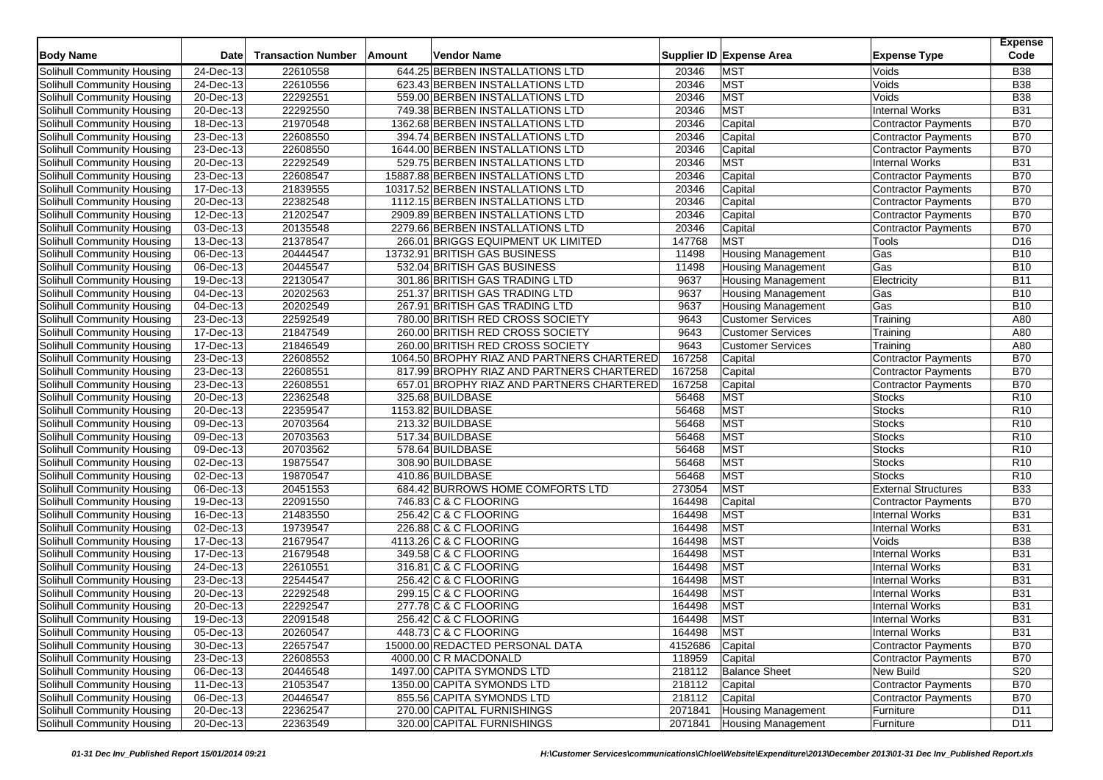| <b>Body Name</b>                                         | Date                    | <b>Transaction Number</b> | Amount | <b>Vendor Name</b>                         |         | Supplier ID Expense Area   | <b>Expense Type</b>        | <b>Expense</b><br>Code |
|----------------------------------------------------------|-------------------------|---------------------------|--------|--------------------------------------------|---------|----------------------------|----------------------------|------------------------|
| Solihull Community Housing                               | 24-Dec-13               | 22610558                  |        | 644.25 BERBEN INSTALLATIONS LTD            | 20346   | <b>MST</b>                 | Voids                      | <b>B38</b>             |
| Solihull Community Housing                               | 24-Dec-13               | 22610556                  |        | 623.43 BERBEN INSTALLATIONS LTD            | 20346   | <b>MST</b>                 | Voids                      | <b>B38</b>             |
| Solihull Community Housing                               | 20-Dec-13               | 22292551                  |        | 559.00 BERBEN INSTALLATIONS LTD            | 20346   | <b>MST</b>                 | Voids                      | <b>B</b> 38            |
| Solihull Community Housing                               | 20-Dec-13               | 22292550                  |        | 749.38 BERBEN INSTALLATIONS LTD            | 20346   | <b>MST</b>                 | <b>Internal Works</b>      | <b>B31</b>             |
| Solihull Community Housing                               | 18-Dec-13               | 21970548                  |        | 1362.68 BERBEN INSTALLATIONS LTD           | 20346   | Capital                    | Contractor Payments        | <b>B70</b>             |
| Solihull Community Housing                               | 23-Dec-13               | 22608550                  |        | 394.74 BERBEN INSTALLATIONS LTD            | 20346   | Capital                    | <b>Contractor Payments</b> | <b>B70</b>             |
| Solihull Community Housing                               | 23-Dec-13               | 22608550                  |        | 1644.00 BERBEN INSTALLATIONS LTD           | 20346   | Capital                    | Contractor Payments        | <b>B70</b>             |
| Solihull Community Housing                               | 20-Dec-13               | 22292549                  |        | 529.75 BERBEN INSTALLATIONS LTD            | 20346   | <b>MST</b>                 | <b>Internal Works</b>      | <b>B31</b>             |
| Solihull Community Housing                               | 23-Dec-13               | 22608547                  |        | 15887.88 BERBEN INSTALLATIONS LTD          | 20346   | Capital                    | Contractor Payments        | <b>B70</b>             |
| Solihull Community Housing                               | 17-Dec-13               | 21839555                  |        | 10317.52 BERBEN INSTALLATIONS LTD          | 20346   | Capital                    | <b>Contractor Payments</b> | <b>B70</b>             |
| Solihull Community Housing                               | 20-Dec-13               | 22382548                  |        | 1112.15 BERBEN INSTALLATIONS LTD           | 20346   | Capital                    | Contractor Payments        | <b>B70</b>             |
| Solihull Community Housing                               | 12-Dec-13               | 21202547                  |        | 2909.89 BERBEN INSTALLATIONS LTD           | 20346   | Capital                    | <b>Contractor Payments</b> | <b>B70</b>             |
| Solihull Community Housing                               | 03-Dec-13               | 20135548                  |        | 2279.66 BERBEN INSTALLATIONS LTD           | 20346   | Capital                    | <b>Contractor Payments</b> | <b>B70</b>             |
| Solihull Community Housing                               | 13-Dec-13               | 21378547                  |        | 266.01 BRIGGS EQUIPMENT UK LIMITED         | 147768  | <b>MST</b>                 | Tools                      | D <sub>16</sub>        |
| Solihull Community Housing                               | $06 - Dec-13$           | 20444547                  |        | 13732.91 BRITISH GAS BUSINESS              | 11498   | <b>Housing Management</b>  | Gas                        | <b>B10</b>             |
| Solihull Community Housing                               | 06-Dec-13               | 20445547                  |        | 532.04 BRITISH GAS BUSINESS                | 11498   | <b>Housing Management</b>  | Gas                        | <b>B10</b>             |
| Solihull Community Housing                               | 19-Dec-13               | 22130547                  |        | 301.86 BRITISH GAS TRADING LTD             | 9637    | <b>Housing Management</b>  | Electricity                | <b>B11</b>             |
| Solihull Community Housing                               | 04-Dec-13               | 20202563                  |        | 251.37 BRITISH GAS TRADING LTD             | 9637    | <b>Housing Management</b>  | Gas                        | <b>B10</b>             |
| Solihull Community Housing                               | 04-Dec-13               | 20202549                  |        | 267.91 BRITISH GAS TRADING LTD             | 9637    | <b>Housing Management</b>  | Gas                        | <b>B10</b>             |
| Solihull Community Housing                               | 23-Dec-13               | 22592549                  |        | 780.00 BRITISH RED CROSS SOCIETY           | 9643    | <b>Customer Services</b>   | Training                   | A80                    |
| Solihull Community Housing                               | $17 - Dec-13$           | 21847549                  |        | 260.00 BRITISH RED CROSS SOCIETY           | 9643    | <b>Customer Services</b>   | Training                   | A80                    |
| Solihull Community Housing                               | 17-Dec-13               | 21846549                  |        | 260.00 BRITISH RED CROSS SOCIETY           | 9643    | <b>Customer Services</b>   | Training                   | A80                    |
| Solihull Community Housing                               | $\overline{23}$ -Dec-13 | 22608552                  |        | 1064.50 BROPHY RIAZ AND PARTNERS CHARTERED | 167258  | Capital                    | <b>Contractor Payments</b> | <b>B70</b>             |
| Solihull Community Housing                               | 23-Dec-13               | 22608551                  |        | 817.99 BROPHY RIAZ AND PARTNERS CHARTERED  | 167258  | Capital                    | <b>Contractor Payments</b> | <b>B70</b>             |
| Solihull Community Housing                               | 23-Dec-13               | 22608551                  |        | 657.01 BROPHY RIAZ AND PARTNERS CHARTERED  | 167258  | Capital                    | <b>Contractor Payments</b> | <b>B70</b>             |
| Solihull Community Housing                               | $\overline{20}$ -Dec-13 | 22362548                  |        | 325.68 BUILDBASE                           | 56468   | <b>MST</b>                 | Stocks                     | R <sub>10</sub>        |
| Solihull Community Housing                               | 20-Dec-13               | 22359547                  |        | 1153.82 BUILDBASE                          | 56468   | <b>MST</b>                 | <b>Stocks</b>              | R10                    |
| Solihull Community Housing                               | 09-Dec-13               | 20703564                  |        | 213.32 BUILDBASE                           | 56468   | <b>MST</b>                 | <b>Stocks</b>              | R <sub>10</sub>        |
|                                                          | 09-Dec-13               | 20703563                  |        | 517.34 BUILDBASE                           | 56468   | <b>MST</b>                 | <b>Stocks</b>              | R <sub>10</sub>        |
| Solihull Community Housing<br>Solihull Community Housing |                         | 20703562                  |        | 578.64 BUILDBASE                           | 56468   | <b>MST</b>                 |                            | R <sub>10</sub>        |
|                                                          | 09-Dec-13               |                           |        |                                            |         |                            | <b>Stocks</b>              |                        |
| Solihull Community Housing                               | 02-Dec-13               | 19875547                  |        | 308.90 BUILDBASE                           | 56468   | <b>MST</b>                 | <b>Stocks</b>              | R <sub>10</sub>        |
| Solihull Community Housing                               | 02-Dec-13               | 19870547                  |        | 410.86 BUILDBASE                           | 56468   | <b>MST</b>                 | <b>Stocks</b>              | R <sub>10</sub>        |
| Solihull Community Housing                               | 06-Dec-13               | 20451553                  |        | 684.42 BURROWS HOME COMFORTS LTD           | 273054  | <b>MST</b>                 | <b>External Structures</b> | <b>B33</b>             |
| Solihull Community Housing                               | 19-Dec-13               | 22091550                  |        | 746.83 C & C FLOORING                      | 164498  | Capital                    | <b>Contractor Payments</b> | <b>B70</b>             |
| Solihull Community Housing                               | 16-Dec-13               | 21483550                  |        | 256.42 C & C FLOORING                      | 164498  | <b>MST</b>                 | <b>Internal Works</b>      | <b>B31</b>             |
| <b>Solihull Community Housing</b>                        | 02-Dec-13               | 19739547                  |        | 226.88 C & C FLOORING                      | 164498  | <b>MST</b>                 | <b>Internal Works</b>      | <b>B31</b>             |
| Solihull Community Housing                               | 17-Dec-13               | 21679547                  |        | 4113.26 C & C FLOORING                     | 164498  | <b>MST</b>                 | Voids                      | <b>B38</b>             |
| Solihull Community Housing                               | 17-Dec-13               | 21679548                  |        | 349.58 C & C FLOORING                      | 164498  | <b>MST</b>                 | Internal Works             | <b>B31</b>             |
| Solihull Community Housing                               | 24-Dec-13               | 22610551                  |        | 316.81 C & C FLOORING                      | 164498  | <b>MST</b>                 | <b>Internal Works</b>      | <b>B31</b>             |
| Solihull Community Housing                               | 23-Dec-13               | 22544547                  |        | 256.42 C & C FLOORING                      | 164498  | <b>MST</b>                 | <b>Internal Works</b>      | <b>B31</b>             |
| Solihull Community Housing                               | 20-Dec-13               | 22292548                  |        | 299.15 C & C FLOORING                      | 164498  | <b>MST</b>                 | Internal Works             | <b>B31</b>             |
| Solihull Community Housing                               | 20-Dec-13               | 22292547                  |        | 277.78 C & C FLOORING                      | 164498  | <b>MST</b>                 | <b>Internal Works</b>      | <b>B31</b>             |
| Solihull Community Housing                               | $19$ -Dec-13            | 22091548                  |        | 256.42 C & C FLOORING                      | 164498  | <b>MST</b>                 | <b>Internal Works</b>      | <b>B31</b>             |
| Solihull Community Housing                               | 05-Dec-13               | 20260547                  |        | 448.73 C & C FLOORING                      | 164498  | <b>MST</b>                 | <b>Internal Works</b>      | <b>B31</b>             |
| Solihull Community Housing                               | 30-Dec-13               | 22657547                  |        | 15000.00 REDACTED PERSONAL DATA            | 4152686 | Capital                    | Contractor Payments        | <b>B70</b>             |
| Solihull Community Housing                               | 23-Dec-13               | 22608553                  |        | 4000.00 C R MACDONALD                      | 118959  | Capital                    | <b>Contractor Payments</b> | <b>B70</b>             |
| Solihull Community Housing                               | 06-Dec-13               | 20446548                  |        | 1497.00 CAPITA SYMONDS LTD                 | 218112  | <b>Balance Sheet</b>       | New Build                  | S20                    |
| Solihull Community Housing                               | 11-Dec-13               | 21053547                  |        | 1350.00 CAPITA SYMONDS LTD                 | 218112  | Capital                    | <b>Contractor Payments</b> | <b>B70</b>             |
| Solihull Community Housing                               | 06-Dec-13               | 20446547                  |        | 855.56 CAPITA SYMONDS LTD                  | 218112  | Capital                    | <b>Contractor Payments</b> | <b>B70</b>             |
| Solihull Community Housing                               | 20-Dec-13               | 22362547                  |        | 270.00 CAPITAL FURNISHINGS                 | 2071841 | Housing Management         | Furniture                  | D11                    |
| Solihull Community Housing                               | 20-Dec-13               | 22363549                  |        | 320.00 CAPITAL FURNISHINGS                 |         | 2071841 Housing Management | Furniture                  | D11                    |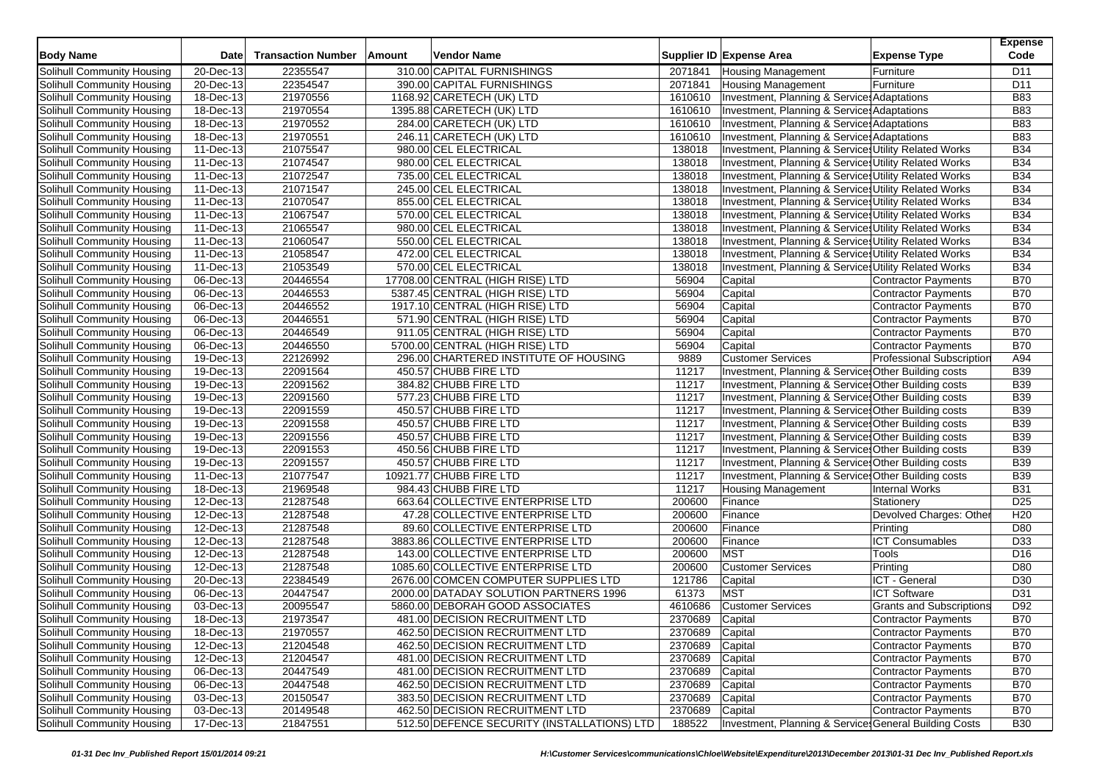| <b>Body Name</b>                  | <b>Date</b>             | <b>Transaction Number</b> | Amount | <b>Vendor Name</b>                          |                 | Supplier ID Expense Area                               | <b>Expense Type</b>              | <b>Expense</b><br>Code |
|-----------------------------------|-------------------------|---------------------------|--------|---------------------------------------------|-----------------|--------------------------------------------------------|----------------------------------|------------------------|
| Solihull Community Housing        | 20-Dec-13               | 22355547                  |        | 310.00 CAPITAL FURNISHINGS                  | 2071841         | <b>Housing Management</b>                              | Furniture                        | D11                    |
| Solihull Community Housing        | 20-Dec-13               | 22354547                  |        | 390.00 CAPITAL FURNISHINGS                  | 2071841         | <b>Housing Management</b>                              | Furniture                        | D11                    |
| Solihull Community Housing        | 18-Dec-13               | 21970556                  |        | 1168.92 CARETECH (UK) LTD                   | 1610610         | Investment, Planning & Services Adaptations            |                                  | <b>B83</b>             |
| Solihull Community Housing        | 18-Dec-13               | 21970554                  |        | 1395.88 CARETECH (UK) LTD                   | 1610610         | Investment, Planning & Service: Adaptations            |                                  | <b>B83</b>             |
| Solihull Community Housing        | 18-Dec-13               | 21970552                  |        | 284.00 CARETECH (UK) LTD                    | 1610610         | Investment, Planning & Service: Adaptations            |                                  | <b>B83</b>             |
| Solihull Community Housing        | $18 - Dec-13$           | 21970551                  |        | 246.11 CARETECH (UK) LTD                    | 1610610         | Investment, Planning & Service: Adaptations            |                                  | <b>B83</b>             |
| Solihull Community Housing        | 11-Dec-13               | 21075547                  |        | 980.00 CEL ELECTRICAL                       | 138018          | Investment, Planning & Services Utility Related Works  |                                  | <b>B34</b>             |
| Solihull Community Housing        | 11-Dec-13               | 21074547                  |        | 980.00 CEL ELECTRICAL                       | 138018          | Investment, Planning & Services Utility Related Works  |                                  | <b>B34</b>             |
| Solihull Community Housing        | 11-Dec-13               | 21072547                  |        | 735.00 CEL ELECTRICAL                       | 138018          | Investment, Planning & Services Utility Related Works  |                                  | <b>B34</b>             |
| Solihull Community Housing        | 11-Dec-13               | 21071547                  |        | 245.00 CEL ELECTRICAL                       | 138018          | Investment, Planning & Services Utility Related Works  |                                  | <b>B34</b>             |
| Solihull Community Housing        | 11-Dec-13               | 21070547                  |        | 855.00 CEL ELECTRICAL                       | 138018          | Investment, Planning & Services Utility Related Works  |                                  | <b>B34</b>             |
| Solihull Community Housing        | 11-Dec-13               | 21067547                  |        | 570.00 CEL ELECTRICAL                       | 138018          | Investment, Planning & Services Utility Related Works  |                                  | <b>B34</b>             |
| Solihull Community Housing        | 11-Dec-13               | 21065547                  |        | 980.00 CEL ELECTRICAL                       | 138018          | Investment, Planning & Services Utility Related Works  |                                  | <b>B34</b>             |
| Solihull Community Housing        | 11-Dec-13               | 21060547                  |        | 550.00 CEL ELECTRICAL                       | 138018          | Investment, Planning & Services Utility Related Works  |                                  | <b>B34</b>             |
| Solihull Community Housing        | 11-Dec-13               | 21058547                  |        | 472.00 CEL ELECTRICAL                       | 138018          | Investment, Planning & Services Utility Related Works  |                                  | <b>B34</b>             |
| Solihull Community Housing        | 11-Dec-13               | 21053549                  |        | 570.00 CEL ELECTRICAL                       | 138018          | Investment, Planning & Services Utility Related Works  |                                  | <b>B34</b>             |
| Solihull Community Housing        | 06-Dec-13               | 20446554                  |        | 17708.00 CENTRAL (HIGH RISE) LTD            | 56904           | Capital                                                | <b>Contractor Payments</b>       | <b>B70</b>             |
| Solihull Community Housing        | 06-Dec-13               | 20446553                  |        | 5387.45 CENTRAL (HIGH RISE) LTD             | 56904           | Capital                                                | <b>Contractor Payments</b>       | <b>B70</b>             |
| Solihull Community Housing        | 06-Dec-13               | 20446552                  |        | 1917.10 CENTRAL (HIGH RISE) LTD             | 56904           | Capital                                                | <b>Contractor Payments</b>       | <b>B70</b>             |
| Solihull Community Housing        | 06-Dec-13               | 20446551                  |        | 571.90 CENTRAL (HIGH RISE) LTD              | 56904           | Capital                                                | Contractor Payments              | <b>B70</b>             |
| Solihull Community Housing        | 06-Dec-13               | 20446549                  |        | 911.05 CENTRAL (HIGH RISE) LTD              | 56904           | Capital                                                | <b>Contractor Payments</b>       | <b>B70</b>             |
| Solihull Community Housing        | 06-Dec-13               | 20446550                  |        | 5700.00 CENTRAL (HIGH RISE) LTD             | 56904           | Capital                                                | Contractor Payments              | <b>B70</b>             |
| Solihull Community Housing        | 19-Dec-13               | 22126992                  |        | 296.00 CHARTERED INSTITUTE OF HOUSING       | 9889            | <b>Customer Services</b>                               | <b>Professional Subscription</b> | A94                    |
| Solihull Community Housing        | 19-Dec-13               | 22091564                  |        | 450.57 CHUBB FIRE LTD                       | 11217           | Investment, Planning & Services Other Building costs   |                                  | <b>B39</b>             |
| Solihull Community Housing        | 19-Dec-13               | 22091562                  |        | 384.82 CHUBB FIRE LTD                       | 11217           | Investment, Planning & Services Other Building costs   |                                  | <b>B39</b>             |
| Solihull Community Housing        | 19-Dec-13               | 22091560                  |        | 577.23 CHUBB FIRE LTD                       | 11217           | Investment, Planning & Services Other Building costs   |                                  | <b>B39</b>             |
| Solihull Community Housing        | $\overline{19}$ -Dec-13 | 22091559                  |        | 450.57 CHUBB FIRE LTD                       | 11217           | Investment, Planning & Service: Other Building costs   |                                  | <b>B39</b>             |
| Solihull Community Housing        | 19-Dec-13               | 22091558                  |        | 450.57 CHUBB FIRE LTD                       | 11217           | Investment, Planning & Services Other Building costs   |                                  | <b>B39</b>             |
| Solihull Community Housing        | 19-Dec-13               | 22091556                  |        | 450.57 CHUBB FIRE LTD                       | 11217           | Investment, Planning & Services Other Building costs   |                                  | <b>B39</b>             |
| Solihull Community Housing        | 19-Dec-13               | 22091553                  |        | 450.56 CHUBB FIRE LTD                       | 11217           | Investment, Planning & Service Other Building costs    |                                  | <b>B39</b>             |
| Solihull Community Housing        | 19-Dec-13               | 22091557                  |        | 450.57 CHUBB FIRE LTD                       | 11217           | Investment, Planning & Services Other Building costs   |                                  | <b>B39</b>             |
| Solihull Community Housing        | 11-Dec-13               | 21077547                  |        | 10921.77 CHUBB FIRE LTD                     | 11217           | Investment, Planning & Services Other Building costs   |                                  | <b>B39</b>             |
| Solihull Community Housing        | $18 - Dec - 13$         | 21969548                  |        | 984.43 CHUBB FIRE LTD                       | 11217           | <b>Housing Management</b>                              | <b>Internal Works</b>            | <b>B31</b>             |
| Solihull Community Housing        | 12-Dec-13               | 21287548                  |        | 663.64 COLLECTIVE ENTERPRISE LTD            | 200600          | Finance                                                | Stationery                       | D <sub>25</sub>        |
| Solihull Community Housing        | 12-Dec-13               | 21287548                  |        | 47.28 COLLECTIVE ENTERPRISE LTD             | 200600          | Finance                                                | Devolved Charges: Othe           | H <sub>20</sub>        |
| Solihull Community Housing        | 12-Dec-13               | 21287548                  |        | 89.60 COLLECTIVE ENTERPRISE LTD             | 200600          | Finance                                                | Printing                         | D80                    |
| Solihull Community Housing        | 12-Dec-13               | 21287548                  |        | 3883.86 COLLECTIVE ENTERPRISE LTD           | 200600          | Finance                                                | <b>ICT</b> Consumables           | D33                    |
| Solihull Community Housing        | 12-Dec-13               | 21287548                  |        | 143.00 COLLECTIVE ENTERPRISE LTD            | 200600          | <b>MST</b>                                             | Tools                            | D <sub>16</sub>        |
| Solihull Community Housing        | $\overline{12}$ -Dec-13 | 21287548                  |        | 1085.60 COLLECTIVE ENTERPRISE LTD           | 200600          | <b>Customer Services</b>                               | Printing                         | D80                    |
| Solihull Community Housing        | 20-Dec-13               | 22384549                  |        | 2676.00 COMCEN COMPUTER SUPPLIES LTD        | 121786          | Capital                                                | ICT - General                    | D30                    |
| Solihull Community Housing        | 06-Dec-13               | 20447547                  |        | 2000.00 DATADAY SOLUTION PARTNERS 1996      | 61373           | <b>MST</b>                                             | <b>ICT Software</b>              | D31                    |
| Solihull Community Housing        | 03-Dec-13               | 20095547                  |        | 5860.00 DEBORAH GOOD ASSOCIATES             | 4610686         | <b>Customer Services</b>                               | <b>Grants and Subscriptions</b>  | D92                    |
| Solihull Community Housing        | 18-Dec-13               | 21973547                  |        | 481.00 DECISION RECRUITMENT LTD             | 2370689         | Capital                                                | Contractor Payments              | <b>B70</b>             |
| Solihull Community Housing        | 18-Dec-13               | 21970557                  |        | 462.50 DECISION RECRUITMENT LTD             | 2370689 Capital |                                                        | <b>Contractor Payments</b>       | <b>B70</b>             |
| Solihull Community Housing        | 12-Dec-13               | 21204548                  |        | 462.50 DECISION RECRUITMENT LTD             | 2370689         | Capital                                                | Contractor Payments              | <b>B70</b>             |
| Solihull Community Housing        | 12-Dec-13               | 21204547                  |        | 481.00 DECISION RECRUITMENT LTD             | 2370689         | Capital                                                | <b>Contractor Payments</b>       | <b>B70</b>             |
| Solihull Community Housing        | 06-Dec-13               | 20447549                  |        | 481.00 DECISION RECRUITMENT LTD             | 2370689         | Capital                                                | Contractor Payments              | <b>B70</b>             |
| Solihull Community Housing        | 06-Dec-13               | 20447548                  |        | 462.50 DECISION RECRUITMENT LTD             | 2370689         | Capital                                                | Contractor Payments              | <b>B70</b>             |
| Solihull Community Housing        | 03-Dec-13               | 20150547                  |        | 383.50 DECISION RECRUITMENT LTD             | 2370689         | Capital                                                | Contractor Payments              | <b>B70</b>             |
| <b>Solihull Community Housing</b> | 03-Dec-13               | 20149548                  |        | 462.50 DECISION RECRUITMENT LTD             | 2370689         | Capital                                                | Contractor Payments              | <b>B70</b>             |
| Solihull Community Housing        | 17-Dec-13               | 21847551                  |        | 512.50 DEFENCE SECURITY (INSTALLATIONS) LTD | 188522          | Investment, Planning & Service: General Building Costs |                                  | <b>B30</b>             |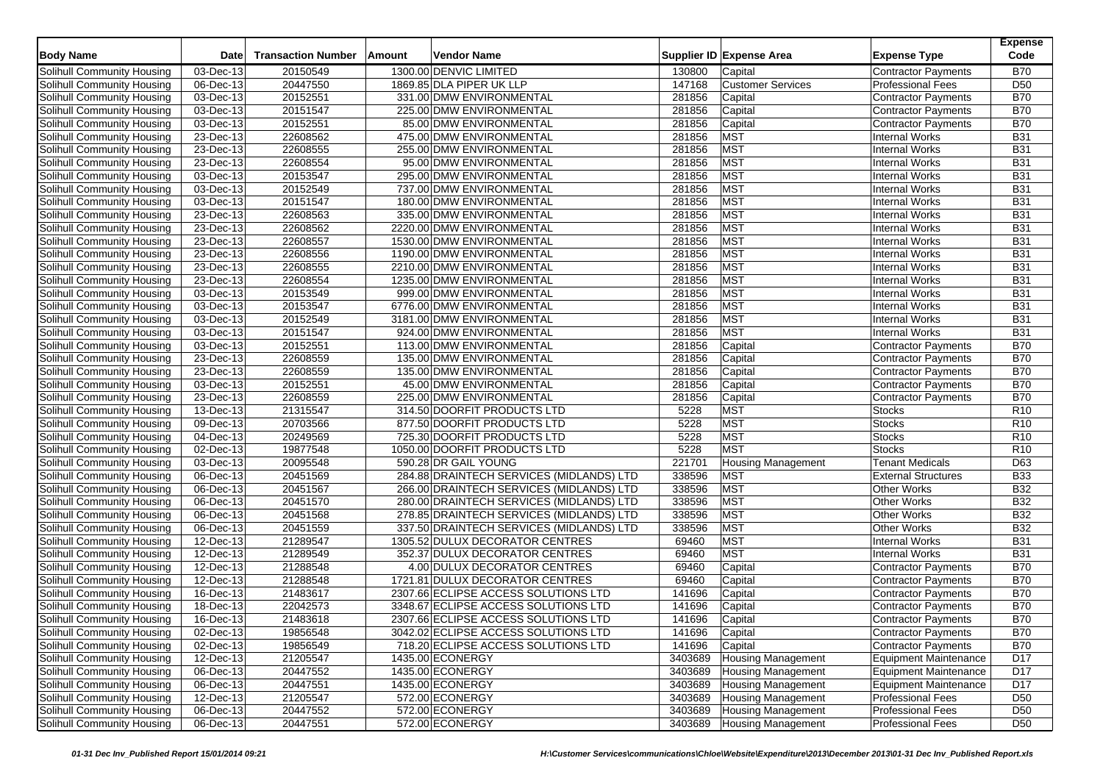| <b>Body Name</b>           | <b>Date</b>                   | <b>Transaction Number</b> | Amount | Vendor Name                              |         | Supplier ID Expense Area  | <b>Expense Type</b>        | <b>Expense</b><br>Code |
|----------------------------|-------------------------------|---------------------------|--------|------------------------------------------|---------|---------------------------|----------------------------|------------------------|
| Solihull Community Housing | 03-Dec-13                     | 20150549                  |        | 1300.00 DENVIC LIMITED                   | 130800  | Capital                   | Contractor Payments        | <b>B70</b>             |
| Solihull Community Housing | 06-Dec-13                     | 20447550                  |        | 1869.85 DLA PIPER UK LLP                 | 147168  | <b>Customer Services</b>  | <b>Professional Fees</b>   | D <sub>50</sub>        |
| Solihull Community Housing | 03-Dec-13                     | 20152551                  |        | 331.00 DMW ENVIRONMENTAL                 | 281856  | Capital                   | <b>Contractor Payments</b> | <b>B70</b>             |
| Solihull Community Housing | 03-Dec-13                     | 20151547                  |        | 225.00 DMW ENVIRONMENTAL                 | 281856  | Capital                   | Contractor Payments        | <b>B70</b>             |
| Solihull Community Housing | 03-Dec-13                     | 20152551                  |        | 85.00 DMW ENVIRONMENTAL                  | 281856  | Capital                   | <b>Contractor Payments</b> | <b>B70</b>             |
| Solihull Community Housing | 23-Dec-13                     | 22608562                  |        | 475.00 DMW ENVIRONMENTAL                 | 281856  | <b>MST</b>                | <b>Internal Works</b>      | <b>B31</b>             |
| Solihull Community Housing | 23-Dec-13                     | 22608555                  |        | 255.00 DMW ENVIRONMENTAL                 | 281856  | <b>MST</b>                | <b>Internal Works</b>      | <b>B31</b>             |
| Solihull Community Housing | 23-Dec-13                     | 22608554                  |        | 95.00 DMW ENVIRONMENTAL                  | 281856  | <b>MST</b>                | <b>Internal Works</b>      | <b>B31</b>             |
| Solihull Community Housing | 03-Dec-13                     | 20153547                  |        | 295.00 DMW ENVIRONMENTAL                 | 281856  | MST                       | <b>Internal Works</b>      | <b>B31</b>             |
| Solihull Community Housing | $\overline{03}$ -Dec-13       | 20152549                  |        | 737.00 DMW ENVIRONMENTAL                 | 281856  | <b>MST</b>                | <b>Internal Works</b>      | <b>B31</b>             |
| Solihull Community Housing | 03-Dec-13                     | 20151547                  |        | 180.00 DMW ENVIRONMENTAL                 | 281856  | <b>MST</b>                | Internal Works             | <b>B31</b>             |
| Solihull Community Housing | 23-Dec-13                     | 22608563                  |        | 335.00 DMW ENVIRONMENTAL                 | 281856  | MST                       | <b>Internal Works</b>      | <b>B31</b>             |
| Solihull Community Housing | 23-Dec-13                     | 22608562                  |        | 2220.00 DMW ENVIRONMENTAL                | 281856  | <b>MST</b>                | <b>Internal Works</b>      | <b>B31</b>             |
| Solihull Community Housing | 23-Dec-13                     | 22608557                  |        | 1530.00 DMW ENVIRONMENTAL                | 281856  | <b>MST</b>                | <b>Internal Works</b>      | <b>B31</b>             |
| Solihull Community Housing | 23-Dec-13                     | 22608556                  |        | 1190.00 DMW ENVIRONMENTAL                | 281856  | <b>MST</b>                | <b>Internal Works</b>      | <b>B31</b>             |
| Solihull Community Housing | 23-Dec-13                     | 22608555                  |        | 2210.00 DMW ENVIRONMENTAL                | 281856  | <b>MST</b>                | <b>Internal Works</b>      | <b>B31</b>             |
| Solihull Community Housing | $23$ -Dec-13                  | 22608554                  |        | 1235.00 DMW ENVIRONMENTAL                | 281856  | <b>MST</b>                | <b>Internal Works</b>      | <b>B31</b>             |
| Solihull Community Housing | 03-Dec-13                     | 20153549                  |        | 999.00 DMW ENVIRONMENTAL                 | 281856  | MST                       | <b>Internal Works</b>      | <b>B31</b>             |
| Solihull Community Housing | 03-Dec-13                     | 20153547                  |        | 6776.00 DMW ENVIRONMENTAL                | 281856  | <b>MST</b>                | <b>Internal Works</b>      | <b>B31</b>             |
| Solihull Community Housing | 03-Dec-13                     | 20152549                  |        | 3181.00 DMW ENVIRONMENTAL                | 281856  | <b>MST</b>                | <b>Internal Works</b>      | <b>B31</b>             |
| Solihull Community Housing | 03-Dec-13                     | 20151547                  |        | 924.00 DMW ENVIRONMENTAL                 | 281856  | <b>MST</b>                | <b>Internal Works</b>      | <b>B31</b>             |
| Solihull Community Housing | 03-Dec-13                     | 20152551                  |        | 113.00 DMW ENVIRONMENTAL                 | 281856  | Capital                   | <b>Contractor Payments</b> | <b>B70</b>             |
| Solihull Community Housing | 23-Dec-13                     | 22608559                  |        | 135.00 DMW ENVIRONMENTAL                 | 281856  | Capital                   | <b>Contractor Payments</b> | <b>B70</b>             |
| Solihull Community Housing | 23-Dec-13                     | 22608559                  |        | 135.00 DMW ENVIRONMENTAL                 | 281856  | Capital                   | Contractor Payments        | <b>B70</b>             |
| Solihull Community Housing | 03-Dec-13                     | 20152551                  |        | 45.00 DMW ENVIRONMENTAL                  | 281856  | Capital                   | <b>Contractor Payments</b> | <b>B70</b>             |
| Solihull Community Housing | 23-Dec-13                     | 22608559                  |        | 225.00 DMW ENVIRONMENTAL                 | 281856  | Capital                   | <b>Contractor Payments</b> | <b>B70</b>             |
| Solihull Community Housing | $\overline{13}$ -Dec-13       | 21315547                  |        | 314.50 DOORFIT PRODUCTS LTD              | 5228    | <b>MST</b>                | Stocks                     | R <sub>10</sub>        |
| Solihull Community Housing | 09-Dec-13                     | 20703566                  |        | 877.50 DOORFIT PRODUCTS LTD              | 5228    | <b>MST</b>                | <b>Stocks</b>              | R <sub>10</sub>        |
| Solihull Community Housing | 04-Dec-13                     | 20249569                  |        | 725.30 DOORFIT PRODUCTS LTD              | 5228    | <b>MST</b>                | <b>Stocks</b>              | R <sub>10</sub>        |
| Solihull Community Housing | $\overline{02}$ -Dec-13       | 19877548                  |        | 1050.00 DOORFIT PRODUCTS LTD             | 5228    | MST                       | <b>Stocks</b>              | R <sub>10</sub>        |
| Solihull Community Housing | 03-Dec-13                     | 20095548                  |        | 590.28 DR GAIL YOUNG                     | 221701  | <b>Housing Management</b> | <b>Tenant Medicals</b>     | D63                    |
| Solihull Community Housing | 06-Dec-13                     | 20451569                  |        | 284.88 DRAINTECH SERVICES (MIDLANDS) LTD | 338596  | <b>MST</b>                | <b>External Structures</b> | <b>B33</b>             |
| Solihull Community Housing | $\overline{06\text{-}$ Dec-13 | 20451567                  |        | 266.00 DRAINTECH SERVICES (MIDLANDS) LTD | 338596  | MST                       | <b>Other Works</b>         | <b>B32</b>             |
| Solihull Community Housing | 06-Dec-13                     | 20451570                  |        | 280.00 DRAINTECH SERVICES (MIDLANDS) LTD | 338596  | <b>MST</b>                | <b>Other Works</b>         | <b>B32</b>             |
| Solihull Community Housing | 06-Dec-13                     | 20451568                  |        | 278.85 DRAINTECH SERVICES (MIDLANDS) LTD | 338596  | MST                       | <b>Other Works</b>         | <b>B32</b>             |
| Solihull Community Housing | 06-Dec-13                     | 20451559                  |        | 337.50 DRAINTECH SERVICES (MIDLANDS) LTD | 338596  | <b>MST</b>                | <b>Other Works</b>         | <b>B32</b>             |
| Solihull Community Housing | 12-Dec-13                     | 21289547                  |        | 1305.52 DULUX DECORATOR CENTRES          | 69460   | <b>MST</b>                | <b>Internal Works</b>      | <b>B31</b>             |
| Solihull Community Housing | 12-Dec-13                     | 21289549                  |        | 352.37 DULUX DECORATOR CENTRES           | 69460   | MST                       | <b>Internal Works</b>      | <b>B31</b>             |
| Solihull Community Housing | $\overline{12}$ -Dec-13       | 21288548                  |        | 4.00 DULUX DECORATOR CENTRES             | 69460   | Capital                   | <b>Contractor Payments</b> | <b>B70</b>             |
| Solihull Community Housing | 12-Dec-13                     | 21288548                  |        | 1721.81 DULUX DECORATOR CENTRES          | 69460   | Capital                   | <b>Contractor Payments</b> | <b>B70</b>             |
| Solihull Community Housing | 16-Dec-13                     | 21483617                  |        | 2307.66 ECLIPSE ACCESS SOLUTIONS LTD     | 141696  | Capital                   | <b>Contractor Payments</b> | <b>B70</b>             |
| Solihull Community Housing | 18-Dec-13                     | 22042573                  |        | 3348.67 ECLIPSE ACCESS SOLUTIONS LTD     | 141696  | Capital                   | Contractor Payments        | <b>B70</b>             |
| Solihull Community Housing | 16-Dec-13                     | 21483618                  |        | 2307.66 ECLIPSE ACCESS SOLUTIONS LTD     | 141696  | Capital                   | Contractor Payments        | <b>B70</b>             |
| Solihull Community Housing | 02-Dec-13                     | 19856548                  |        | 3042.02 ECLIPSE ACCESS SOLUTIONS LTD     | 141696  | Capital                   | Contractor Payments        | <b>B70</b>             |
| Solihull Community Housing | 02-Dec-13                     | 19856549                  |        | 718.20 ECLIPSE ACCESS SOLUTIONS LTD      | 141696  | Capital                   | Contractor Payments        | <b>B70</b>             |
| Solihull Community Housing | 12-Dec-13                     | 21205547                  |        | 1435.00 ECONERGY                         | 3403689 | <b>Housing Management</b> | Equipment Maintenance      | D <sub>17</sub>        |
| Solihull Community Housing | 06-Dec-13                     | 20447552                  |        | 1435.00 ECONERGY                         | 3403689 | <b>Housing Management</b> | Equipment Maintenance      | D17                    |
| Solihull Community Housing | 06-Dec-13                     | 20447551                  |        | 1435.00 ECONERGY                         | 3403689 | <b>Housing Management</b> | Equipment Maintenance      | D17                    |
| Solihull Community Housing | 12-Dec-13                     | 21205547                  |        | 572.00 ECONERGY                          | 3403689 | <b>Housing Management</b> | <b>Professional Fees</b>   | D <sub>50</sub>        |
| Solihull Community Housing | 06-Dec-13                     | 20447552                  |        | 572.00 ECONERGY                          | 3403689 | <b>Housing Management</b> | <b>Professional Fees</b>   | D <sub>50</sub>        |
| Solihull Community Housing | 06-Dec-13                     | 20447551                  |        | 572.00 ECONERGY                          | 3403689 | <b>Housing Management</b> | <b>Professional Fees</b>   | D <sub>50</sub>        |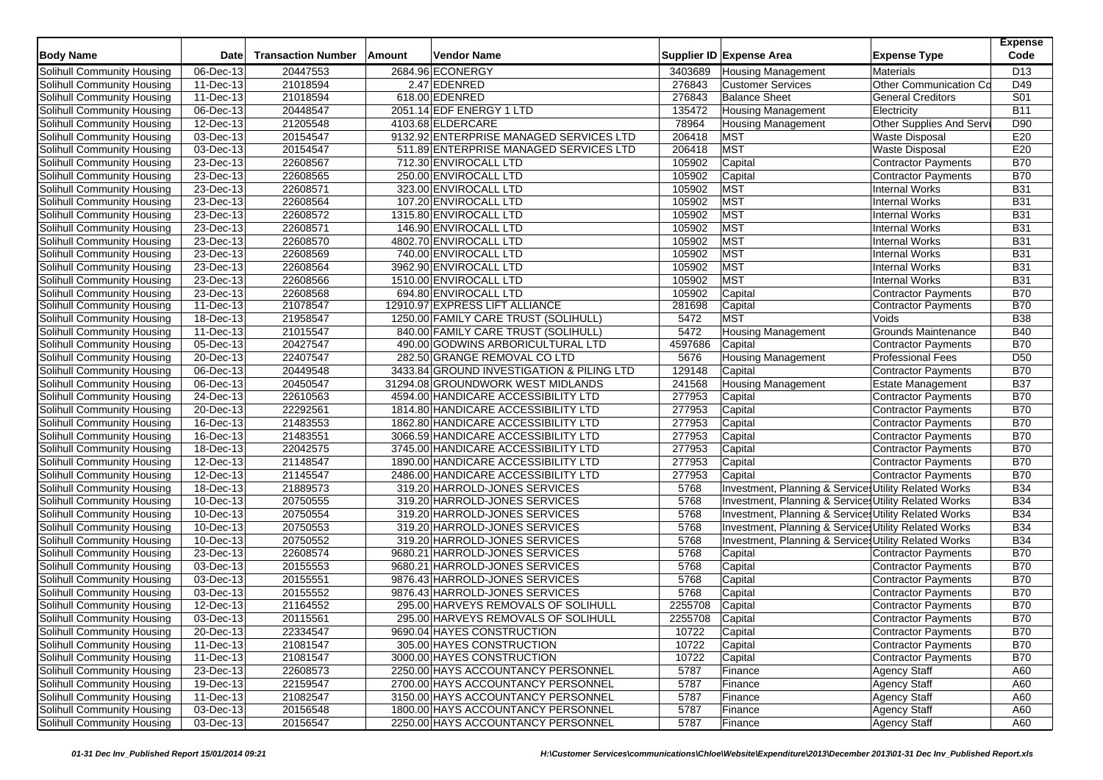| <b>Body Name</b>                  | Date                          | <b>Transaction Number</b> | Amount | <b>Vendor Name</b>                        |         | Supplier ID Expense Area                              | <b>Expense Type</b>        | <b>Expense</b><br>Code |
|-----------------------------------|-------------------------------|---------------------------|--------|-------------------------------------------|---------|-------------------------------------------------------|----------------------------|------------------------|
| Solihull Community Housing        | 06-Dec-13                     | 20447553                  |        | 2684.96 ECONERGY                          | 3403689 | <b>Housing Management</b>                             | <b>Materials</b>           | D <sub>13</sub>        |
| Solihull Community Housing        | 11-Dec-13                     | 21018594                  |        | 2.47 EDENRED                              | 276843  | <b>Customer Services</b>                              | Other Communication Co     | D49                    |
| Solihull Community Housing        | 11-Dec-13                     | 21018594                  |        | 618.00 EDENRED                            | 276843  | <b>Balance Sheet</b>                                  | <b>General Creditors</b>   | S <sub>01</sub>        |
| Solihull Community Housing        | $\overline{06}$ -Dec-13       | 20448547                  |        | 2051.14 EDF ENERGY 1 LTD                  | 135472  | Housing Management                                    | Electricity                | <b>B11</b>             |
| Solihull Community Housing        | 12-Dec-13                     | 21205548                  |        | 4103.68 ELDERCARE                         | 78964   | <b>Housing Management</b>                             | Other Supplies And Servi   | D90                    |
| Solihull Community Housing        | 03-Dec-13                     | 20154547                  |        | 9132.92 ENTERPRISE MANAGED SERVICES LTD   | 206418  | <b>MST</b>                                            | <b>Waste Disposal</b>      | E20                    |
| Solihull Community Housing        | 03-Dec-13                     | 20154547                  |        | 511.89 ENTERPRISE MANAGED SERVICES LTD    | 206418  | <b>MST</b>                                            | <b>Waste Disposal</b>      | E20                    |
| Solihull Community Housing        | 23-Dec-13                     | 22608567                  |        | 712.30 ENVIROCALL LTD                     | 105902  | Capital                                               | <b>Contractor Payments</b> | <b>B70</b>             |
| Solihull Community Housing        | 23-Dec-13                     | 22608565                  |        | 250.00 ENVIROCALL LTD                     | 105902  | Capital                                               | <b>Contractor Payments</b> | <b>B70</b>             |
| Solihull Community Housing        | 23-Dec-13                     | 22608571                  |        | 323.00 ENVIROCALL LTD                     | 105902  | MST                                                   | <b>Internal Works</b>      | <b>B31</b>             |
| Solihull Community Housing        | 23-Dec-13                     | 22608564                  |        | 107.20 ENVIROCALL LTD                     | 105902  | <b>MST</b>                                            | <b>Internal Works</b>      | <b>B31</b>             |
| Solihull Community Housing        | 23-Dec-13                     | 22608572                  |        | 1315.80 ENVIROCALL LTD                    | 105902  | <b>MST</b>                                            | <b>Internal Works</b>      | <b>B31</b>             |
| Solihull Community Housing        | 23-Dec-13                     | 22608571                  |        | 146.90 ENVIROCALL LTD                     | 105902  | <b>MST</b>                                            | <b>Internal Works</b>      | <b>B31</b>             |
| Solihull Community Housing        | 23-Dec-13                     | 22608570                  |        | 4802.70 ENVIROCALL LTD                    | 105902  | MST                                                   | <b>Internal Works</b>      | <b>B31</b>             |
| Solihull Community Housing        | 23-Dec-13                     | 22608569                  |        | 740.00 ENVIROCALL LTD                     | 105902  | <b>MST</b>                                            | <b>Internal Works</b>      | <b>B31</b>             |
| Solihull Community Housing        | $\overline{23}$ -Dec-13       | 22608564                  |        | 3962.90 ENVIROCALL LTD                    | 105902  | <b>MST</b>                                            | <b>Internal Works</b>      | <b>B31</b>             |
| Solihull Community Housing        | $23$ -Dec-13                  | 22608566                  |        | 1510.00 ENVIROCALL LTD                    | 105902  | <b>MST</b>                                            | <b>Internal Works</b>      | <b>B31</b>             |
| Solihull Community Housing        | 23-Dec-13                     | 22608568                  |        | 694.80 ENVIROCALL LTD                     | 105902  | Capital                                               | <b>Contractor Payments</b> | <b>B70</b>             |
| <b>Solihull Community Housing</b> | 11-Dec-13                     | 21078547                  |        | 12910.97 EXPRESS LIFT ALLIANCE            | 281698  | Capital                                               | <b>Contractor Payments</b> | <b>B70</b>             |
| Solihull Community Housing        | 18-Dec-13                     | 21958547                  |        | 1250.00 FAMILY CARE TRUST (SOLIHULL)      | 5472    | MST                                                   | Voids                      | <b>B38</b>             |
| Solihull Community Housing        | 11-Dec-13                     | 21015547                  |        | 840.00 FAMILY CARE TRUST (SOLIHULL)       | 5472    | <b>Housing Management</b>                             | Grounds Maintenance        | <b>B40</b>             |
| Solihull Community Housing        | 05-Dec-13                     | 20427547                  |        | 490.00 GODWINS ARBORICULTURAL LTD         | 4597686 | Capital                                               | <b>Contractor Payments</b> | <b>B70</b>             |
| Solihull Community Housing        | 20-Dec-13                     | 22407547                  |        | 282.50 GRANGE REMOVAL CO LTD              | 5676    | <b>Housing Management</b>                             | Professional Fees          | D <sub>50</sub>        |
| Solihull Community Housing        | $06 - Dec-13$                 | 20449548                  |        | 3433.84 GROUND INVESTIGATION & PILING LTD | 129148  | Capital                                               | <b>Contractor Payments</b> | <b>B70</b>             |
| Solihull Community Housing        | 06-Dec-13                     | 20450547                  |        | 31294.08 GROUNDWORK WEST MIDLANDS         | 241568  | <b>Housing Management</b>                             | Estate Management          | <b>B37</b>             |
| Solihull Community Housing        | $\overline{24}$ -Dec-13       | 22610563                  |        | 4594.00 HANDICARE ACCESSIBILITY LTD       | 277953  | Capital                                               | <b>Contractor Payments</b> | <b>B70</b>             |
| Solihull Community Housing        | 20-Dec-13                     | 22292561                  |        | 1814.80 HANDICARE ACCESSIBILITY LTD       | 277953  | Capital                                               | <b>Contractor Payments</b> | <b>B70</b>             |
| Solihull Community Housing        | 16-Dec-13                     | 21483553                  |        | 1862.80 HANDICARE ACCESSIBILITY LTD       | 277953  | Capital                                               | <b>Contractor Payments</b> | <b>B70</b>             |
| Solihull Community Housing        | 16-Dec-13                     | 21483551                  |        | 3066.59 HANDICARE ACCESSIBILITY LTD       | 277953  | Capital                                               | <b>Contractor Payments</b> | <b>B70</b>             |
| Solihull Community Housing        | 18-Dec-13                     | 22042575                  |        | 3745.00 HANDICARE ACCESSIBILITY LTD       | 277953  | Capital                                               | Contractor Payments        | <b>B70</b>             |
| Solihull Community Housing        | 12-Dec-13                     | 21148547                  |        | 1890.00 HANDICARE ACCESSIBILITY LTD       | 277953  | Capital                                               | <b>Contractor Payments</b> | <b>B70</b>             |
| Solihull Community Housing        | 12-Dec-13                     | 21145547                  |        | 2486.00 HANDICARE ACCESSIBILITY LTD       | 277953  | Capital                                               | <b>Contractor Payments</b> | <b>B70</b>             |
| Solihull Community Housing        | 18-Dec-13                     | 21889573                  |        | 319.20 HARROLD-JONES SERVICES             | 5768    | Investment, Planning & Services Utility Related Works |                            | <b>B34</b>             |
| Solihull Community Housing        | 10-Dec-13                     | 20750555                  |        | 319.20 HARROLD-JONES SERVICES             | 5768    | Investment, Planning & Services Utility Related Works |                            | <b>B34</b>             |
| Solihull Community Housing        | 10-Dec-13                     | 20750554                  |        | 319.20 HARROLD-JONES SERVICES             | 5768    | Investment, Planning & Services Utility Related Works |                            | <b>B34</b>             |
| Solihull Community Housing        | 10-Dec-13                     | 20750553                  |        | 319.20 HARROLD-JONES SERVICES             | 5768    | Investment, Planning & Services Utility Related Works |                            | <b>B34</b>             |
| Solihull Community Housing        | 10-Dec-13                     | 20750552                  |        | 319.20 HARROLD-JONES SERVICES             | 5768    | Investment, Planning & Services Utility Related Works |                            | <b>B34</b>             |
|                                   | 23-Dec-13                     | 22608574                  |        | 9680.21 HARROLD-JONES SERVICES            | 5768    | Capital                                               |                            | <b>B70</b>             |
| Solihull Community Housing        | $\overline{03\text{-}$ Dec-13 |                           |        | 9680.21 HARROLD-JONES SERVICES            | 5768    |                                                       | <b>Contractor Payments</b> | <b>B70</b>             |
| Solihull Community Housing        |                               | 20155553                  |        |                                           | 5768    | Capital                                               | <b>Contractor Payments</b> | <b>B70</b>             |
| Solihull Community Housing        | 03-Dec-13                     | 20155551                  |        | 9876.43 HARROLD-JONES SERVICES            |         | Capital                                               | <b>Contractor Payments</b> |                        |
| Solihull Community Housing        | 03-Dec-13                     | 20155552                  |        | 9876.43 HARROLD-JONES SERVICES            | 5768    | Capital                                               | <b>Contractor Payments</b> | <b>B70</b>             |
| Solihull Community Housing        | $12$ -Dec-13                  | 21164552                  |        | 295.00 HARVEYS REMOVALS OF SOLIHULL       | 2255708 | Capital                                               | <b>Contractor Payments</b> | <b>B70</b>             |
| Solihull Community Housing        | 03-Dec-13                     | 20115561                  |        | 295.00 HARVEYS REMOVALS OF SOLIHULL       | 2255708 | Capital                                               | <b>Contractor Payments</b> | <b>B70</b>             |
| <b>Solihull Community Housing</b> | 20-Dec-13                     | 22334547                  |        | 9690.04 HAYES CONSTRUCTION                | 10722   | Capital                                               | <b>Contractor Payments</b> | <b>B70</b>             |
| Solihull Community Housing        | 11-Dec-13                     | 21081547                  |        | 305.00 HAYES CONSTRUCTION                 | 10722   | Capital                                               | Contractor Payments        | <b>B70</b>             |
| Solihull Community Housing        | 11-Dec-13                     | 21081547                  |        | 3000.00 HAYES CONSTRUCTION                | 10722   | Capital                                               | <b>Contractor Payments</b> | <b>B70</b>             |
| Solihull Community Housing        | 23-Dec-13                     | 22608573                  |        | 2250.00 HAYS ACCOUNTANCY PERSONNEL        | 5787    | Finance                                               | <b>Agency Staff</b>        | A60                    |
| Solihull Community Housing        | 19-Dec-13                     | 22159547                  |        | 2700.00 HAYS ACCOUNTANCY PERSONNEL        | 5787    | Finance                                               | <b>Agency Staff</b>        | A60                    |
| Solihull Community Housing        | 11-Dec-13                     | 21082547                  |        | 3150.00 HAYS ACCOUNTANCY PERSONNEL        | 5787    | Finance                                               | <b>Agency Staff</b>        | A60                    |
| Solihull Community Housing        | 03-Dec-13                     | 20156548                  |        | 1800.00 HAYS ACCOUNTANCY PERSONNEL        | 5787    | Finance                                               | <b>Agency Staff</b>        | A60                    |
| Solihull Community Housing        | 03-Dec-13                     | 20156547                  |        | 2250.00 HAYS ACCOUNTANCY PERSONNEL        | 5787    | Finance                                               | <b>Agency Staff</b>        | A60                    |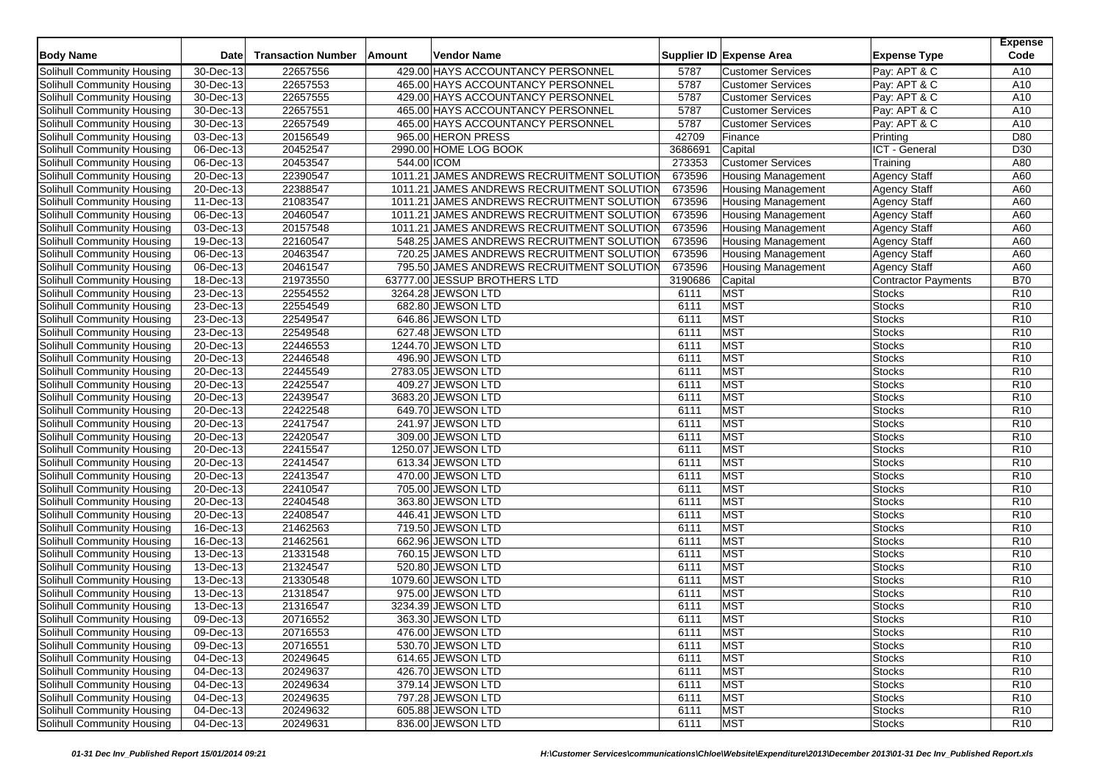| <b>Body Name</b>           | <b>Date</b>              | <b>Transaction Number</b> | Amount      | <b>Vendor Name</b>                         |         | Supplier ID Expense Area  | <b>Expense Type</b>        | <b>Expense</b><br>Code |
|----------------------------|--------------------------|---------------------------|-------------|--------------------------------------------|---------|---------------------------|----------------------------|------------------------|
| Solihull Community Housing | 30-Dec-13                | 22657556                  |             | 429.00 HAYS ACCOUNTANCY PERSONNEL          | 5787    | <b>Customer Services</b>  | Pay: APT & C               | A10                    |
| Solihull Community Housing | 30-Dec-13                | 22657553                  |             | 465.00 HAYS ACCOUNTANCY PERSONNEL          | 5787    | <b>Customer Services</b>  | Pay: APT & C               | A10                    |
| Solihull Community Housing | 30-Dec-13                | 22657555                  |             | 429.00 HAYS ACCOUNTANCY PERSONNEL          | 5787    | <b>Customer Services</b>  | Pay: APT & C               | A10                    |
| Solihull Community Housing | 30-Dec-13                | 22657551                  |             | 465.00 HAYS ACCOUNTANCY PERSONNEL          | 5787    | <b>Customer Services</b>  | Pay: APT & C               | A10                    |
| Solihull Community Housing | 30-Dec-13                | 22657549                  |             | 465.00 HAYS ACCOUNTANCY PERSONNEL          | 5787    | <b>Customer Services</b>  | Pay: APT & C               | A10                    |
| Solihull Community Housing | 03-Dec-13                | 20156549                  |             | 965.00 HERON PRESS                         | 42709   | Finance                   | Printing                   | D80                    |
| Solihull Community Housing | 06-Dec-13                | 20452547                  |             | 2990.00 HOME LOG BOOK                      | 3686691 | Capital                   | ICT - General              | D <sub>30</sub>        |
| Solihull Community Housing | 06-Dec-13                | 20453547                  | 544.00 ICOM |                                            | 273353  | <b>Customer Services</b>  | Training                   | A80                    |
| Solihull Community Housing | 20-Dec-13                | 22390547                  |             | 1011.21 JAMES ANDREWS RECRUITMENT SOLUTION | 673596  | <b>Housing Management</b> | <b>Agency Staff</b>        | A60                    |
| Solihull Community Housing | 20-Dec-13                | 22388547                  |             | 1011.21 JAMES ANDREWS RECRUITMENT SOLUTION | 673596  | <b>Housing Management</b> | <b>Agency Staff</b>        | A60                    |
| Solihull Community Housing | 11-Dec-13                | 21083547                  |             | 1011.21 JAMES ANDREWS RECRUITMENT SOLUTION | 673596  | <b>Housing Management</b> | <b>Agency Staff</b>        | A60                    |
| Solihull Community Housing | 06-Dec-13                | 20460547                  |             | 1011.21 JAMES ANDREWS RECRUITMENT SOLUTION | 673596  | <b>Housing Management</b> | Agency Staff               | A60                    |
| Solihull Community Housing | 03-Dec-13                | 20157548                  |             | 1011.21 JAMES ANDREWS RECRUITMENT SOLUTION | 673596  | <b>Housing Management</b> | <b>Agency Staff</b>        | A60                    |
| Solihull Community Housing | $19-Dec-13$              | 22160547                  |             | 548.25 JAMES ANDREWS RECRUITMENT SOLUTION  | 673596  | <b>Housing Management</b> | <b>Agency Staff</b>        | A60                    |
| Solihull Community Housing | 06-Dec-13                | 20463547                  |             | 720.25 JAMES ANDREWS RECRUITMENT SOLUTION  | 673596  | <b>Housing Management</b> | <b>Agency Staff</b>        | A60                    |
| Solihull Community Housing | $\overline{06}$ -Dec-13  | 20461547                  |             | 795.50 JAMES ANDREWS RECRUITMENT SOLUTION  | 673596  | <b>Housing Management</b> | <b>Agency Staff</b>        | A60                    |
| Solihull Community Housing | $18 - Dec-13$            | 21973550                  |             | 63777.00 JESSUP BROTHERS LTD               | 3190686 | Capital                   | <b>Contractor Payments</b> | <b>B70</b>             |
| Solihull Community Housing | 23-Dec-13                | 22554552                  |             | 3264.28 JEWSON LTD                         | 6111    | <b>MST</b>                | <b>Stocks</b>              | R <sub>10</sub>        |
| Solihull Community Housing | 23-Dec-13                | 22554549                  |             | 682.80 JEWSON LTD                          | 6111    | <b>MST</b>                | <b>Stocks</b>              | R <sub>10</sub>        |
| Solihull Community Housing | 23-Dec-13                | 22549547                  |             | 646.86 JEWSON LTD                          | 6111    | <b>MST</b>                | <b>Stocks</b>              | R <sub>10</sub>        |
| Solihull Community Housing | 23-Dec-13                | 22549548                  |             | 627.48 JEWSON LTD                          | 6111    | <b>MST</b>                | <b>Stocks</b>              | R <sub>10</sub>        |
| Solihull Community Housing | 20-Dec-13                | 22446553                  |             | 1244.70 JEWSON LTD                         | 6111    | <b>MST</b>                | <b>Stocks</b>              | R <sub>10</sub>        |
| Solihull Community Housing | 20-Dec-13                | 22446548                  |             | 496.90 JEWSON LTD                          | 6111    | <b>MST</b>                | <b>Stocks</b>              | R <sub>10</sub>        |
| Solihull Community Housing | 20-Dec-13                | 22445549                  |             | 2783.05 JEWSON LTD                         | 6111    | <b>MST</b>                | <b>Stocks</b>              | R <sub>10</sub>        |
| Solihull Community Housing | 20-Dec-13                | 22425547                  |             | 409.27 JEWSON LTD                          | 6111    | <b>MST</b>                | <b>Stocks</b>              | R <sub>10</sub>        |
| Solihull Community Housing | $20 - Dec-13$            | 22439547                  |             | 3683.20 JEWSON LTD                         | 6111    | <b>MST</b>                | <b>Stocks</b>              | R <sub>10</sub>        |
| Solihull Community Housing | $\overline{20}$ -Dec-13  | 22422548                  |             | 649.70 JEWSON LTD                          | 6111    | <b>MST</b>                | <b>Stocks</b>              | R <sub>10</sub>        |
| Solihull Community Housing | 20-Dec-13                | 22417547                  |             | 241.97 JEWSON LTD                          | 6111    | <b>MST</b>                | <b>Stocks</b>              | R <sub>10</sub>        |
| Solihull Community Housing | 20-Dec-13                | 22420547                  |             | 309.00 JEWSON LTD                          | 6111    | <b>MST</b>                | <b>Stocks</b>              | R <sub>10</sub>        |
| Solihull Community Housing | 20-Dec-13                | 22415547                  |             | 1250.07 JEWSON LTD                         | 6111    | <b>MST</b>                | <b>Stocks</b>              | R <sub>10</sub>        |
| Solihull Community Housing | 20-Dec-13                | 22414547                  |             | 613.34 JEWSON LTD                          | 6111    | <b>MST</b>                | <b>Stocks</b>              | R <sub>10</sub>        |
| Solihull Community Housing | 20-Dec-13                | 22413547                  |             | 470.00 JEWSON LTD                          | 6111    | <b>MST</b>                | <b>Stocks</b>              | R <sub>10</sub>        |
| Solihull Community Housing | 20-Dec-13                | 22410547                  |             | 705.00 JEWSON LTD                          | 6111    | <b>MST</b>                | <b>Stocks</b>              | R <sub>10</sub>        |
| Solihull Community Housing | 20-Dec-13                | 22404548                  |             | 363.80 JEWSON LTD                          | 6111    | <b>MST</b>                | <b>Stocks</b>              | R <sub>10</sub>        |
| Solihull Community Housing | 20-Dec-13                | 22408547                  |             | 446.41 JEWSON LTD                          | 6111    | <b>MST</b>                | Stocks                     | R <sub>10</sub>        |
| Solihull Community Housing | 16-Dec-13                | 21462563                  |             | 719.50 JEWSON LTD                          | 6111    | <b>MST</b>                | <b>Stocks</b>              | R <sub>10</sub>        |
| Solihull Community Housing | 16-Dec-13                | 21462561                  |             | 662.96 JEWSON LTD                          | 6111    | <b>MST</b>                | <b>Stocks</b>              | R <sub>10</sub>        |
| Solihull Community Housing | 13-Dec-13                | 21331548                  |             | 760.15 JEWSON LTD                          | 6111    | <b>MST</b>                | Stocks                     | R <sub>10</sub>        |
| Solihull Community Housing | $\overline{13}$ -Dec-13  | 21324547                  |             | 520.80 JEWSON LTD                          | 6111    | <b>MST</b>                | <b>Stocks</b>              | R <sub>10</sub>        |
| Solihull Community Housing | 13-Dec-13                | 21330548                  |             | 1079.60 JEWSON LTD                         | 6111    | <b>MST</b>                | <b>Stocks</b>              | R <sub>10</sub>        |
| Solihull Community Housing | 13-Dec-13                | 21318547                  |             | 975.00 JEWSON LTD                          | 6111    | <b>MST</b>                | <b>Stocks</b>              | R <sub>10</sub>        |
| Solihull Community Housing | 13-Dec-13                | 21316547                  |             | 3234.39 JEWSON LTD                         | 6111    | <b>MST</b>                | <b>Stocks</b>              | R <sub>10</sub>        |
| Solihull Community Housing | 09-Dec-13                | 20716552                  |             | 363.30 JEWSON LTD                          | 6111    | <b>MST</b>                | Stocks                     | R <sub>10</sub>        |
| Solihull Community Housing | 09-Dec-13                | 20716553                  |             | 476.00 JEWSON LTD                          | 6111    | MST                       | Stocks                     | R <sub>10</sub>        |
| Solihull Community Housing | 09-Dec-13                | 20716551                  |             | 530.70 JEWSON LTD                          | 6111    | MST                       | <b>Stocks</b>              | R <sub>10</sub>        |
| Solihull Community Housing | 04-Dec-13                | 20249645                  |             | 614.65 JEWSON LTD                          | 6111    | <b>MST</b>                | <b>Stocks</b>              | R <sub>10</sub>        |
| Solihull Community Housing | 04-Dec-13                | 20249637                  |             | 426.70 JEWSON LTD                          | 6111    | <b>MST</b>                | Stocks                     | R <sub>10</sub>        |
| Solihull Community Housing | 04-Dec-13                | 20249634                  |             | 379.14 JEWSON LTD                          | 6111    | <b>MST</b>                | <b>Stocks</b>              | R <sub>10</sub>        |
| Solihull Community Housing | $\overline{04 - Dec-13}$ | 20249635                  |             | 797.28 JEWSON LTD                          | 6111    | <b>MST</b>                | <b>Stocks</b>              | R <sub>10</sub>        |
| Solihull Community Housing | 04-Dec-13                | 20249632                  |             | 605.88 JEWSON LTD                          | 6111    | <b>MST</b>                | <b>Stocks</b>              | R <sub>10</sub>        |
| Solihull Community Housing | 04-Dec-13                | 20249631                  |             | 836.00 JEWSON LTD                          | 6111    | <b>MST</b>                | <b>Stocks</b>              | R <sub>10</sub>        |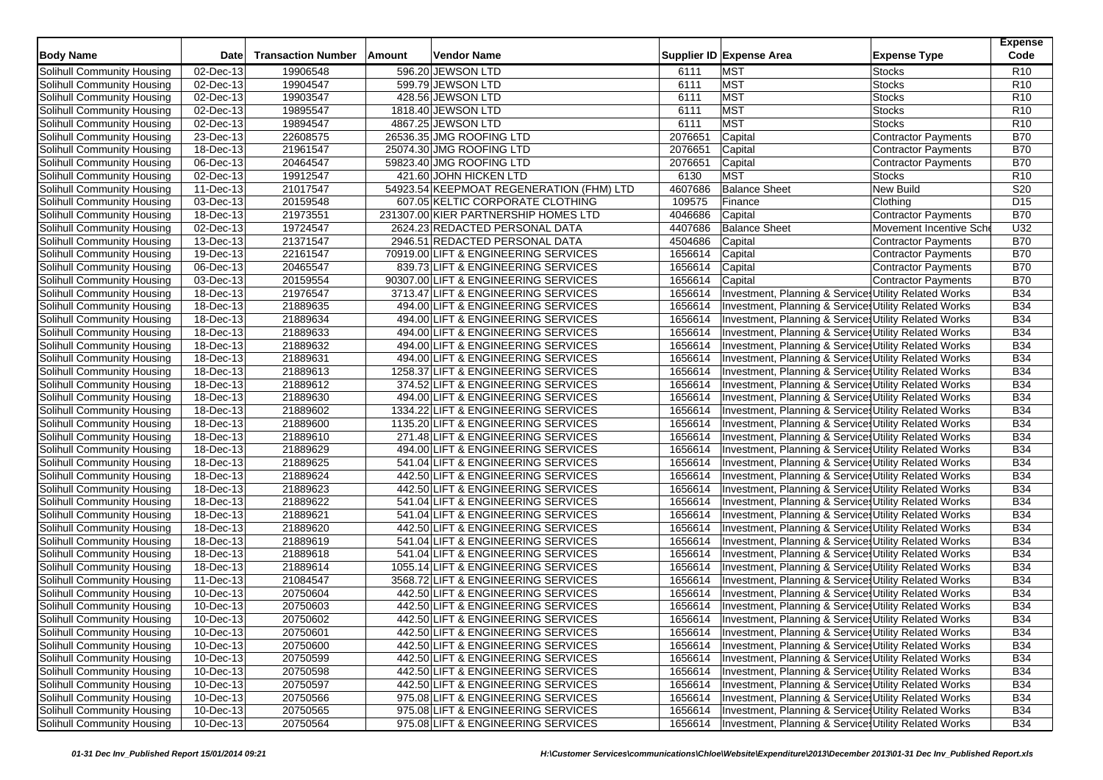| 02-Dec-13<br>19906548<br>596.20 JEWSON LTD<br><b>MST</b><br>R <sub>10</sub><br>Solihull Community Housing<br>6111<br><b>Stocks</b><br><b>MST</b><br>R <sub>10</sub><br>Solihull Community Housing<br>02-Dec-13<br>19904547<br>599.79 JEWSON LTD<br>6111<br><b>Stocks</b><br><b>MST</b><br>19903547<br>R <sub>10</sub><br>Solihull Community Housing<br>02-Dec-13<br>428.56 JEWSON LTD<br>6111<br><b>Stocks</b><br><b>MST</b><br>19895547<br>1818.40 JEWSON LTD<br>R <sub>10</sub><br>Solihull Community Housing<br>02-Dec-13<br>6111<br><b>Stocks</b><br><b>MST</b><br>19894547<br>4867.25 JEWSON LTD<br><b>Stocks</b><br>R <sub>10</sub><br>Solihull Community Housing<br>02-Dec-13<br>6111<br>22608575<br>Capital<br><b>B70</b><br>Solihull Community Housing<br>23-Dec-13<br>26536.35 JMG ROOFING LTD<br>2076651<br><b>Contractor Payments</b><br>21961547<br>25074.30 JMG ROOFING LTD<br>2076651<br><b>B70</b><br>Solihull Community Housing<br>18-Dec-13<br>Capital<br>Contractor Payments<br>20464547<br><b>B70</b><br>Solihull Community Housing<br>06-Dec-13<br>59823.40 JMG ROOFING LTD<br>2076651<br>Capital<br><b>Contractor Payments</b><br><b>MST</b><br>19912547<br>421.60 JOHN HICKEN LTD<br>6130<br>R <sub>10</sub><br>Solihull Community Housing<br>02-Dec-13<br><b>Stocks</b><br>S <sub>20</sub><br>21017547<br>4607686<br><b>Balance Sheet</b><br>New Build<br>Solihull Community Housing<br>11-Dec-13<br>54923.54 KEEPMOAT REGENERATION (FHM) LTD<br>109575<br>20159548<br>Clothing<br>D <sub>15</sub><br>Solihull Community Housing<br>03-Dec-13<br>607.05 KELTIC CORPORATE CLOTHING<br>Finance<br>21973551<br>231307.00 KIER PARTNERSHIP HOMES LTD<br>4046686<br>Capital<br><b>B70</b><br>Solihull Community Housing<br>18-Dec-13<br>Contractor Payments<br>U32<br>19724547<br>2624.23 REDACTED PERSONAL DATA<br>4407686<br><b>Balance Sheet</b><br>Solihull Community Housing<br>02-Dec-13<br>Movement Incentive Sche<br><b>B70</b><br>21371547<br>4504686<br>Solihull Community Housing<br>13-Dec-13<br>2946.51 REDACTED PERSONAL DATA<br>Capital<br>Contractor Payments<br>22161547<br>1656614<br>Capital<br><b>B70</b><br>Solihull Community Housing<br>19-Dec-13<br>70919.00 LIFT & ENGINEERING SERVICES<br>Contractor Payments<br><b>B70</b><br>20465547<br>1656614<br>Solihull Community Housing<br>06-Dec-13<br>839.73 LIFT & ENGINEERING SERVICES<br>Capital<br>Contractor Payments<br><b>B70</b><br>20159554<br>90307.00 LIFT & ENGINEERING SERVICES<br>1656614<br>Solihull Community Housing<br>03-Dec-13<br>Capital<br>Contractor Payments<br>21976547<br>1656614<br>Investment, Planning & Services Utility Related Works<br><b>B34</b><br>Solihull Community Housing<br>18-Dec-13<br>3713.47 LIFT & ENGINEERING SERVICES<br><b>B34</b><br>21889635<br>494.00 LIFT & ENGINEERING SERVICES<br>1656614<br>Investment, Planning & Service Utility Related Works<br>Solihull Community Housing<br>18-Dec-13<br>21889634<br>1656614<br>Investment, Planning & Services Utility Related Works<br><b>B34</b><br>Solihull Community Housing<br>18-Dec-13<br>494.00 LIFT & ENGINEERING SERVICES<br>1656614<br><b>B34</b><br>$\overline{18}$ -Dec-13<br>21889633<br>Solihull Community Housing<br>494.00 LIFT & ENGINEERING SERVICES<br>Investment, Planning & Services Utility Related Works<br><b>B34</b><br>18-Dec-13<br>21889632<br>494.00 LIFT & ENGINEERING SERVICES<br>1656614<br>Investment, Planning & Services Utility Related Works<br>Solihull Community Housing<br>21889631<br>1656614<br><b>B34</b><br>Solihull Community Housing<br>18-Dec-13<br>494.00 LIFT & ENGINEERING SERVICES<br>Investment, Planning & Services Utility Related Works<br>21889613<br>1656614<br>$\overline{18}$ -Dec-13<br>1258.37 LIFT & ENGINEERING SERVICES<br><b>B34</b><br>Solihull Community Housing<br>Investment, Planning & Services Utility Related Works |
|------------------------------------------------------------------------------------------------------------------------------------------------------------------------------------------------------------------------------------------------------------------------------------------------------------------------------------------------------------------------------------------------------------------------------------------------------------------------------------------------------------------------------------------------------------------------------------------------------------------------------------------------------------------------------------------------------------------------------------------------------------------------------------------------------------------------------------------------------------------------------------------------------------------------------------------------------------------------------------------------------------------------------------------------------------------------------------------------------------------------------------------------------------------------------------------------------------------------------------------------------------------------------------------------------------------------------------------------------------------------------------------------------------------------------------------------------------------------------------------------------------------------------------------------------------------------------------------------------------------------------------------------------------------------------------------------------------------------------------------------------------------------------------------------------------------------------------------------------------------------------------------------------------------------------------------------------------------------------------------------------------------------------------------------------------------------------------------------------------------------------------------------------------------------------------------------------------------------------------------------------------------------------------------------------------------------------------------------------------------------------------------------------------------------------------------------------------------------------------------------------------------------------------------------------------------------------------------------------------------------------------------------------------------------------------------------------------------------------------------------------------------------------------------------------------------------------------------------------------------------------------------------------------------------------------------------------------------------------------------------------------------------------------------------------------------------------------------------------------------------------------------------------------------------------------------------------------------------------------------------------------------------------------------------------------------------------------------------------------------------------------------------------------------------------------------------------------------------------------------------------------------------------------------------------------------------------------------------------------------------------------------------------------------------------------------------------------------------------------------------------------------------------------------------------------------------------------------------------------------------------------|
|                                                                                                                                                                                                                                                                                                                                                                                                                                                                                                                                                                                                                                                                                                                                                                                                                                                                                                                                                                                                                                                                                                                                                                                                                                                                                                                                                                                                                                                                                                                                                                                                                                                                                                                                                                                                                                                                                                                                                                                                                                                                                                                                                                                                                                                                                                                                                                                                                                                                                                                                                                                                                                                                                                                                                                                                                                                                                                                                                                                                                                                                                                                                                                                                                                                                                                                                                                                                                                                                                                                                                                                                                                                                                                                                                                                                                                                                                    |
|                                                                                                                                                                                                                                                                                                                                                                                                                                                                                                                                                                                                                                                                                                                                                                                                                                                                                                                                                                                                                                                                                                                                                                                                                                                                                                                                                                                                                                                                                                                                                                                                                                                                                                                                                                                                                                                                                                                                                                                                                                                                                                                                                                                                                                                                                                                                                                                                                                                                                                                                                                                                                                                                                                                                                                                                                                                                                                                                                                                                                                                                                                                                                                                                                                                                                                                                                                                                                                                                                                                                                                                                                                                                                                                                                                                                                                                                                    |
|                                                                                                                                                                                                                                                                                                                                                                                                                                                                                                                                                                                                                                                                                                                                                                                                                                                                                                                                                                                                                                                                                                                                                                                                                                                                                                                                                                                                                                                                                                                                                                                                                                                                                                                                                                                                                                                                                                                                                                                                                                                                                                                                                                                                                                                                                                                                                                                                                                                                                                                                                                                                                                                                                                                                                                                                                                                                                                                                                                                                                                                                                                                                                                                                                                                                                                                                                                                                                                                                                                                                                                                                                                                                                                                                                                                                                                                                                    |
|                                                                                                                                                                                                                                                                                                                                                                                                                                                                                                                                                                                                                                                                                                                                                                                                                                                                                                                                                                                                                                                                                                                                                                                                                                                                                                                                                                                                                                                                                                                                                                                                                                                                                                                                                                                                                                                                                                                                                                                                                                                                                                                                                                                                                                                                                                                                                                                                                                                                                                                                                                                                                                                                                                                                                                                                                                                                                                                                                                                                                                                                                                                                                                                                                                                                                                                                                                                                                                                                                                                                                                                                                                                                                                                                                                                                                                                                                    |
|                                                                                                                                                                                                                                                                                                                                                                                                                                                                                                                                                                                                                                                                                                                                                                                                                                                                                                                                                                                                                                                                                                                                                                                                                                                                                                                                                                                                                                                                                                                                                                                                                                                                                                                                                                                                                                                                                                                                                                                                                                                                                                                                                                                                                                                                                                                                                                                                                                                                                                                                                                                                                                                                                                                                                                                                                                                                                                                                                                                                                                                                                                                                                                                                                                                                                                                                                                                                                                                                                                                                                                                                                                                                                                                                                                                                                                                                                    |
|                                                                                                                                                                                                                                                                                                                                                                                                                                                                                                                                                                                                                                                                                                                                                                                                                                                                                                                                                                                                                                                                                                                                                                                                                                                                                                                                                                                                                                                                                                                                                                                                                                                                                                                                                                                                                                                                                                                                                                                                                                                                                                                                                                                                                                                                                                                                                                                                                                                                                                                                                                                                                                                                                                                                                                                                                                                                                                                                                                                                                                                                                                                                                                                                                                                                                                                                                                                                                                                                                                                                                                                                                                                                                                                                                                                                                                                                                    |
|                                                                                                                                                                                                                                                                                                                                                                                                                                                                                                                                                                                                                                                                                                                                                                                                                                                                                                                                                                                                                                                                                                                                                                                                                                                                                                                                                                                                                                                                                                                                                                                                                                                                                                                                                                                                                                                                                                                                                                                                                                                                                                                                                                                                                                                                                                                                                                                                                                                                                                                                                                                                                                                                                                                                                                                                                                                                                                                                                                                                                                                                                                                                                                                                                                                                                                                                                                                                                                                                                                                                                                                                                                                                                                                                                                                                                                                                                    |
|                                                                                                                                                                                                                                                                                                                                                                                                                                                                                                                                                                                                                                                                                                                                                                                                                                                                                                                                                                                                                                                                                                                                                                                                                                                                                                                                                                                                                                                                                                                                                                                                                                                                                                                                                                                                                                                                                                                                                                                                                                                                                                                                                                                                                                                                                                                                                                                                                                                                                                                                                                                                                                                                                                                                                                                                                                                                                                                                                                                                                                                                                                                                                                                                                                                                                                                                                                                                                                                                                                                                                                                                                                                                                                                                                                                                                                                                                    |
|                                                                                                                                                                                                                                                                                                                                                                                                                                                                                                                                                                                                                                                                                                                                                                                                                                                                                                                                                                                                                                                                                                                                                                                                                                                                                                                                                                                                                                                                                                                                                                                                                                                                                                                                                                                                                                                                                                                                                                                                                                                                                                                                                                                                                                                                                                                                                                                                                                                                                                                                                                                                                                                                                                                                                                                                                                                                                                                                                                                                                                                                                                                                                                                                                                                                                                                                                                                                                                                                                                                                                                                                                                                                                                                                                                                                                                                                                    |
|                                                                                                                                                                                                                                                                                                                                                                                                                                                                                                                                                                                                                                                                                                                                                                                                                                                                                                                                                                                                                                                                                                                                                                                                                                                                                                                                                                                                                                                                                                                                                                                                                                                                                                                                                                                                                                                                                                                                                                                                                                                                                                                                                                                                                                                                                                                                                                                                                                                                                                                                                                                                                                                                                                                                                                                                                                                                                                                                                                                                                                                                                                                                                                                                                                                                                                                                                                                                                                                                                                                                                                                                                                                                                                                                                                                                                                                                                    |
|                                                                                                                                                                                                                                                                                                                                                                                                                                                                                                                                                                                                                                                                                                                                                                                                                                                                                                                                                                                                                                                                                                                                                                                                                                                                                                                                                                                                                                                                                                                                                                                                                                                                                                                                                                                                                                                                                                                                                                                                                                                                                                                                                                                                                                                                                                                                                                                                                                                                                                                                                                                                                                                                                                                                                                                                                                                                                                                                                                                                                                                                                                                                                                                                                                                                                                                                                                                                                                                                                                                                                                                                                                                                                                                                                                                                                                                                                    |
|                                                                                                                                                                                                                                                                                                                                                                                                                                                                                                                                                                                                                                                                                                                                                                                                                                                                                                                                                                                                                                                                                                                                                                                                                                                                                                                                                                                                                                                                                                                                                                                                                                                                                                                                                                                                                                                                                                                                                                                                                                                                                                                                                                                                                                                                                                                                                                                                                                                                                                                                                                                                                                                                                                                                                                                                                                                                                                                                                                                                                                                                                                                                                                                                                                                                                                                                                                                                                                                                                                                                                                                                                                                                                                                                                                                                                                                                                    |
|                                                                                                                                                                                                                                                                                                                                                                                                                                                                                                                                                                                                                                                                                                                                                                                                                                                                                                                                                                                                                                                                                                                                                                                                                                                                                                                                                                                                                                                                                                                                                                                                                                                                                                                                                                                                                                                                                                                                                                                                                                                                                                                                                                                                                                                                                                                                                                                                                                                                                                                                                                                                                                                                                                                                                                                                                                                                                                                                                                                                                                                                                                                                                                                                                                                                                                                                                                                                                                                                                                                                                                                                                                                                                                                                                                                                                                                                                    |
|                                                                                                                                                                                                                                                                                                                                                                                                                                                                                                                                                                                                                                                                                                                                                                                                                                                                                                                                                                                                                                                                                                                                                                                                                                                                                                                                                                                                                                                                                                                                                                                                                                                                                                                                                                                                                                                                                                                                                                                                                                                                                                                                                                                                                                                                                                                                                                                                                                                                                                                                                                                                                                                                                                                                                                                                                                                                                                                                                                                                                                                                                                                                                                                                                                                                                                                                                                                                                                                                                                                                                                                                                                                                                                                                                                                                                                                                                    |
|                                                                                                                                                                                                                                                                                                                                                                                                                                                                                                                                                                                                                                                                                                                                                                                                                                                                                                                                                                                                                                                                                                                                                                                                                                                                                                                                                                                                                                                                                                                                                                                                                                                                                                                                                                                                                                                                                                                                                                                                                                                                                                                                                                                                                                                                                                                                                                                                                                                                                                                                                                                                                                                                                                                                                                                                                                                                                                                                                                                                                                                                                                                                                                                                                                                                                                                                                                                                                                                                                                                                                                                                                                                                                                                                                                                                                                                                                    |
|                                                                                                                                                                                                                                                                                                                                                                                                                                                                                                                                                                                                                                                                                                                                                                                                                                                                                                                                                                                                                                                                                                                                                                                                                                                                                                                                                                                                                                                                                                                                                                                                                                                                                                                                                                                                                                                                                                                                                                                                                                                                                                                                                                                                                                                                                                                                                                                                                                                                                                                                                                                                                                                                                                                                                                                                                                                                                                                                                                                                                                                                                                                                                                                                                                                                                                                                                                                                                                                                                                                                                                                                                                                                                                                                                                                                                                                                                    |
|                                                                                                                                                                                                                                                                                                                                                                                                                                                                                                                                                                                                                                                                                                                                                                                                                                                                                                                                                                                                                                                                                                                                                                                                                                                                                                                                                                                                                                                                                                                                                                                                                                                                                                                                                                                                                                                                                                                                                                                                                                                                                                                                                                                                                                                                                                                                                                                                                                                                                                                                                                                                                                                                                                                                                                                                                                                                                                                                                                                                                                                                                                                                                                                                                                                                                                                                                                                                                                                                                                                                                                                                                                                                                                                                                                                                                                                                                    |
|                                                                                                                                                                                                                                                                                                                                                                                                                                                                                                                                                                                                                                                                                                                                                                                                                                                                                                                                                                                                                                                                                                                                                                                                                                                                                                                                                                                                                                                                                                                                                                                                                                                                                                                                                                                                                                                                                                                                                                                                                                                                                                                                                                                                                                                                                                                                                                                                                                                                                                                                                                                                                                                                                                                                                                                                                                                                                                                                                                                                                                                                                                                                                                                                                                                                                                                                                                                                                                                                                                                                                                                                                                                                                                                                                                                                                                                                                    |
|                                                                                                                                                                                                                                                                                                                                                                                                                                                                                                                                                                                                                                                                                                                                                                                                                                                                                                                                                                                                                                                                                                                                                                                                                                                                                                                                                                                                                                                                                                                                                                                                                                                                                                                                                                                                                                                                                                                                                                                                                                                                                                                                                                                                                                                                                                                                                                                                                                                                                                                                                                                                                                                                                                                                                                                                                                                                                                                                                                                                                                                                                                                                                                                                                                                                                                                                                                                                                                                                                                                                                                                                                                                                                                                                                                                                                                                                                    |
|                                                                                                                                                                                                                                                                                                                                                                                                                                                                                                                                                                                                                                                                                                                                                                                                                                                                                                                                                                                                                                                                                                                                                                                                                                                                                                                                                                                                                                                                                                                                                                                                                                                                                                                                                                                                                                                                                                                                                                                                                                                                                                                                                                                                                                                                                                                                                                                                                                                                                                                                                                                                                                                                                                                                                                                                                                                                                                                                                                                                                                                                                                                                                                                                                                                                                                                                                                                                                                                                                                                                                                                                                                                                                                                                                                                                                                                                                    |
|                                                                                                                                                                                                                                                                                                                                                                                                                                                                                                                                                                                                                                                                                                                                                                                                                                                                                                                                                                                                                                                                                                                                                                                                                                                                                                                                                                                                                                                                                                                                                                                                                                                                                                                                                                                                                                                                                                                                                                                                                                                                                                                                                                                                                                                                                                                                                                                                                                                                                                                                                                                                                                                                                                                                                                                                                                                                                                                                                                                                                                                                                                                                                                                                                                                                                                                                                                                                                                                                                                                                                                                                                                                                                                                                                                                                                                                                                    |
|                                                                                                                                                                                                                                                                                                                                                                                                                                                                                                                                                                                                                                                                                                                                                                                                                                                                                                                                                                                                                                                                                                                                                                                                                                                                                                                                                                                                                                                                                                                                                                                                                                                                                                                                                                                                                                                                                                                                                                                                                                                                                                                                                                                                                                                                                                                                                                                                                                                                                                                                                                                                                                                                                                                                                                                                                                                                                                                                                                                                                                                                                                                                                                                                                                                                                                                                                                                                                                                                                                                                                                                                                                                                                                                                                                                                                                                                                    |
|                                                                                                                                                                                                                                                                                                                                                                                                                                                                                                                                                                                                                                                                                                                                                                                                                                                                                                                                                                                                                                                                                                                                                                                                                                                                                                                                                                                                                                                                                                                                                                                                                                                                                                                                                                                                                                                                                                                                                                                                                                                                                                                                                                                                                                                                                                                                                                                                                                                                                                                                                                                                                                                                                                                                                                                                                                                                                                                                                                                                                                                                                                                                                                                                                                                                                                                                                                                                                                                                                                                                                                                                                                                                                                                                                                                                                                                                                    |
|                                                                                                                                                                                                                                                                                                                                                                                                                                                                                                                                                                                                                                                                                                                                                                                                                                                                                                                                                                                                                                                                                                                                                                                                                                                                                                                                                                                                                                                                                                                                                                                                                                                                                                                                                                                                                                                                                                                                                                                                                                                                                                                                                                                                                                                                                                                                                                                                                                                                                                                                                                                                                                                                                                                                                                                                                                                                                                                                                                                                                                                                                                                                                                                                                                                                                                                                                                                                                                                                                                                                                                                                                                                                                                                                                                                                                                                                                    |
| 1656614<br><b>B34</b><br>Solihull Community Housing<br>18-Dec-13<br>21889612<br>374.52 LIFT & ENGINEERING SERVICES<br>Investment, Planning & Services Utility Related Works                                                                                                                                                                                                                                                                                                                                                                                                                                                                                                                                                                                                                                                                                                                                                                                                                                                                                                                                                                                                                                                                                                                                                                                                                                                                                                                                                                                                                                                                                                                                                                                                                                                                                                                                                                                                                                                                                                                                                                                                                                                                                                                                                                                                                                                                                                                                                                                                                                                                                                                                                                                                                                                                                                                                                                                                                                                                                                                                                                                                                                                                                                                                                                                                                                                                                                                                                                                                                                                                                                                                                                                                                                                                                                        |
| <b>B34</b><br>21889630<br>1656614<br>Solihull Community Housing<br>18-Dec-13<br>494.00 LIFT & ENGINEERING SERVICES<br>Investment, Planning & Services Utility Related Works                                                                                                                                                                                                                                                                                                                                                                                                                                                                                                                                                                                                                                                                                                                                                                                                                                                                                                                                                                                                                                                                                                                                                                                                                                                                                                                                                                                                                                                                                                                                                                                                                                                                                                                                                                                                                                                                                                                                                                                                                                                                                                                                                                                                                                                                                                                                                                                                                                                                                                                                                                                                                                                                                                                                                                                                                                                                                                                                                                                                                                                                                                                                                                                                                                                                                                                                                                                                                                                                                                                                                                                                                                                                                                        |
| 21889602<br>1334.22 LIFT & ENGINEERING SERVICES<br>1656614<br><b>B34</b><br>Solihull Community Housing<br>18-Dec-13<br>Investment, Planning & Services Utility Related Works                                                                                                                                                                                                                                                                                                                                                                                                                                                                                                                                                                                                                                                                                                                                                                                                                                                                                                                                                                                                                                                                                                                                                                                                                                                                                                                                                                                                                                                                                                                                                                                                                                                                                                                                                                                                                                                                                                                                                                                                                                                                                                                                                                                                                                                                                                                                                                                                                                                                                                                                                                                                                                                                                                                                                                                                                                                                                                                                                                                                                                                                                                                                                                                                                                                                                                                                                                                                                                                                                                                                                                                                                                                                                                       |
| <b>B34</b><br>1656614<br>Solihull Community Housing<br>18-Dec-13<br>21889600<br>1135.20 LIFT & ENGINEERING SERVICES<br>Investment, Planning & Services Utility Related Works                                                                                                                                                                                                                                                                                                                                                                                                                                                                                                                                                                                                                                                                                                                                                                                                                                                                                                                                                                                                                                                                                                                                                                                                                                                                                                                                                                                                                                                                                                                                                                                                                                                                                                                                                                                                                                                                                                                                                                                                                                                                                                                                                                                                                                                                                                                                                                                                                                                                                                                                                                                                                                                                                                                                                                                                                                                                                                                                                                                                                                                                                                                                                                                                                                                                                                                                                                                                                                                                                                                                                                                                                                                                                                       |
| <b>B34</b><br>21889610<br>271.48 LIFT & ENGINEERING SERVICES<br>1656614<br>18-Dec-13<br>Investment, Planning & Services Utility Related Works<br>Solihull Community Housing                                                                                                                                                                                                                                                                                                                                                                                                                                                                                                                                                                                                                                                                                                                                                                                                                                                                                                                                                                                                                                                                                                                                                                                                                                                                                                                                                                                                                                                                                                                                                                                                                                                                                                                                                                                                                                                                                                                                                                                                                                                                                                                                                                                                                                                                                                                                                                                                                                                                                                                                                                                                                                                                                                                                                                                                                                                                                                                                                                                                                                                                                                                                                                                                                                                                                                                                                                                                                                                                                                                                                                                                                                                                                                        |
| 18-Dec-13<br>21889629<br>494.00 LIFT & ENGINEERING SERVICES<br>1656614<br>Investment, Planning & Services Utility Related Works<br><b>B34</b><br>Solihull Community Housing                                                                                                                                                                                                                                                                                                                                                                                                                                                                                                                                                                                                                                                                                                                                                                                                                                                                                                                                                                                                                                                                                                                                                                                                                                                                                                                                                                                                                                                                                                                                                                                                                                                                                                                                                                                                                                                                                                                                                                                                                                                                                                                                                                                                                                                                                                                                                                                                                                                                                                                                                                                                                                                                                                                                                                                                                                                                                                                                                                                                                                                                                                                                                                                                                                                                                                                                                                                                                                                                                                                                                                                                                                                                                                        |
| <b>B34</b><br>21889625<br>1656614<br>Solihull Community Housing<br>18-Dec-13<br>541.04 LIFT & ENGINEERING SERVICES<br>Investment, Planning & Services Utility Related Works                                                                                                                                                                                                                                                                                                                                                                                                                                                                                                                                                                                                                                                                                                                                                                                                                                                                                                                                                                                                                                                                                                                                                                                                                                                                                                                                                                                                                                                                                                                                                                                                                                                                                                                                                                                                                                                                                                                                                                                                                                                                                                                                                                                                                                                                                                                                                                                                                                                                                                                                                                                                                                                                                                                                                                                                                                                                                                                                                                                                                                                                                                                                                                                                                                                                                                                                                                                                                                                                                                                                                                                                                                                                                                        |
| <b>B34</b><br>21889624<br>1656614<br>Investment, Planning & Services Utility Related Works<br>Solihull Community Housing<br>18-Dec-13<br>442.50 LIFT & ENGINEERING SERVICES                                                                                                                                                                                                                                                                                                                                                                                                                                                                                                                                                                                                                                                                                                                                                                                                                                                                                                                                                                                                                                                                                                                                                                                                                                                                                                                                                                                                                                                                                                                                                                                                                                                                                                                                                                                                                                                                                                                                                                                                                                                                                                                                                                                                                                                                                                                                                                                                                                                                                                                                                                                                                                                                                                                                                                                                                                                                                                                                                                                                                                                                                                                                                                                                                                                                                                                                                                                                                                                                                                                                                                                                                                                                                                        |
| 18-Dec-13<br>21889623<br>442.50 LIFT & ENGINEERING SERVICES<br>1656614<br>Investment, Planning & Services Utility Related Works<br><b>B34</b><br>Solihull Community Housing                                                                                                                                                                                                                                                                                                                                                                                                                                                                                                                                                                                                                                                                                                                                                                                                                                                                                                                                                                                                                                                                                                                                                                                                                                                                                                                                                                                                                                                                                                                                                                                                                                                                                                                                                                                                                                                                                                                                                                                                                                                                                                                                                                                                                                                                                                                                                                                                                                                                                                                                                                                                                                                                                                                                                                                                                                                                                                                                                                                                                                                                                                                                                                                                                                                                                                                                                                                                                                                                                                                                                                                                                                                                                                        |
| <b>B34</b><br>Solihull Community Housing<br>18-Dec-13<br>21889622<br>541.04 LIFT & ENGINEERING SERVICES<br>1656614<br>Investment, Planning & Services Utility Related Works                                                                                                                                                                                                                                                                                                                                                                                                                                                                                                                                                                                                                                                                                                                                                                                                                                                                                                                                                                                                                                                                                                                                                                                                                                                                                                                                                                                                                                                                                                                                                                                                                                                                                                                                                                                                                                                                                                                                                                                                                                                                                                                                                                                                                                                                                                                                                                                                                                                                                                                                                                                                                                                                                                                                                                                                                                                                                                                                                                                                                                                                                                                                                                                                                                                                                                                                                                                                                                                                                                                                                                                                                                                                                                        |
| <b>B34</b><br>21889621<br>541.04 LIFT & ENGINEERING SERVICES<br>1656614<br>Investment, Planning & Services Utility Related Works<br>Solihull Community Housing<br>18-Dec-13                                                                                                                                                                                                                                                                                                                                                                                                                                                                                                                                                                                                                                                                                                                                                                                                                                                                                                                                                                                                                                                                                                                                                                                                                                                                                                                                                                                                                                                                                                                                                                                                                                                                                                                                                                                                                                                                                                                                                                                                                                                                                                                                                                                                                                                                                                                                                                                                                                                                                                                                                                                                                                                                                                                                                                                                                                                                                                                                                                                                                                                                                                                                                                                                                                                                                                                                                                                                                                                                                                                                                                                                                                                                                                        |
| 21889620<br>1656614<br><b>B34</b><br>Solihull Community Housing<br>18-Dec-13<br>442.50 LIFT & ENGINEERING SERVICES<br>Investment, Planning & Services Utility Related Works                                                                                                                                                                                                                                                                                                                                                                                                                                                                                                                                                                                                                                                                                                                                                                                                                                                                                                                                                                                                                                                                                                                                                                                                                                                                                                                                                                                                                                                                                                                                                                                                                                                                                                                                                                                                                                                                                                                                                                                                                                                                                                                                                                                                                                                                                                                                                                                                                                                                                                                                                                                                                                                                                                                                                                                                                                                                                                                                                                                                                                                                                                                                                                                                                                                                                                                                                                                                                                                                                                                                                                                                                                                                                                        |
| 1656614<br><b>B34</b><br>Solihull Community Housing<br>18-Dec-13<br>21889619<br>541.04 LIFT & ENGINEERING SERVICES<br>Investment, Planning & Services Utility Related Works                                                                                                                                                                                                                                                                                                                                                                                                                                                                                                                                                                                                                                                                                                                                                                                                                                                                                                                                                                                                                                                                                                                                                                                                                                                                                                                                                                                                                                                                                                                                                                                                                                                                                                                                                                                                                                                                                                                                                                                                                                                                                                                                                                                                                                                                                                                                                                                                                                                                                                                                                                                                                                                                                                                                                                                                                                                                                                                                                                                                                                                                                                                                                                                                                                                                                                                                                                                                                                                                                                                                                                                                                                                                                                        |
| <b>B34</b><br>21889618<br>1656614<br>Investment, Planning & Services Utility Related Works<br>Solihull Community Housing<br>18-Dec-13<br>541.04 LIFT & ENGINEERING SERVICES                                                                                                                                                                                                                                                                                                                                                                                                                                                                                                                                                                                                                                                                                                                                                                                                                                                                                                                                                                                                                                                                                                                                                                                                                                                                                                                                                                                                                                                                                                                                                                                                                                                                                                                                                                                                                                                                                                                                                                                                                                                                                                                                                                                                                                                                                                                                                                                                                                                                                                                                                                                                                                                                                                                                                                                                                                                                                                                                                                                                                                                                                                                                                                                                                                                                                                                                                                                                                                                                                                                                                                                                                                                                                                        |
| 21889614<br>1656614<br><b>B34</b><br>Solihull Community Housing<br>18-Dec-13<br>1055.14 LIFT & ENGINEERING SERVICES<br>Investment, Planning & Services Utility Related Works                                                                                                                                                                                                                                                                                                                                                                                                                                                                                                                                                                                                                                                                                                                                                                                                                                                                                                                                                                                                                                                                                                                                                                                                                                                                                                                                                                                                                                                                                                                                                                                                                                                                                                                                                                                                                                                                                                                                                                                                                                                                                                                                                                                                                                                                                                                                                                                                                                                                                                                                                                                                                                                                                                                                                                                                                                                                                                                                                                                                                                                                                                                                                                                                                                                                                                                                                                                                                                                                                                                                                                                                                                                                                                       |
| 1656614<br><b>B34</b><br>Solihull Community Housing<br>$\overline{11}$ -Dec-13<br>21084547<br>3568.72 LIFT & ENGINEERING SERVICES<br>Investment, Planning & Services Utility Related Works                                                                                                                                                                                                                                                                                                                                                                                                                                                                                                                                                                                                                                                                                                                                                                                                                                                                                                                                                                                                                                                                                                                                                                                                                                                                                                                                                                                                                                                                                                                                                                                                                                                                                                                                                                                                                                                                                                                                                                                                                                                                                                                                                                                                                                                                                                                                                                                                                                                                                                                                                                                                                                                                                                                                                                                                                                                                                                                                                                                                                                                                                                                                                                                                                                                                                                                                                                                                                                                                                                                                                                                                                                                                                         |
| <b>B34</b><br>20750604<br>1656614<br>Solihull Community Housing<br>10-Dec-13<br>442.50 LIFT & ENGINEERING SERVICES<br>Investment, Planning & Services Utility Related Works                                                                                                                                                                                                                                                                                                                                                                                                                                                                                                                                                                                                                                                                                                                                                                                                                                                                                                                                                                                                                                                                                                                                                                                                                                                                                                                                                                                                                                                                                                                                                                                                                                                                                                                                                                                                                                                                                                                                                                                                                                                                                                                                                                                                                                                                                                                                                                                                                                                                                                                                                                                                                                                                                                                                                                                                                                                                                                                                                                                                                                                                                                                                                                                                                                                                                                                                                                                                                                                                                                                                                                                                                                                                                                        |
| 10-Dec-13<br>20750603<br>1656614<br><b>B34</b><br>Solihull Community Housing<br>442.50 LIFT & ENGINEERING SERVICES<br>Investment, Planning & Services Utility Related Works                                                                                                                                                                                                                                                                                                                                                                                                                                                                                                                                                                                                                                                                                                                                                                                                                                                                                                                                                                                                                                                                                                                                                                                                                                                                                                                                                                                                                                                                                                                                                                                                                                                                                                                                                                                                                                                                                                                                                                                                                                                                                                                                                                                                                                                                                                                                                                                                                                                                                                                                                                                                                                                                                                                                                                                                                                                                                                                                                                                                                                                                                                                                                                                                                                                                                                                                                                                                                                                                                                                                                                                                                                                                                                        |
| 20750602<br>1656614<br><b>B34</b><br>Solihull Community Housing<br>10-Dec-13<br>442.50 LIFT & ENGINEERING SERVICES<br>Investment, Planning & Services Utility Related Works                                                                                                                                                                                                                                                                                                                                                                                                                                                                                                                                                                                                                                                                                                                                                                                                                                                                                                                                                                                                                                                                                                                                                                                                                                                                                                                                                                                                                                                                                                                                                                                                                                                                                                                                                                                                                                                                                                                                                                                                                                                                                                                                                                                                                                                                                                                                                                                                                                                                                                                                                                                                                                                                                                                                                                                                                                                                                                                                                                                                                                                                                                                                                                                                                                                                                                                                                                                                                                                                                                                                                                                                                                                                                                        |
| Solihull Community Housing<br>10-Dec-13<br>442.50 LIFT & ENGINEERING SERVICES<br>Investment, Planning & Services Utility Related Works<br><b>B34</b><br>20750601<br>1656614                                                                                                                                                                                                                                                                                                                                                                                                                                                                                                                                                                                                                                                                                                                                                                                                                                                                                                                                                                                                                                                                                                                                                                                                                                                                                                                                                                                                                                                                                                                                                                                                                                                                                                                                                                                                                                                                                                                                                                                                                                                                                                                                                                                                                                                                                                                                                                                                                                                                                                                                                                                                                                                                                                                                                                                                                                                                                                                                                                                                                                                                                                                                                                                                                                                                                                                                                                                                                                                                                                                                                                                                                                                                                                        |
| Solihull Community Housing<br>$\overline{10}$ -Dec-13<br>20750600<br>Investment, Planning & Services Utility Related Works<br><b>B34</b><br>442.50 LIFT & ENGINEERING SERVICES<br>1656614                                                                                                                                                                                                                                                                                                                                                                                                                                                                                                                                                                                                                                                                                                                                                                                                                                                                                                                                                                                                                                                                                                                                                                                                                                                                                                                                                                                                                                                                                                                                                                                                                                                                                                                                                                                                                                                                                                                                                                                                                                                                                                                                                                                                                                                                                                                                                                                                                                                                                                                                                                                                                                                                                                                                                                                                                                                                                                                                                                                                                                                                                                                                                                                                                                                                                                                                                                                                                                                                                                                                                                                                                                                                                          |
| Solihull Community Housing<br>20750599<br>1656614<br>Investment, Planning & Services Utility Related Works<br>10-Dec-13<br>442.50 LIFT & ENGINEERING SERVICES<br><b>B34</b>                                                                                                                                                                                                                                                                                                                                                                                                                                                                                                                                                                                                                                                                                                                                                                                                                                                                                                                                                                                                                                                                                                                                                                                                                                                                                                                                                                                                                                                                                                                                                                                                                                                                                                                                                                                                                                                                                                                                                                                                                                                                                                                                                                                                                                                                                                                                                                                                                                                                                                                                                                                                                                                                                                                                                                                                                                                                                                                                                                                                                                                                                                                                                                                                                                                                                                                                                                                                                                                                                                                                                                                                                                                                                                        |
| Solihull Community Housing<br>10-Dec-13<br>20750598<br>442.50 LIFT & ENGINEERING SERVICES<br>1656614<br>Investment, Planning & Services Utility Related Works<br><b>B34</b>                                                                                                                                                                                                                                                                                                                                                                                                                                                                                                                                                                                                                                                                                                                                                                                                                                                                                                                                                                                                                                                                                                                                                                                                                                                                                                                                                                                                                                                                                                                                                                                                                                                                                                                                                                                                                                                                                                                                                                                                                                                                                                                                                                                                                                                                                                                                                                                                                                                                                                                                                                                                                                                                                                                                                                                                                                                                                                                                                                                                                                                                                                                                                                                                                                                                                                                                                                                                                                                                                                                                                                                                                                                                                                        |
| Solihull Community Housing<br>20750597<br>Investment, Planning & Services Utility Related Works<br>10-Dec-13<br>442.50 LIFT & ENGINEERING SERVICES<br>1656614<br><b>B34</b>                                                                                                                                                                                                                                                                                                                                                                                                                                                                                                                                                                                                                                                                                                                                                                                                                                                                                                                                                                                                                                                                                                                                                                                                                                                                                                                                                                                                                                                                                                                                                                                                                                                                                                                                                                                                                                                                                                                                                                                                                                                                                                                                                                                                                                                                                                                                                                                                                                                                                                                                                                                                                                                                                                                                                                                                                                                                                                                                                                                                                                                                                                                                                                                                                                                                                                                                                                                                                                                                                                                                                                                                                                                                                                        |
| Solihull Community Housing<br>10-Dec-13<br>20750566<br>975.08 LIFT & ENGINEERING SERVICES<br>1656614<br>Investment, Planning & Services Utility Related Works<br><b>B34</b>                                                                                                                                                                                                                                                                                                                                                                                                                                                                                                                                                                                                                                                                                                                                                                                                                                                                                                                                                                                                                                                                                                                                                                                                                                                                                                                                                                                                                                                                                                                                                                                                                                                                                                                                                                                                                                                                                                                                                                                                                                                                                                                                                                                                                                                                                                                                                                                                                                                                                                                                                                                                                                                                                                                                                                                                                                                                                                                                                                                                                                                                                                                                                                                                                                                                                                                                                                                                                                                                                                                                                                                                                                                                                                        |
| 10-Dec-13<br>1656614<br><b>B34</b><br>Solihull Community Housing<br>20750565<br>975.08 LIFT & ENGINEERING SERVICES<br>Investment, Planning & Services Utility Related Works                                                                                                                                                                                                                                                                                                                                                                                                                                                                                                                                                                                                                                                                                                                                                                                                                                                                                                                                                                                                                                                                                                                                                                                                                                                                                                                                                                                                                                                                                                                                                                                                                                                                                                                                                                                                                                                                                                                                                                                                                                                                                                                                                                                                                                                                                                                                                                                                                                                                                                                                                                                                                                                                                                                                                                                                                                                                                                                                                                                                                                                                                                                                                                                                                                                                                                                                                                                                                                                                                                                                                                                                                                                                                                        |
| Solihull Community Housing<br>10-Dec-13<br>975.08 LIFT & ENGINEERING SERVICES<br>Investment, Planning & Services Utility Related Works<br><b>B34</b><br>20750564<br>1656614                                                                                                                                                                                                                                                                                                                                                                                                                                                                                                                                                                                                                                                                                                                                                                                                                                                                                                                                                                                                                                                                                                                                                                                                                                                                                                                                                                                                                                                                                                                                                                                                                                                                                                                                                                                                                                                                                                                                                                                                                                                                                                                                                                                                                                                                                                                                                                                                                                                                                                                                                                                                                                                                                                                                                                                                                                                                                                                                                                                                                                                                                                                                                                                                                                                                                                                                                                                                                                                                                                                                                                                                                                                                                                        |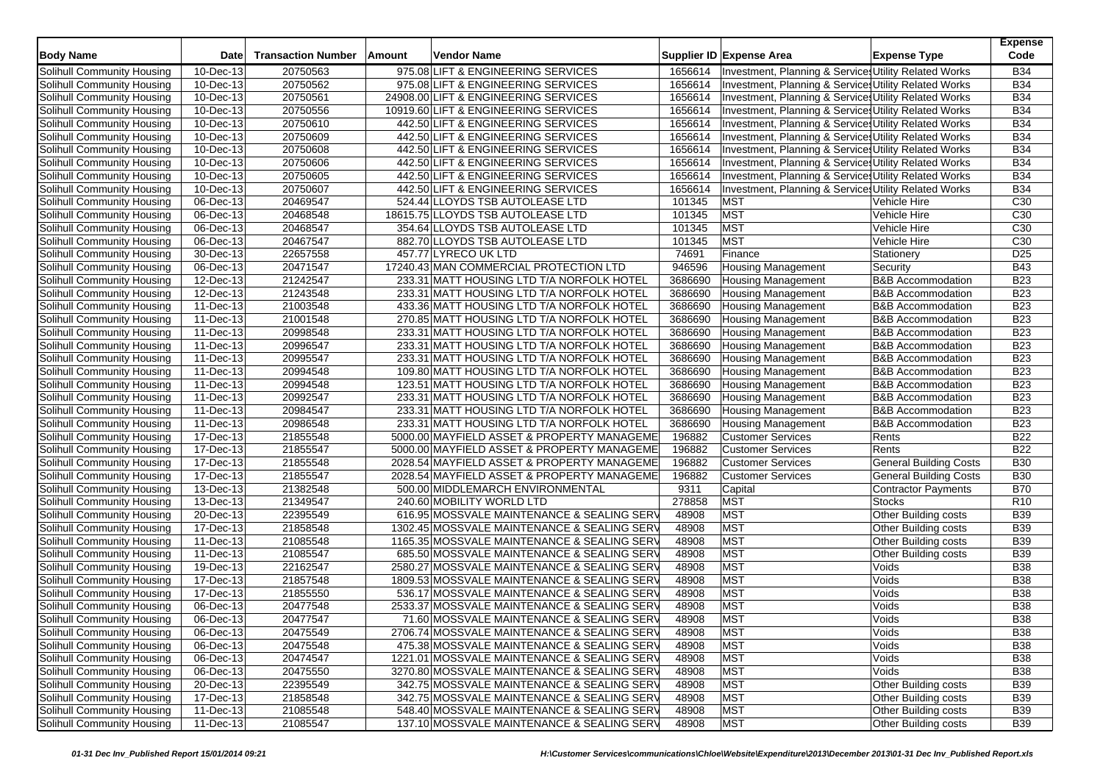| <b>Body Name</b>                  | Date                    | <b>Transaction Number</b> | Amount | Vendor Name                          |                                             |         | Supplier ID Expense Area                              | <b>Expense Type</b>           | <b>Expense</b><br>Code |
|-----------------------------------|-------------------------|---------------------------|--------|--------------------------------------|---------------------------------------------|---------|-------------------------------------------------------|-------------------------------|------------------------|
| Solihull Community Housing        | 10-Dec-13               | 20750563                  |        | 975.08 LIFT & ENGINEERING SERVICES   |                                             | 1656614 | Investment, Planning & Services Utility Related Works |                               | <b>B34</b>             |
| Solihull Community Housing        | 10-Dec-13               | 20750562                  |        | 975.08 LIFT & ENGINEERING SERVICES   |                                             | 1656614 | Investment, Planning & Services Utility Related Works |                               | <b>B34</b>             |
| Solihull Community Housing        | 10-Dec-13               | 20750561                  |        | 24908.00 LIFT & ENGINEERING SERVICES |                                             | 1656614 | Investment, Planning & Services Utility Related Works |                               | <b>B34</b>             |
| Solihull Community Housing        | $\overline{10}$ -Dec-13 | 20750556                  |        | 10919.60 LIFT & ENGINEERING SERVICES |                                             | 1656614 | Investment, Planning & Services Utility Related Works |                               | <b>B34</b>             |
| Solihull Community Housing        | 10-Dec-13               | 20750610                  |        | 442.50 LIFT & ENGINEERING SERVICES   |                                             | 1656614 | Investment, Planning & Services Utility Related Works |                               | <b>B34</b>             |
| Solihull Community Housing        | 10-Dec-13               | 20750609                  |        | 442.50 LIFT & ENGINEERING SERVICES   |                                             | 1656614 | Investment, Planning & Services Utility Related Works |                               | <b>B34</b>             |
| Solihull Community Housing        | 10-Dec-13               | 20750608                  |        | 442.50 LIFT & ENGINEERING SERVICES   |                                             | 1656614 | Investment, Planning & Services Utility Related Works |                               | <b>B34</b>             |
| Solihull Community Housing        | 10-Dec-13               | 20750606                  |        | 442.50 LIFT & ENGINEERING SERVICES   |                                             | 1656614 | Investment, Planning & Services Utility Related Works |                               | <b>B34</b>             |
| Solihull Community Housing        | 10-Dec-13               | 20750605                  |        | 442.50 LIFT & ENGINEERING SERVICES   |                                             | 1656614 | Investment, Planning & Services Utility Related Works |                               | <b>B34</b>             |
| Solihull Community Housing        | $\overline{10}$ -Dec-13 | 20750607                  |        | 442.50 LIFT & ENGINEERING SERVICES   |                                             | 1656614 | Investment, Planning & Services Utility Related Works |                               | <b>B34</b>             |
| Solihull Community Housing        | 06-Dec-13               | 20469547                  |        | 524.44 LLOYDS TSB AUTOLEASE LTD      |                                             | 101345  | <b>MST</b>                                            | Vehicle Hire                  | C30                    |
| Solihull Community Housing        | 06-Dec-13               | 20468548                  |        | 18615.75 LLOYDS TSB AUTOLEASE LTD    |                                             | 101345  | <b>MST</b>                                            | Vehicle Hire                  | C30                    |
| Solihull Community Housing        | 06-Dec-13               | 20468547                  |        | 354.64 LLOYDS TSB AUTOLEASE LTD      |                                             | 101345  | <b>MST</b>                                            | Vehicle Hire                  | C30                    |
| Solihull Community Housing        | 06-Dec-13               | 20467547                  |        | 882.70 LLOYDS TSB AUTOLEASE LTD      |                                             | 101345  | <b>MST</b>                                            | Vehicle Hire                  | C30                    |
| Solihull Community Housing        | 30-Dec-13               | 22657558                  |        | 457.77 LYRECO UK LTD                 |                                             | 74691   | Finance                                               | Stationery                    | D <sub>25</sub>        |
| Solihull Community Housing        | 06-Dec-13               | 20471547                  |        |                                      | 17240.43 MAN COMMERCIAL PROTECTION LTD      | 946596  | <b>Housing Management</b>                             | Security                      | <b>B43</b>             |
| Solihull Community Housing        | 12-Dec-13               | 21242547                  |        |                                      | 233.31 MATT HOUSING LTD T/A NORFOLK HOTEL   | 3686690 | <b>Housing Management</b>                             | <b>B&amp;B</b> Accommodation  | <b>B23</b>             |
| Solihull Community Housing        | 12-Dec-13               | 21243548                  |        |                                      | 233.31 MATT HOUSING LTD T/A NORFOLK HOTEL   | 3686690 | <b>Housing Management</b>                             | <b>B&amp;B Accommodation</b>  | <b>B23</b>             |
| Solihull Community Housing        | 11-Dec-13               | 21003548                  |        |                                      | 433.36 MATT HOUSING LTD T/A NORFOLK HOTEL   | 3686690 | <b>Housing Management</b>                             | <b>B&amp;B</b> Accommodation  | <b>B23</b>             |
| Solihull Community Housing        | 11-Dec-13               | 21001548                  |        |                                      | 270.85 MATT HOUSING LTD T/A NORFOLK HOTEL   | 3686690 | <b>Housing Management</b>                             | <b>B&amp;B Accommodation</b>  | <b>B23</b>             |
| Solihull Community Housing        | 11-Dec-13               | 20998548                  |        |                                      | 233.31 MATT HOUSING LTD T/A NORFOLK HOTEL   | 3686690 | <b>Housing Management</b>                             | <b>B&amp;B Accommodation</b>  | <b>B23</b>             |
| Solihull Community Housing        | 11-Dec-13               | 20996547                  |        |                                      | 233.31 MATT HOUSING LTD T/A NORFOLK HOTEL   | 3686690 | <b>Housing Management</b>                             | <b>B&amp;B Accommodation</b>  | <b>B23</b>             |
| Solihull Community Housing        | 11-Dec-13               | 20995547                  |        |                                      | 233.31 MATT HOUSING LTD T/A NORFOLK HOTEL   | 3686690 | Housing Management                                    | <b>B&amp;B</b> Accommodation  | <b>B23</b>             |
| Solihull Community Housing        | 11-Dec-13               | 20994548                  |        |                                      | 109.80 MATT HOUSING LTD T/A NORFOLK HOTEL   | 3686690 | <b>Housing Management</b>                             | <b>B&amp;B Accommodation</b>  | <b>B23</b>             |
| Solihull Community Housing        | 11-Dec-13               | 20994548                  |        |                                      | 123.51 MATT HOUSING LTD T/A NORFOLK HOTEL   | 3686690 | <b>Housing Management</b>                             | <b>B&amp;B Accommodation</b>  | <b>B23</b>             |
| Solihull Community Housing        | 11-Dec-13               | 20992547                  |        |                                      | 233.31 MATT HOUSING LTD T/A NORFOLK HOTEL   | 3686690 | <b>Housing Management</b>                             | <b>B&amp;B</b> Accommodation  | <b>B23</b>             |
| Solihull Community Housing        | 11-Dec-13               | 20984547                  |        |                                      | 233.31 MATT HOUSING LTD T/A NORFOLK HOTEL   | 3686690 | <b>Housing Management</b>                             | <b>B&amp;B Accommodation</b>  | <b>B23</b>             |
| Solihull Community Housing        | 11-Dec-13               | 20986548                  |        |                                      | 233.31 MATT HOUSING LTD T/A NORFOLK HOTEL   | 3686690 | <b>Housing Management</b>                             | <b>B&amp;B</b> Accommodation  | <b>B23</b>             |
| Solihull Community Housing        | 17-Dec-13               | 21855548                  |        |                                      | 5000.00 MAYFIELD ASSET & PROPERTY MANAGEME  | 196882  | <b>Customer Services</b>                              | Rents                         | <b>B22</b>             |
| Solihull Community Housing        | 17-Dec-13               | 21855547                  |        |                                      | 5000.00 MAYFIELD ASSET & PROPERTY MANAGEME  | 196882  | <b>Customer Services</b>                              | Rents                         | <b>B22</b>             |
| Solihull Community Housing        | 17-Dec-13               | 21855548                  |        |                                      | 2028.54 MAYFIELD ASSET & PROPERTY MANAGEME  | 196882  | <b>Customer Services</b>                              | <b>General Building Costs</b> | <b>B30</b>             |
| Solihull Community Housing        | 17-Dec-13               | 21855547                  |        |                                      | 2028.54 MAYFIELD ASSET & PROPERTY MANAGEME  | 196882  | <b>Customer Services</b>                              | General Building Costs        | <b>B30</b>             |
| Solihull Community Housing        | 13-Dec-13               | 21382548                  |        | 500.00 MIDDLEMARCH ENVIRONMENTAL     |                                             | 9311    | Capital                                               | Contractor Payments           | <b>B70</b>             |
| Solihull Community Housing        | 13-Dec-13               | 21349547                  |        | 240.60 MOBILITY WORLD LTD            |                                             | 278858  | <b>MST</b>                                            | <b>Stocks</b>                 | R <sub>10</sub>        |
| Solihull Community Housing        | 20-Dec-13               | 22395549                  |        |                                      | 616.95 MOSSVALE MAINTENANCE & SEALING SERV  | 48908   | MST                                                   | Other Building costs          | <b>B39</b>             |
| <b>Solihull Community Housing</b> | 17-Dec-13               | 21858548                  |        |                                      | 1302.45 MOSSVALE MAINTENANCE & SEALING SERV | 48908   | <b>MST</b>                                            | Other Building costs          | <b>B39</b>             |
| Solihull Community Housing        | 11-Dec-13               | 21085548                  |        |                                      | 1165.35 MOSSVALE MAINTENANCE & SEALING SERV | 48908   | <b>MST</b>                                            | Other Building costs          | <b>B39</b>             |
| Solihull Community Housing        | 11-Dec-13               | 21085547                  |        |                                      | 685.50 MOSSVALE MAINTENANCE & SEALING SERV  | 48908   | MST                                                   | Other Building costs          | <b>B39</b>             |
| Solihull Community Housing        | 19-Dec-13               | 22162547                  |        |                                      | 2580.27 MOSSVALE MAINTENANCE & SEALING SERV | 48908   | MST                                                   | Voids                         | <b>B38</b>             |
| Solihull Community Housing        | 17-Dec-13               | 21857548                  |        |                                      | 1809.53 MOSSVALE MAINTENANCE & SEALING SERV | 48908   | <b>MST</b>                                            | Voids                         | <b>B38</b>             |
| Solihull Community Housing        | 17-Dec-13               | 21855550                  |        |                                      | 536.17 MOSSVALE MAINTENANCE & SEALING SERV  | 48908   | MST                                                   | Voids                         | <b>B38</b>             |
| Solihull Community Housing        | 06-Dec-13               | 20477548                  |        |                                      | 2533.37 MOSSVALE MAINTENANCE & SEALING SERV | 48908   | <b>MST</b>                                            | Voids                         | <b>B38</b>             |
| Solihull Community Housing        | 06-Dec-13               | 20477547                  |        |                                      | 71.60 MOSSVALE MAINTENANCE & SEALING SERV   | 48908   | <b>MST</b>                                            | Voids                         | <b>B38</b>             |
| Solihull Community Housing        | 06-Dec-13               | 20475549                  |        |                                      | 2706.74 MOSSVALE MAINTENANCE & SEALING SERV | 48908   | <b>MST</b>                                            | Voids                         | <b>B38</b>             |
| Solihull Community Housing        | 06-Dec-13               | 20475548                  |        |                                      | 475.38 MOSSVALE MAINTENANCE & SEALING SERV  | 48908   | <b>MST</b>                                            | Voids                         | <b>B38</b>             |
| Solihull Community Housing        | 06-Dec-13               | 20474547                  |        |                                      | 1221.01 MOSSVALE MAINTENANCE & SEALING SERV | 48908   | MST                                                   | Voids                         | <b>B38</b>             |
| Solihull Community Housing        | 06-Dec-13               | 20475550                  |        |                                      | 3270.80 MOSSVALE MAINTENANCE & SEALING SERV | 48908   | <b>MST</b>                                            | Voids                         | <b>B38</b>             |
| Solihull Community Housing        | 20-Dec-13               | 22395549                  |        |                                      | 342.75 MOSSVALE MAINTENANCE & SEALING SERV  | 48908   | <b>MST</b>                                            | Other Building costs          | <b>B39</b>             |
| Solihull Community Housing        | 17-Dec-13               | 21858548                  |        |                                      | 342.75 MOSSVALE MAINTENANCE & SEALING SERV  | 48908   | <b>MST</b>                                            | Other Building costs          | <b>B39</b>             |
| Solihull Community Housing        | 11-Dec-13               | 21085548                  |        |                                      | 548.40 MOSSVALE MAINTENANCE & SEALING SERV  | 48908   | <b>MST</b>                                            | Other Building costs          | <b>B39</b>             |
| Solihull Community Housing        | 11-Dec-13               | 21085547                  |        |                                      | 137.10 MOSSVALE MAINTENANCE & SEALING SERV  | 48908   | <b>MST</b>                                            | Other Building costs          | <b>B39</b>             |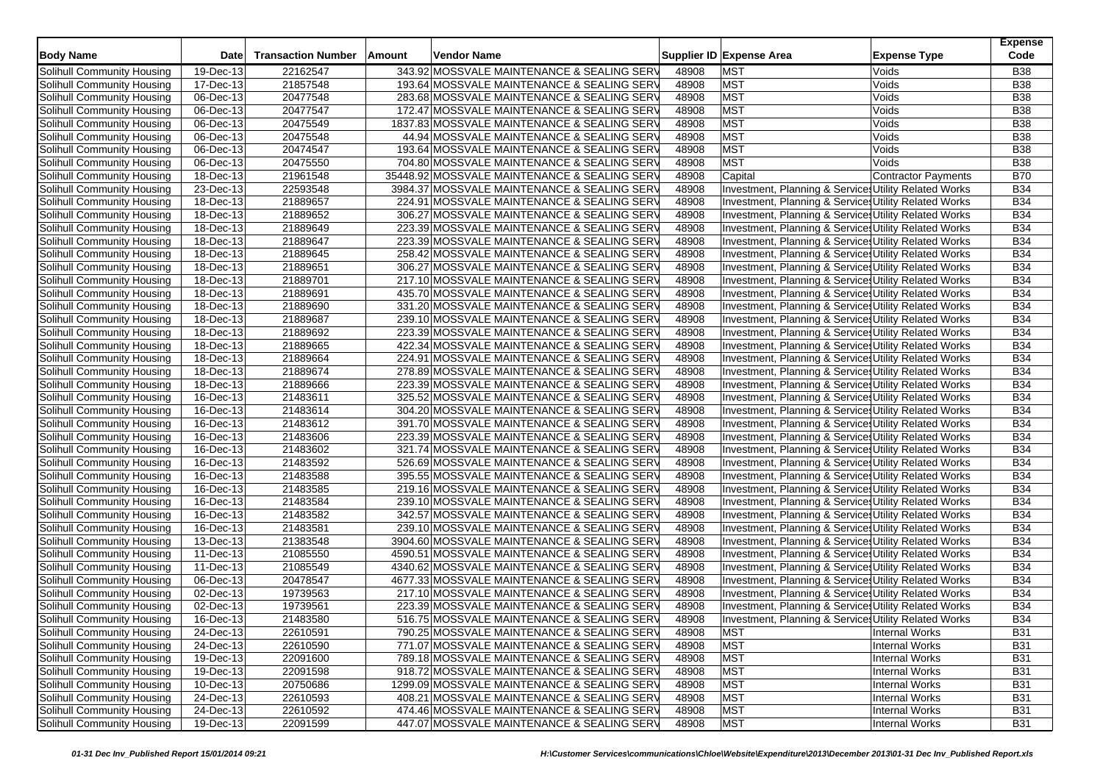| <b>Body Name</b>                                         | Date                    | <b>Transaction Number</b> | Amount | <b>Vendor Name</b>                                                                         |                | Supplier ID Expense Area                                                                                       | <b>Expense Type</b>        | <b>Expense</b><br>Code |
|----------------------------------------------------------|-------------------------|---------------------------|--------|--------------------------------------------------------------------------------------------|----------------|----------------------------------------------------------------------------------------------------------------|----------------------------|------------------------|
| Solihull Community Housing                               | 19-Dec-13               | 22162547                  |        | 343.92 MOSSVALE MAINTENANCE & SEALING SERV                                                 | 48908          | <b>MST</b>                                                                                                     | Voids                      | <b>B38</b>             |
| Solihull Community Housing                               | 17-Dec-13               | 21857548                  |        | 193.64 MOSSVALE MAINTENANCE & SEALING SERV                                                 | 48908          | <b>MST</b>                                                                                                     | Voids                      | <b>B38</b>             |
| Solihull Community Housing                               | 06-Dec-13               | 20477548                  |        | 283.68 MOSSVALE MAINTENANCE & SEALING SERV                                                 | 48908          | <b>MST</b>                                                                                                     | Voids                      | <b>B38</b>             |
| Solihull Community Housing                               | 06-Dec-13               | 20477547                  |        | 172.47 MOSSVALE MAINTENANCE & SEALING SERV                                                 | 48908          | <b>MST</b>                                                                                                     | Voids                      | <b>B38</b>             |
| Solihull Community Housing                               | 06-Dec-13               | 20475549                  |        | 1837.83 MOSSVALE MAINTENANCE & SEALING SERV                                                | 48908          | <b>MST</b>                                                                                                     | Voids                      | <b>B38</b>             |
| Solihull Community Housing                               | 06-Dec-13               | 20475548                  |        | 44.94 MOSSVALE MAINTENANCE & SEALING SERV                                                  | 48908          | <b>MST</b>                                                                                                     | Voids                      | <b>B38</b>             |
| Solihull Community Housing                               | 06-Dec-13               | 20474547                  |        | 193.64 MOSSVALE MAINTENANCE & SEALING SERV                                                 | 48908          | <b>MST</b>                                                                                                     | Voids                      | <b>B38</b>             |
| Solihull Community Housing                               | 06-Dec-13               | 20475550                  |        | 704.80 MOSSVALE MAINTENANCE & SEALING SERV                                                 | 48908          | <b>MST</b>                                                                                                     | Voids                      | <b>B38</b>             |
| Solihull Community Housing                               | 18-Dec-13               | 21961548                  |        | 35448.92 MOSSVALE MAINTENANCE & SEALING SERV                                               | 48908          | Capital                                                                                                        | <b>Contractor Payments</b> | <b>B70</b>             |
| Solihull Community Housing                               | 23-Dec-13               | 22593548                  |        | 3984.37 MOSSVALE MAINTENANCE & SEALING SERV                                                | 48908          | Investment, Planning & Service Utility Related Works                                                           |                            | <b>B34</b>             |
| Solihull Community Housing                               | 18-Dec-13               | 21889657                  |        | 224.91 MOSSVALE MAINTENANCE & SEALING SERV                                                 | 48908          | Investment, Planning & Services Utility Related Works                                                          |                            | <b>B34</b>             |
| Solihull Community Housing                               | 18-Dec-13               | 21889652                  |        | 306.27 MOSSVALE MAINTENANCE & SEALING SERV                                                 | 48908          | Investment, Planning & Services Utility Related Works                                                          |                            | <b>B34</b>             |
| Solihull Community Housing                               | 18-Dec-13               | 21889649                  |        | 223.39 MOSSVALE MAINTENANCE & SEALING SERV                                                 | 48908          | Investment, Planning & Services Utility Related Works                                                          |                            | <b>B34</b>             |
| Solihull Community Housing                               | 18-Dec-13               | 21889647                  |        | 223.39 MOSSVALE MAINTENANCE & SEALING SERV                                                 | 48908          | Investment, Planning & Services Utility Related Works                                                          |                            | <b>B34</b>             |
| Solihull Community Housing                               | 18-Dec-13               | 21889645                  |        | 258.42 MOSSVALE MAINTENANCE & SEALING SERV                                                 | 48908          | Investment, Planning & Services Utility Related Works                                                          |                            | <b>B34</b>             |
| Solihull Community Housing                               | 18-Dec-13               | 21889651                  |        | 306.27 MOSSVALE MAINTENANCE & SEALING SERV                                                 | 48908          | Investment, Planning & Services Utility Related Works                                                          |                            | <b>B34</b>             |
| Solihull Community Housing                               | 18-Dec-13               | 21889701                  |        | 217.10 MOSSVALE MAINTENANCE & SEALING SERV                                                 | 48908          | Investment, Planning & Services Utility Related Works                                                          |                            | <b>B34</b>             |
| Solihull Community Housing                               | 18-Dec-13               | 21889691                  |        | 435.70 MOSSVALE MAINTENANCE & SEALING SERV                                                 | 48908          | Investment, Planning & Services Utility Related Works                                                          |                            | <b>B34</b>             |
| Solihull Community Housing                               | 18-Dec-13               | 21889690                  |        | 331.20 MOSSVALE MAINTENANCE & SEALING SERV                                                 | 48908          | Investment, Planning & Services Utility Related Works                                                          |                            | <b>B34</b>             |
| Solihull Community Housing                               | 18-Dec-13               | 21889687                  |        | 239.10 MOSSVALE MAINTENANCE & SEALING SERV                                                 | 48908          | Investment, Planning & Services Utility Related Works                                                          |                            | <b>B34</b>             |
| Solihull Community Housing                               | 18-Dec-13               | 21889692                  |        | 223.39 MOSSVALE MAINTENANCE & SEALING SERV                                                 | 48908          | Investment, Planning & Service, Utility Related Works                                                          |                            | <b>B34</b>             |
| Solihull Community Housing                               | 18-Dec-13               | 21889665                  |        | 422.34 MOSSVALE MAINTENANCE & SEALING SERV                                                 | 48908          | Investment, Planning & Services Utility Related Works                                                          |                            | <b>B34</b>             |
| Solihull Community Housing                               | 18-Dec-13               | 21889664                  |        | 224.91 MOSSVALE MAINTENANCE & SEALING SERV                                                 | 48908          | Investment, Planning & Services Utility Related Works                                                          |                            | <b>B34</b>             |
| Solihull Community Housing                               | 18-Dec-13               | 21889674                  |        | 278.89 MOSSVALE MAINTENANCE & SEALING SERV                                                 | 48908          | Investment, Planning & Services Utility Related Works                                                          |                            | <b>B34</b>             |
| Solihull Community Housing                               | 18-Dec-13               | 21889666                  |        | 223.39 MOSSVALE MAINTENANCE & SEALING SERV                                                 | 48908          | Investment, Planning & Services Utility Related Works                                                          |                            | <b>B34</b>             |
| Solihull Community Housing                               | 16-Dec-13               | 21483611                  |        | 325.52 MOSSVALE MAINTENANCE & SEALING SERV                                                 | 48908          | Investment, Planning & Services Utility Related Works                                                          |                            | <b>B34</b>             |
| Solihull Community Housing                               | 16-Dec-13               | 21483614                  |        | 304.20 MOSSVALE MAINTENANCE & SEALING SERV                                                 | 48908          | Investment, Planning & Services Utility Related Works                                                          |                            | <b>B34</b>             |
| Solihull Community Housing                               | 16-Dec-13               | 21483612                  |        | 391.70 MOSSVALE MAINTENANCE & SEALING SERV                                                 | 48908          | Investment, Planning & Services Utility Related Works                                                          |                            | <b>B34</b>             |
| Solihull Community Housing                               | 16-Dec-13               | 21483606                  |        | 223.39 MOSSVALE MAINTENANCE & SEALING SERV                                                 | 48908          | Investment, Planning & Services Utility Related Works                                                          |                            | <b>B34</b>             |
| Solihull Community Housing                               | 16-Dec-13               | 21483602                  |        | 321.74 MOSSVALE MAINTENANCE & SEALING SERV                                                 | 48908          | Investment, Planning & Services Utility Related Works                                                          |                            | <b>B34</b>             |
| Solihull Community Housing                               | 16-Dec-13               | 21483592                  |        | 526.69 MOSSVALE MAINTENANCE & SEALING SERV                                                 | 48908          |                                                                                                                |                            | <b>B34</b>             |
|                                                          |                         | 21483588                  |        | 395.55 MOSSVALE MAINTENANCE & SEALING SERV                                                 |                | Investment, Planning & Services Utility Related Works                                                          |                            | <b>B34</b>             |
| Solihull Community Housing<br>Solihull Community Housing | 16-Dec-13<br>16-Dec-13  | 21483585                  |        | 219.16 MOSSVALE MAINTENANCE & SEALING SERV                                                 | 48908<br>48908 | Investment, Planning & Services Utility Related Works                                                          |                            | <b>B34</b>             |
| Solihull Community Housing                               | 16-Dec-13               | 21483584                  |        | 239.10 MOSSVALE MAINTENANCE & SEALING SERV                                                 | 48908          | Investment, Planning & Services Utility Related Works<br>Investment, Planning & Services Utility Related Works |                            | <b>B34</b>             |
|                                                          |                         | 21483582                  |        | 342.57 MOSSVALE MAINTENANCE & SEALING SERV                                                 | 48908          |                                                                                                                |                            | <b>B34</b>             |
| Solihull Community Housing                               | 16-Dec-13<br>16-Dec-13  | 21483581                  |        | 239.10 MOSSVALE MAINTENANCE & SEALING SERV                                                 | 48908          | Investment, Planning & Services Utility Related Works                                                          |                            | <b>B34</b>             |
| Solihull Community Housing<br>Solihull Community Housing | 13-Dec-13               | 21383548                  |        | 3904.60 MOSSVALE MAINTENANCE & SEALING SERV                                                | 48908          | Investment, Planning & Services Utility Related Works                                                          |                            | <b>B34</b>             |
| Solihull Community Housing                               |                         |                           |        |                                                                                            |                | Investment, Planning & Services Utility Related Works                                                          |                            | <b>B34</b>             |
|                                                          | 11-Dec-13<br>11-Dec-13  | 21085550<br>21085549      |        | 4590.51 MOSSVALE MAINTENANCE & SEALING SERV<br>4340.62 MOSSVALE MAINTENANCE & SEALING SERV | 48908<br>48908 | Investment, Planning & Services Utility Related Works<br>Investment, Planning & Services Utility Related Works |                            | <b>B34</b>             |
| Solihull Community Housing<br>Solihull Community Housing | $\overline{06}$ -Dec-13 | 20478547                  |        | 4677.33 MOSSVALE MAINTENANCE & SEALING SERV                                                | 48908          |                                                                                                                |                            | <b>B34</b>             |
|                                                          | 02-Dec-13               | 19739563                  |        | 217.10 MOSSVALE MAINTENANCE & SEALING SERV                                                 | 48908          | Investment, Planning & Services Utility Related Works                                                          |                            | <b>B34</b>             |
| Solihull Community Housing<br>Solihull Community Housing |                         |                           |        |                                                                                            |                | Investment, Planning & Services Utility Related Works                                                          |                            | <b>B34</b>             |
|                                                          | 02-Dec-13               | 19739561                  |        | 223.39 MOSSVALE MAINTENANCE & SEALING SERV                                                 | 48908          | Investment, Planning & Services Utility Related Works                                                          |                            | <b>B34</b>             |
| Solihull Community Housing<br>Solihull Community Housing | 16-Dec-13               | 21483580                  |        | 516.75 MOSSVALE MAINTENANCE & SEALING SERV                                                 | 48908          | Investment, Planning & Services Utility Related Works                                                          |                            |                        |
|                                                          | 24-Dec-13               | 22610591                  |        | 790.25 MOSSVALE MAINTENANCE & SEALING SERV                                                 | 48908          | <b>MST</b>                                                                                                     | Internal Works             | <b>B31</b>             |
| Solihull Community Housing<br>Solihull Community Housing | 24-Dec-13<br>19-Dec-13  | 22610590<br>22091600      |        | 771.07 MOSSVALE MAINTENANCE & SEALING SERV                                                 | 48908          | <b>MST</b>                                                                                                     | Internal Works             | <b>B31</b>             |
|                                                          |                         |                           |        | 789.18 MOSSVALE MAINTENANCE & SEALING SERV                                                 | 48908          | <b>MST</b>                                                                                                     | <b>Internal Works</b>      | <b>B31</b>             |
| Solihull Community Housing                               | 19-Dec-13               | 22091598                  |        | 918.72 MOSSVALE MAINTENANCE & SEALING SERV<br>1299.09 MOSSVALE MAINTENANCE & SEALING SERV  | 48908          | <b>MST</b>                                                                                                     | Internal Works             | <b>B31</b>             |
| Solihull Community Housing                               | 10-Dec-13               | 20750686                  |        |                                                                                            | 48908          | <b>MST</b>                                                                                                     | <b>Internal Works</b>      | <b>B31</b>             |
| Solihull Community Housing                               | 24-Dec-13               | 22610593                  |        | 408.21 MOSSVALE MAINTENANCE & SEALING SERV                                                 | 48908          | <b>MST</b>                                                                                                     | <b>Internal Works</b>      | <b>B31</b>             |
| Solihull Community Housing                               | 24-Dec-13               | 22610592                  |        | 474.46 MOSSVALE MAINTENANCE & SEALING SERV                                                 | 48908          | <b>MST</b>                                                                                                     | Internal Works             | <b>B31</b>             |
| Solihull Community Housing                               | 19-Dec-13               | 22091599                  |        | 447.07 MOSSVALE MAINTENANCE & SEALING SERV                                                 | 48908          | MST                                                                                                            | Internal Works             | <b>B31</b>             |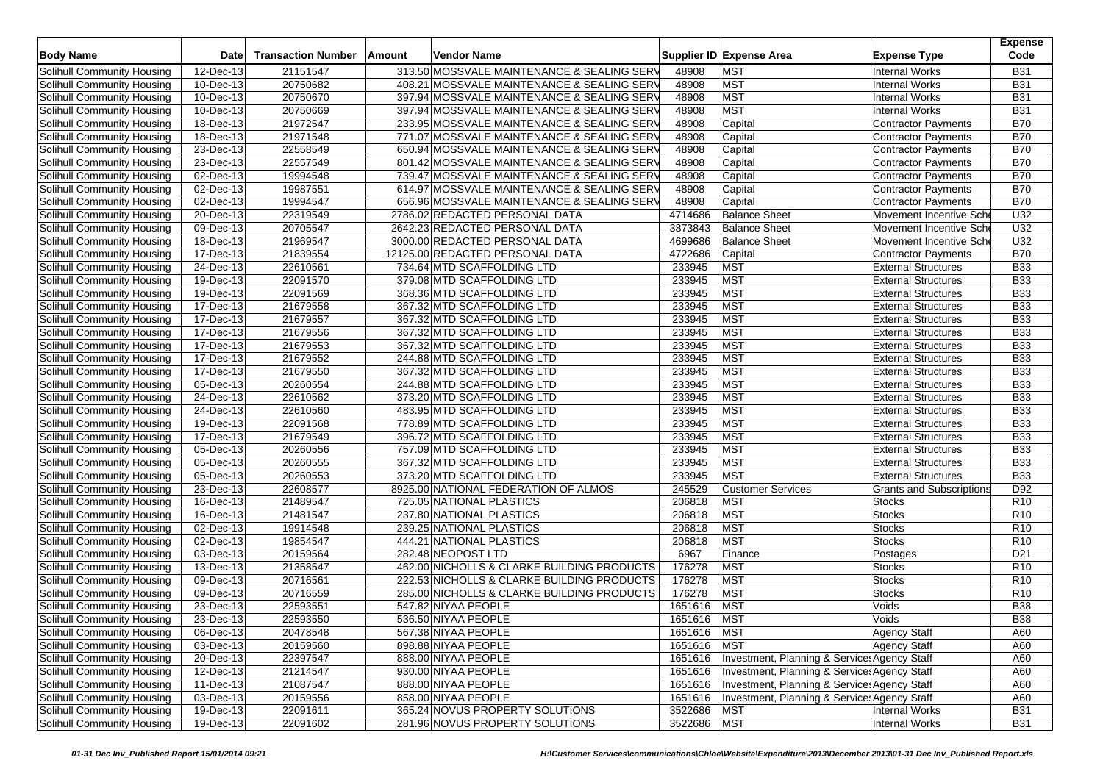| <b>Body Name</b>                  | Date                    | <b>Transaction Number</b> | Amount | <b>Vendor Name</b>                         |             | Supplier ID Expense Area                               | <b>Expense Type</b>             | <b>Expense</b><br>Code |
|-----------------------------------|-------------------------|---------------------------|--------|--------------------------------------------|-------------|--------------------------------------------------------|---------------------------------|------------------------|
| Solihull Community Housing        | 12-Dec-13               | 21151547                  |        | 313.50 MOSSVALE MAINTENANCE & SEALING SERV | 48908       | <b>MST</b>                                             | <b>Internal Works</b>           | <b>B31</b>             |
| Solihull Community Housing        | 10-Dec-13               | 20750682                  |        | 408.21 MOSSVALE MAINTENANCE & SEALING SERV | 48908       | MST                                                    | <b>Internal Works</b>           | <b>B31</b>             |
| Solihull Community Housing        | 10-Dec-13               | 20750670                  |        | 397.94 MOSSVALE MAINTENANCE & SEALING SERV | 48908       | <b>MST</b>                                             | <b>Internal Works</b>           | <b>B31</b>             |
| Solihull Community Housing        | 10-Dec-13               | 20750669                  |        | 397.94 MOSSVALE MAINTENANCE & SEALING SERV | 48908       | <b>MST</b>                                             | <b>Internal Works</b>           | <b>B31</b>             |
| Solihull Community Housing        | $18 - Dec-13$           | 21972547                  |        | 233.95 MOSSVALE MAINTENANCE & SEALING SERV | 48908       | Capital                                                | <b>Contractor Payments</b>      | <b>B70</b>             |
| Solihull Community Housing        | 18-Dec-13               | 21971548                  |        | 771.07 MOSSVALE MAINTENANCE & SEALING SERV | 48908       | Capital                                                | <b>Contractor Payments</b>      | <b>B70</b>             |
| Solihull Community Housing        | 23-Dec-13               | 22558549                  |        | 650.94 MOSSVALE MAINTENANCE & SEALING SERV | 48908       | Capital                                                | <b>Contractor Payments</b>      | <b>B70</b>             |
| Solihull Community Housing        | 23-Dec-13               | 22557549                  |        | 801.42 MOSSVALE MAINTENANCE & SEALING SERV | 48908       | Capital                                                | <b>Contractor Payments</b>      | <b>B70</b>             |
| Solihull Community Housing        | 02-Dec-13               | 19994548                  |        | 739.47 MOSSVALE MAINTENANCE & SEALING SERV | 48908       | Capital                                                | <b>Contractor Payments</b>      | <b>B70</b>             |
| Solihull Community Housing        | 02-Dec-13               | 19987551                  |        | 614.97 MOSSVALE MAINTENANCE & SEALING SERV | 48908       | Capital                                                | Contractor Payments             | <b>B70</b>             |
| Solihull Community Housing        | 02-Dec-13               | 19994547                  |        | 656.96 MOSSVALE MAINTENANCE & SEALING SERV | 48908       | Capital                                                | <b>Contractor Payments</b>      | <b>B70</b>             |
| Solihull Community Housing        | 20-Dec-13               | 22319549                  |        | 2786.02 REDACTED PERSONAL DATA             | 4714686     | <b>Balance Sheet</b>                                   | Movement Incentive Sch          | U32                    |
| Solihull Community Housing        | 09-Dec-13               | 20705547                  |        | 2642.23 REDACTED PERSONAL DATA             | 3873843     | <b>Balance Sheet</b>                                   | Movement Incentive Sch          | U32                    |
| Solihull Community Housing        | 18-Dec-13               | 21969547                  |        | 3000.00 REDACTED PERSONAL DATA             | 4699686     | <b>Balance Sheet</b>                                   | Movement Incentive Sche         | U32                    |
| Solihull Community Housing        | 17-Dec-13               | 21839554                  |        | 12125.00 REDACTED PERSONAL DATA            | 4722686     | Capital                                                | <b>Contractor Payments</b>      | <b>B70</b>             |
| Solihull Community Housing        | $\overline{24}$ -Dec-13 | 22610561                  |        | 734.64 MTD SCAFFOLDING LTD                 | 233945      | <b>MST</b>                                             | <b>External Structures</b>      | <b>B33</b>             |
| Solihull Community Housing        | 19-Dec-13               | 22091570                  |        | 379.08 MTD SCAFFOLDING LTD                 | 233945      | <b>MST</b>                                             | <b>External Structures</b>      | <b>B33</b>             |
| Solihull Community Housing        | 19-Dec-13               | 22091569                  |        | 368.36 MTD SCAFFOLDING LTD                 | 233945      | <b>MST</b>                                             | <b>External Structures</b>      | <b>B33</b>             |
| Solihull Community Housing        | 17-Dec-13               | 21679558                  |        | 367.32 MTD SCAFFOLDING LTD                 | 233945      | <b>MST</b>                                             | <b>External Structures</b>      | <b>B33</b>             |
| Solihull Community Housing        | 17-Dec-13               | 21679557                  |        | 367.32 MTD SCAFFOLDING LTD                 | 233945      | <b>MST</b>                                             | <b>External Structures</b>      | <b>B33</b>             |
| Solihull Community Housing        | $17 - Dec-13$           | 21679556                  |        | 367.32 MTD SCAFFOLDING LTD                 | 233945      | <b>MST</b>                                             | <b>External Structures</b>      | <b>B33</b>             |
| Solihull Community Housing        | 17-Dec-13               | 21679553                  |        | 367.32 MTD SCAFFOLDING LTD                 | 233945      | <b>MST</b>                                             | <b>External Structures</b>      | <b>B33</b>             |
| Solihull Community Housing        | 17-Dec-13               | 21679552                  |        | 244.88 MTD SCAFFOLDING LTD                 | 233945      | <b>MST</b>                                             | <b>External Structures</b>      | <b>B33</b>             |
| Solihull Community Housing        | 17-Dec-13               | 21679550                  |        | 367.32 MTD SCAFFOLDING LTD                 | 233945      | <b>MST</b>                                             | <b>External Structures</b>      | <b>B33</b>             |
| Solihull Community Housing        | 05-Dec-13               | 20260554                  |        | 244.88 MTD SCAFFOLDING LTD                 | 233945      | <b>MST</b>                                             | <b>External Structures</b>      | <b>B33</b>             |
| Solihull Community Housing        | 24-Dec-13               | 22610562                  |        | 373.20 MTD SCAFFOLDING LTD                 | 233945      | <b>MST</b>                                             | <b>External Structures</b>      | <b>B33</b>             |
| Solihull Community Housing        | 24-Dec-13               | 22610560                  |        | 483.95 MTD SCAFFOLDING LTD                 | 233945      | <b>MST</b>                                             | <b>External Structures</b>      | <b>B33</b>             |
| Solihull Community Housing        | 19-Dec-13               | 22091568                  |        | 778.89 MTD SCAFFOLDING LTD                 | 233945      | <b>MST</b>                                             | <b>External Structures</b>      | <b>B33</b>             |
| Solihull Community Housing        | 17-Dec-13               | 21679549                  |        | 396.72 MTD SCAFFOLDING LTD                 | 233945      | <b>MST</b>                                             | <b>External Structures</b>      | <b>B33</b>             |
| Solihull Community Housing        | 05-Dec-13               | 20260556                  |        | 757.09 MTD SCAFFOLDING LTD                 | 233945      | <b>MST</b>                                             | <b>External Structures</b>      | <b>B33</b>             |
| Solihull Community Housing        | 05-Dec-13               | 20260555                  |        | 367.32 MTD SCAFFOLDING LTD                 | 233945      | <b>MST</b>                                             | <b>External Structures</b>      | <b>B33</b>             |
| Solihull Community Housing        | 05-Dec-13               | 20260553                  |        | 373.20 MTD SCAFFOLDING LTD                 | 233945      | <b>MST</b>                                             | <b>External Structures</b>      | <b>B33</b>             |
| Solihull Community Housing        | 23-Dec-13               | 22608577                  |        | 8925.00 NATIONAL FEDERATION OF ALMOS       | 245529      | <b>Customer Services</b>                               | <b>Grants and Subscriptions</b> | D92                    |
| Solihull Community Housing        | 16-Dec-13               | 21489547                  |        | 725.05 NATIONAL PLASTICS                   | 206818      | <b>MST</b>                                             | <b>Stocks</b>                   | R <sub>10</sub>        |
| Solihull Community Housing        | 16-Dec-13               | 21481547                  |        | 237.80 NATIONAL PLASTICS                   | 206818      | <b>MST</b>                                             | <b>Stocks</b>                   | R <sub>10</sub>        |
| <b>Solihull Community Housing</b> | 02-Dec-13               | 19914548                  |        | 239.25 NATIONAL PLASTICS                   | 206818      | <b>MST</b>                                             | <b>Stocks</b>                   | R <sub>10</sub>        |
| Solihull Community Housing        | 02-Dec-13               | 19854547                  |        | 444.21 NATIONAL PLASTICS                   | 206818      | <b>MST</b>                                             | <b>Stocks</b>                   | R <sub>10</sub>        |
| Solihull Community Housing        | 03-Dec-13               | 20159564                  |        | 282.48 NEOPOST LTD                         | 6967        | Finance                                                | Postages                        | D <sub>21</sub>        |
| Solihull Community Housing        | 13-Dec-13               | 21358547                  |        | 462.00 NICHOLLS & CLARKE BUILDING PRODUCTS | 176278      | <b>MST</b>                                             | <b>Stocks</b>                   | R <sub>10</sub>        |
| Solihull Community Housing        | 09-Dec-13               | 20716561                  |        | 222.53 NICHOLLS & CLARKE BUILDING PRODUCTS | 176278      | <b>MST</b>                                             | <b>Stocks</b>                   | R <sub>10</sub>        |
| Solihull Community Housing        | 09-Dec-13               | 20716559                  |        | 285.00 NICHOLLS & CLARKE BUILDING PRODUCTS | 176278      | <b>MST</b>                                             | <b>Stocks</b>                   | R <sub>10</sub>        |
| Solihull Community Housing        | 23-Dec-13               | 22593551                  |        | 547.82 NIYAA PEOPLE                        | 1651616     | MST                                                    | Voids                           | <b>B38</b>             |
| Solihull Community Housing        | 23-Dec-13               | 22593550                  |        | 536.50 NIYAA PEOPLE                        | 1651616     | <b>MST</b>                                             | Voids                           | <b>B38</b>             |
| Solihull Community Housing        | 06-Dec-13               | 20478548                  |        | 567.38 NIYAA PEOPLE                        | 1651616 MST |                                                        | <b>Agency Staff</b>             | A60                    |
| Solihull Community Housing        | 03-Dec-13               | 20159560                  |        | 898.88 NIYAA PEOPLE                        | 1651616 MST |                                                        | <b>Agency Staff</b>             | A60                    |
| Solihull Community Housing        | 20-Dec-13               | 22397547                  |        | 888.00 NIYAA PEOPLE                        |             | 1651616   Investment, Planning & Service Agency Staff  |                                 | A60                    |
| Solihull Community Housing        | 12-Dec-13               | 21214547                  |        | 930.00 NIYAA PEOPLE                        |             | 1651616   Investment, Planning & Service Agency Staff  |                                 | A60                    |
| Solihull Community Housing        | 11-Dec-13               | 21087547                  |        | 888.00 NIYAA PEOPLE                        |             | 1651616   Investment, Planning & Services Agency Staff |                                 | A60                    |
| Solihull Community Housing        | 03-Dec-13               | 20159556                  |        | 858.00 NIYAA PEOPLE                        |             | 1651616   Investment, Planning & Services Agency Staff |                                 | A60                    |
| Solihull Community Housing        | 19-Dec-13               | 22091611                  |        | 365.24 NOVUS PROPERTY SOLUTIONS            | 3522686 MST |                                                        | Internal Works                  | <b>B31</b>             |
| Solihull Community Housing        | 19-Dec-13               | 22091602                  |        | 281.96 NOVUS PROPERTY SOLUTIONS            | 3522686 MST |                                                        | <b>Internal Works</b>           | <b>B31</b>             |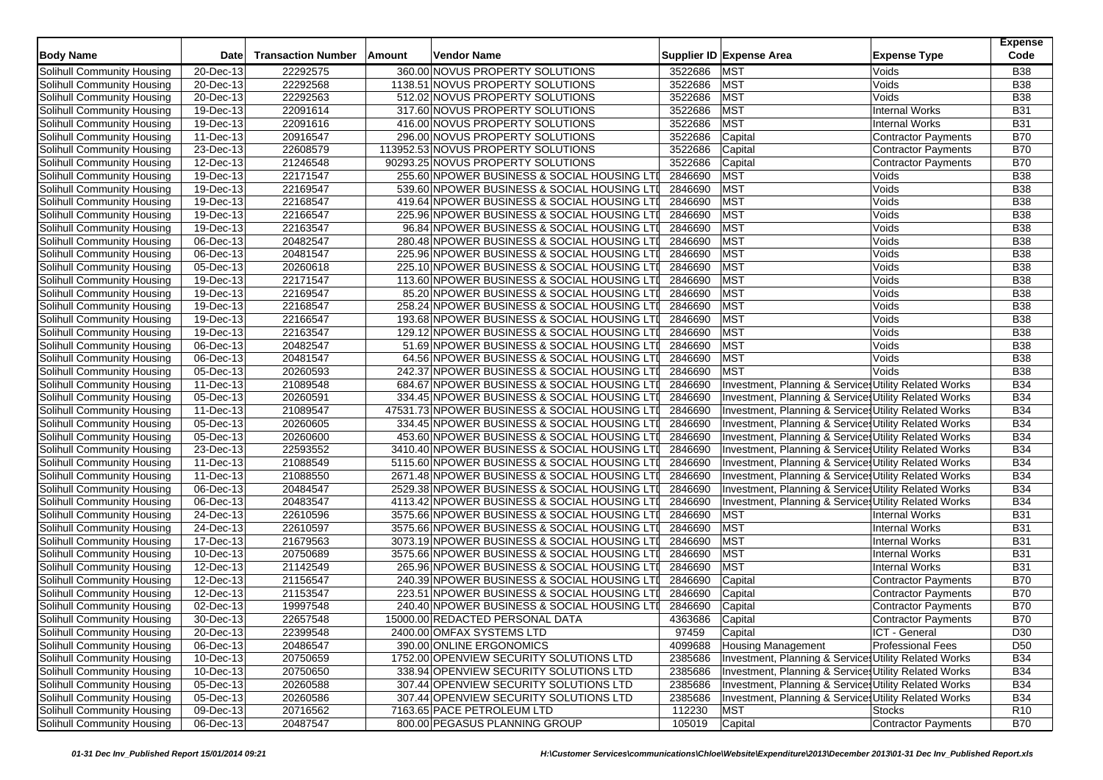| <b>Body Name</b>           | Date                    | <b>Transaction Number</b> | Amount | <b>Vendor Name</b>                            |         | Supplier ID Expense Area                              | <b>Expense Type</b>        | <b>Expense</b><br>Code |
|----------------------------|-------------------------|---------------------------|--------|-----------------------------------------------|---------|-------------------------------------------------------|----------------------------|------------------------|
| Solihull Community Housing | $\overline{20}$ -Dec-13 | 22292575                  |        | 360.00 NOVUS PROPERTY SOLUTIONS               | 3522686 | <b>MST</b>                                            | Voids                      | <b>B38</b>             |
| Solihull Community Housing | 20-Dec-13               | 22292568                  |        | 1138.51 NOVUS PROPERTY SOLUTIONS              | 3522686 | <b>MST</b>                                            | Voids                      | <b>B38</b>             |
| Solihull Community Housing | 20-Dec-13               | 22292563                  |        | 512.02 NOVUS PROPERTY SOLUTIONS               | 3522686 | <b>MST</b>                                            | Voids                      | <b>B38</b>             |
| Solihull Community Housing | 19-Dec-13               | 22091614                  |        | 317.60 NOVUS PROPERTY SOLUTIONS               | 3522686 | <b>MST</b>                                            | <b>Internal Works</b>      | <b>B31</b>             |
| Solihull Community Housing | 19-Dec-13               | 22091616                  |        | 416.00 NOVUS PROPERTY SOLUTIONS               | 3522686 | <b>MST</b>                                            | <b>Internal Works</b>      | <b>B31</b>             |
| Solihull Community Housing | 11-Dec-13               | 20916547                  |        | 296.00 NOVUS PROPERTY SOLUTIONS               | 3522686 | Capital                                               | <b>Contractor Payments</b> | <b>B70</b>             |
| Solihull Community Housing | 23-Dec-13               | 22608579                  |        | 113952.53 NOVUS PROPERTY SOLUTIONS            | 3522686 | Capital                                               | Contractor Payments        | <b>B70</b>             |
| Solihull Community Housing | 12-Dec-13               | 21246548                  |        | 90293.25 NOVUS PROPERTY SOLUTIONS             | 3522686 | Capital                                               | <b>Contractor Payments</b> | <b>B70</b>             |
| Solihull Community Housing | 19-Dec-13               | 22171547                  |        | 255.60 NPOWER BUSINESS & SOCIAL HOUSING LTI   | 2846690 | MST                                                   | Voids                      | <b>B38</b>             |
| Solihull Community Housing | 19-Dec-13               | 22169547                  |        | 539.60 NPOWER BUSINESS & SOCIAL HOUSING LTI   | 2846690 | <b>MST</b>                                            | Voids                      | <b>B38</b>             |
| Solihull Community Housing | 19-Dec-13               | 22168547                  |        | 419.64 NPOWER BUSINESS & SOCIAL HOUSING LTI   | 2846690 | <b>MST</b>                                            | Voids                      | <b>B38</b>             |
| Solihull Community Housing | $\overline{19}$ -Dec-13 | 22166547                  |        | 225.96 NPOWER BUSINESS & SOCIAL HOUSING LTI   | 2846690 | <b>MST</b>                                            | Voids                      | <b>B38</b>             |
|                            | 19-Dec-13               | 22163547                  |        | 96.84 NPOWER BUSINESS & SOCIAL HOUSING LTI    | 2846690 | <b>MST</b>                                            | Voids                      | <b>B38</b>             |
| Solihull Community Housing |                         | 20482547                  |        |                                               | 2846690 | MST                                                   |                            | <b>B38</b>             |
| Solihull Community Housing | 06-Dec-13               | 20481547                  |        | 280.48 NPOWER BUSINESS & SOCIAL HOUSING LTI   | 2846690 | <b>MST</b>                                            | Voids                      | <b>B38</b>             |
| Solihull Community Housing | 06-Dec-13               |                           |        | 225.96 NPOWER BUSINESS & SOCIAL HOUSING LTI   |         |                                                       | Voids                      |                        |
| Solihull Community Housing | 05-Dec-13               | 20260618                  |        | 225.10 NPOWER BUSINESS & SOCIAL HOUSING LTI   | 2846690 | <b>MST</b>                                            | Voids                      | <b>B38</b>             |
| Solihull Community Housing | 19-Dec-13               | 22171547                  |        | 113.60 NPOWER BUSINESS & SOCIAL HOUSING LTI   | 2846690 | <b>MST</b>                                            | Voids                      | <b>B38</b>             |
| Solihull Community Housing | 19-Dec-13               | 22169547                  |        | 85.20 NPOWER BUSINESS & SOCIAL HOUSING LTI    | 2846690 | <b>MST</b>                                            | Voids                      | <b>B38</b>             |
| Solihull Community Housing | 19-Dec-13               | 22168547                  |        | 258.24 NPOWER BUSINESS & SOCIAL HOUSING LTI   | 2846690 | <b>MST</b>                                            | Voids                      | <b>B38</b>             |
| Solihull Community Housing | 19-Dec-13               | 22166547                  |        | 193.68 NPOWER BUSINESS & SOCIAL HOUSING LTI   | 2846690 | <b>MST</b>                                            | Voids                      | <b>B38</b>             |
| Solihull Community Housing | $\overline{19}$ -Dec-13 | 22163547                  |        | 129.12 NPOWER BUSINESS & SOCIAL HOUSING LTI   | 2846690 | <b>MST</b>                                            | Voids                      | <b>B38</b>             |
| Solihull Community Housing | 06-Dec-13               | 20482547                  |        | 51.69 NPOWER BUSINESS & SOCIAL HOUSING LTI    | 2846690 | <b>MST</b>                                            | Voids                      | <b>B38</b>             |
| Solihull Community Housing | 06-Dec-13               | 20481547                  |        | 64.56 NPOWER BUSINESS & SOCIAL HOUSING LTI    | 2846690 | MST                                                   | Voids                      | <b>B38</b>             |
| Solihull Community Housing | 05-Dec-13               | 20260593                  |        | 242.37 NPOWER BUSINESS & SOCIAL HOUSING LTI   | 2846690 | <b>MST</b>                                            | Voids                      | <b>B38</b>             |
| Solihull Community Housing | $\overline{11}$ -Dec-13 | 21089548                  |        | 684.67 NPOWER BUSINESS & SOCIAL HOUSING LTI   | 2846690 | Investment, Planning & Services Utility Related Works |                            | <b>B34</b>             |
| Solihull Community Housing | 05-Dec-13               | 20260591                  |        | 334.45 NPOWER BUSINESS & SOCIAL HOUSING LTI   | 2846690 | Investment, Planning & Services Utility Related Works |                            | <b>B34</b>             |
| Solihull Community Housing | 11-Dec-13               | 21089547                  |        | 47531.73 NPOWER BUSINESS & SOCIAL HOUSING LTI | 2846690 | Investment, Planning & Services Utility Related Works |                            | <b>B34</b>             |
| Solihull Community Housing | 05-Dec-13               | 20260605                  |        | 334.45 NPOWER BUSINESS & SOCIAL HOUSING LTI   | 2846690 | Investment, Planning & Services Utility Related Works |                            | <b>B34</b>             |
| Solihull Community Housing | 05-Dec-13               | 20260600                  |        | 453.60 NPOWER BUSINESS & SOCIAL HOUSING LTI   | 2846690 | Investment, Planning & Services Utility Related Works |                            | <b>B34</b>             |
| Solihull Community Housing | 23-Dec-13               | 22593552                  |        | 3410.40 NPOWER BUSINESS & SOCIAL HOUSING LTI  | 2846690 | Investment, Planning & Services Utility Related Works |                            | <b>B34</b>             |
| Solihull Community Housing | 11-Dec-13               | 21088549                  |        | 5115.60 NPOWER BUSINESS & SOCIAL HOUSING LTI  | 2846690 | Investment, Planning & Services Utility Related Works |                            | <b>B34</b>             |
| Solihull Community Housing | 11-Dec-13               | 21088550                  |        | 2671.48 NPOWER BUSINESS & SOCIAL HOUSING LTI  | 2846690 | Investment, Planning & Services Utility Related Works |                            | <b>B34</b>             |
| Solihull Community Housing | 06-Dec-13               | 20484547                  |        | 2529.38 NPOWER BUSINESS & SOCIAL HOUSING LTI  | 2846690 | Investment, Planning & Services Utility Related Works |                            | <b>B34</b>             |
| Solihull Community Housing | 06-Dec-13               | 20483547                  |        | 4113.42 NPOWER BUSINESS & SOCIAL HOUSING LTI  | 2846690 | Investment, Planning & Service Utility Related Works  |                            | <b>B34</b>             |
| Solihull Community Housing | 24-Dec-13               | 22610596                  |        | 3575.66 NPOWER BUSINESS & SOCIAL HOUSING LTI  | 2846690 | <b>MST</b>                                            | <b>Internal Works</b>      | <b>B31</b>             |
| Solihull Community Housing | 24-Dec-13               | 22610597                  |        | 3575.66 NPOWER BUSINESS & SOCIAL HOUSING LTI  | 2846690 | <b>MST</b>                                            | <b>Internal Works</b>      | <b>B31</b>             |
| Solihull Community Housing | $\overline{17}$ -Dec-13 | 21679563                  |        | 3073.19 NPOWER BUSINESS & SOCIAL HOUSING LTI  | 2846690 | <b>MST</b>                                            | <b>Internal Works</b>      | <b>B31</b>             |
| Solihull Community Housing | 10-Dec-13               | 20750689                  |        | 3575.66 NPOWER BUSINESS & SOCIAL HOUSING LTI  | 2846690 | <b>MST</b>                                            | <b>Internal Works</b>      | <b>B31</b>             |
| Solihull Community Housing | 12-Dec-13               | 21142549                  |        | 265.96 NPOWER BUSINESS & SOCIAL HOUSING LTI   | 2846690 | MST                                                   | <b>Internal Works</b>      | <b>B31</b>             |
| Solihull Community Housing | 12-Dec-13               | 21156547                  |        | 240.39 NPOWER BUSINESS & SOCIAL HOUSING LTI   | 2846690 | Capital                                               | <b>Contractor Payments</b> | <b>B70</b>             |
| Solihull Community Housing | 12-Dec-13               | 21153547                  |        | 223.51 NPOWER BUSINESS & SOCIAL HOUSING LTI   | 2846690 | Capital                                               | <b>Contractor Payments</b> | <b>B70</b>             |
| Solihull Community Housing | 02-Dec-13               | 19997548                  |        | 240.40 NPOWER BUSINESS & SOCIAL HOUSING LTI   | 2846690 | Capital                                               | <b>Contractor Payments</b> | <b>B70</b>             |
| Solihull Community Housing | 30-Dec-13               | 22657548                  |        | 15000.00 REDACTED PERSONAL DATA               | 4363686 | Capital                                               | <b>Contractor Payments</b> | <b>B70</b>             |
| Solihull Community Housing | 20-Dec-13               | 22399548                  |        | 2400.00 OMFAX SYSTEMS LTD                     | 97459   | Capital                                               | ICT - General              | D30                    |
| Solihull Community Housing | 06-Dec-13               | 20486547                  |        | 390.00 ONLINE ERGONOMICS                      | 4099688 | <b>Housing Management</b>                             | <b>Professional Fees</b>   | D <sub>50</sub>        |
| Solihull Community Housing | 10-Dec-13               | 20750659                  |        | 1752.00 OPENVIEW SECURITY SOLUTIONS LTD       | 2385686 | Investment, Planning & Services Utility Related Works |                            | <b>B34</b>             |
| Solihull Community Housing | 10-Dec-13               | 20750650                  |        | 338.94 OPENVIEW SECURITY SOLUTIONS LTD        | 2385686 | Investment, Planning & Services Utility Related Works |                            | <b>B34</b>             |
| Solihull Community Housing | 05-Dec-13               | 20260588                  |        | 307.44 OPENVIEW SECURITY SOLUTIONS LTD        | 2385686 | Investment, Planning & Services Utility Related Works |                            | <b>B34</b>             |
| Solihull Community Housing | 05-Dec-13               | 20260586                  |        | 307.44 OPENVIEW SECURITY SOLUTIONS LTD        | 2385686 | Investment, Planning & Services Utility Related Works |                            | <b>B34</b>             |
| Solihull Community Housing | 09-Dec-13               | 20716562                  |        | 7163.65 PACE PETROLEUM LTD                    | 112230  | <b>MST</b>                                            | Stocks                     | R <sub>10</sub>        |
| Solihull Community Housing | 06-Dec-13               | 20487547                  |        | 800.00 PEGASUS PLANNING GROUP                 | 105019  | Capital                                               | <b>Contractor Payments</b> | <b>B70</b>             |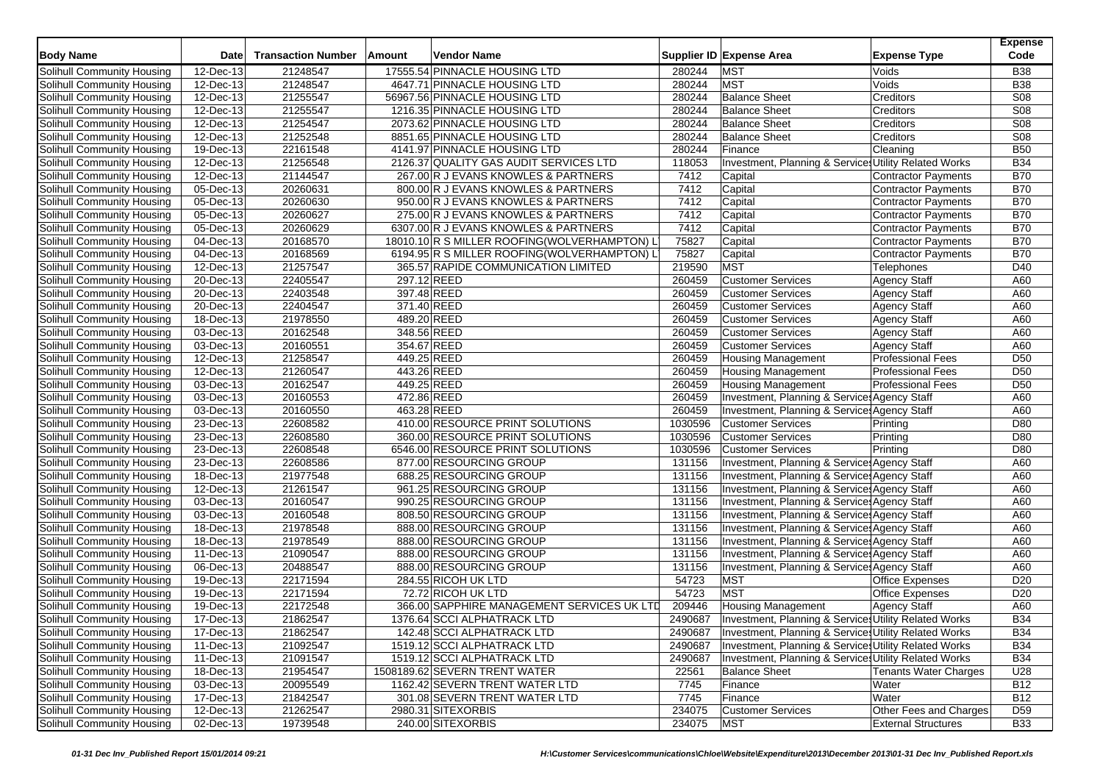| <b>Body Name</b>                                         | <b>Date</b>             | <b>Transaction Number</b> | Amount | <b>Vendor Name</b>                                 |                  | Supplier ID Expense Area                                                                     | <b>Expense Type</b>          | <b>Expense</b><br>Code |
|----------------------------------------------------------|-------------------------|---------------------------|--------|----------------------------------------------------|------------------|----------------------------------------------------------------------------------------------|------------------------------|------------------------|
| Solihull Community Housing                               | 12-Dec-13               | 21248547                  |        | 17555.54 PINNACLE HOUSING LTD                      | 280244           | <b>MST</b>                                                                                   | Voids                        | <b>B38</b>             |
| Solihull Community Housing                               | 12-Dec-13               | 21248547                  |        | 4647.71 PINNACLE HOUSING LTD                       | 280244           | <b>MST</b>                                                                                   | Voids                        | <b>B38</b>             |
| Solihull Community Housing                               | 12-Dec-13               | 21255547                  |        | 56967.56 PINNACLE HOUSING LTD                      | 280244           | <b>Balance Sheet</b>                                                                         | Creditors                    | <b>S08</b>             |
| Solihull Community Housing                               | $\overline{12}$ -Dec-13 | 21255547                  |        | 1216.35 PINNACLE HOUSING LTD                       | 280244           | <b>Balance Sheet</b>                                                                         | Creditors                    | S08                    |
| Solihull Community Housing                               | 12-Dec-13               | 21254547                  |        | 2073.62 PINNACLE HOUSING LTD                       | 280244           | <b>Balance Sheet</b>                                                                         | Creditors                    | <b>S08</b>             |
| Solihull Community Housing                               | 12-Dec-13               | 21252548                  |        | 8851.65 PINNACLE HOUSING LTD                       | 280244           | <b>Balance Sheet</b>                                                                         | Creditors                    | <b>S08</b>             |
| Solihull Community Housing                               | 19-Dec-13               | 22161548                  |        | 4141.97 PINNACLE HOUSING LTD                       | 280244           | Finance                                                                                      | Cleaning                     | <b>B50</b>             |
| Solihull Community Housing                               | 12-Dec-13               | 21256548                  |        | 2126.37 QUALITY GAS AUDIT SERVICES LTD             | 118053           | Investment, Planning & Services Utility Related Works                                        |                              | <b>B34</b>             |
| Solihull Community Housing                               | 12-Dec-13               | 21144547                  |        | 267.00 R J EVANS KNOWLES & PARTNERS                | 7412             | Capital                                                                                      | Contractor Payments          | <b>B70</b>             |
| Solihull Community Housing                               | 05-Dec-13               | 20260631                  |        | 800.00 R J EVANS KNOWLES & PARTNERS                | 7412             | Capital                                                                                      | Contractor Payments          | <b>B70</b>             |
| Solihull Community Housing                               | 05-Dec-13               | 20260630                  |        | 950.00 R J EVANS KNOWLES & PARTNERS                | 7412             | Capital                                                                                      | <b>Contractor Payments</b>   | <b>B70</b>             |
| Solihull Community Housing                               | 05-Dec-13               | 20260627                  |        | 275.00 R J EVANS KNOWLES & PARTNERS                | 7412             | Capital                                                                                      | Contractor Payments          | <b>B70</b>             |
| Solihull Community Housing                               | 05-Dec-13               | 20260629                  |        | 6307.00 R J EVANS KNOWLES & PARTNERS               | 7412             | Capital                                                                                      | <b>Contractor Payments</b>   | <b>B70</b>             |
| Solihull Community Housing                               | 04-Dec-13               | 20168570                  |        | 18010.10 R S MILLER ROOFING (WOLVERHAMPTON) L      | 75827            | Capital                                                                                      | Contractor Payments          | <b>B70</b>             |
| Solihull Community Housing                               | 04-Dec-13               | 20168569                  |        | 6194.95 R S MILLER ROOFING (WOLVERHAMPTON) L       | 75827            | Capital                                                                                      | <b>Contractor Payments</b>   | <b>B70</b>             |
| Solihull Community Housing                               | 12-Dec-13               | 21257547                  |        | 365.57 RAPIDE COMMUNICATION LIMITED                | 219590           | <b>MST</b>                                                                                   | Telephones                   | D40                    |
| Solihull Community Housing                               | 20-Dec-13               | 22405547                  |        | 297.12 REED                                        | 260459           | <b>Customer Services</b>                                                                     | <b>Agency Staff</b>          | A60                    |
| Solihull Community Housing                               | 20-Dec-13               | 22403548                  |        | 397.48 REED                                        | 260459           | <b>Customer Services</b>                                                                     | <b>Agency Staff</b>          | A60                    |
| Solihull Community Housing                               | 20-Dec-13               | 22404547                  |        | 371.40 REED                                        | 260459           | <b>Customer Services</b>                                                                     | <b>Agency Staff</b>          | A60                    |
| Solihull Community Housing                               | 18-Dec-13               | 21978550                  |        | 489.20 REED                                        | 260459           | <b>Customer Services</b>                                                                     | <b>Agency Staff</b>          | A60                    |
| Solihull Community Housing                               | 03-Dec-13               | 20162548                  |        | 348.56 REED                                        | 260459           | <b>Customer Services</b>                                                                     | <b>Agency Staff</b>          | A60                    |
| Solihull Community Housing                               | 03-Dec-13               | 20160551                  |        | 354.67 REED                                        | 260459           | <b>Customer Services</b>                                                                     | <b>Agency Staff</b>          | A60                    |
| Solihull Community Housing                               | 12-Dec-13               | 21258547                  |        | 449.25 REED                                        | 260459           | <b>Housing Management</b>                                                                    | <b>Professional Fees</b>     | D <sub>50</sub>        |
| Solihull Community Housing                               | 12-Dec-13               | 21260547                  |        | 443.26 REED                                        | 260459           | <b>Housing Management</b>                                                                    | <b>Professional Fees</b>     | D <sub>50</sub>        |
| Solihull Community Housing                               | 03-Dec-13               | 20162547                  |        | 449.25 REED                                        | 260459           | <b>Housing Management</b>                                                                    | <b>Professional Fees</b>     | D <sub>50</sub>        |
| Solihull Community Housing                               | 03-Dec-13               | 20160553                  |        | 472.86 REED                                        | 260459           | Investment, Planning & Services Agency Staff                                                 |                              | A60                    |
| Solihull Community Housing                               | 03-Dec-13               | 20160550                  |        | 463.28 REED                                        | 260459           | Investment, Planning & Service: Agency Staff                                                 |                              | A60                    |
| Solihull Community Housing                               | 23-Dec-13               | 22608582                  |        | 410.00 RESOURCE PRINT SOLUTIONS                    | 1030596          | <b>Customer Services</b>                                                                     | Printing                     | D80                    |
| Solihull Community Housing                               | 23-Dec-13               | 22608580                  |        | 360.00 RESOURCE PRINT SOLUTIONS                    | 1030596          | <b>Customer Services</b>                                                                     | Printing                     | D80                    |
| Solihull Community Housing                               | 23-Dec-13               | 22608548                  |        | 6546.00 RESOURCE PRINT SOLUTIONS                   | 1030596          | <b>Customer Services</b>                                                                     | Printing                     | D80                    |
| Solihull Community Housing                               | 23-Dec-13               | 22608586                  |        | 877.00 RESOURCING GROUP                            | 131156           | Investment, Planning & Service Agency Staff                                                  |                              | A60                    |
| Solihull Community Housing                               | 18-Dec-13               | 21977548                  |        | 688.25 RESOURCING GROUP                            | 131156           | Investment, Planning & Service: Agency Staff                                                 |                              | A60                    |
| Solihull Community Housing                               | $12$ -Dec-13            | 21261547                  |        | 961.25 RESOURCING GROUP                            | 131156           | Investment, Planning & Service: Agency Staff                                                 |                              | A60                    |
|                                                          | 03-Dec-13               | 20160547                  |        | 990.25 RESOURCING GROUP                            | 131156           |                                                                                              |                              | A60                    |
| Solihull Community Housing                               |                         |                           |        |                                                    |                  | Investment, Planning & Service Agency Staff                                                  |                              |                        |
| Solihull Community Housing                               | 03-Dec-13<br>18-Dec-13  | 20160548<br>21978548      |        | 808.50 RESOURCING GROUP<br>888.00 RESOURCING GROUP | 131156<br>131156 | Investment, Planning & Services Agency Staff<br>Investment, Planning & Services Agency Staff |                              | A60<br>A60             |
| Solihull Community Housing                               |                         |                           |        |                                                    |                  |                                                                                              |                              | A60                    |
| Solihull Community Housing<br>Solihull Community Housing | 18-Dec-13<br>11-Dec-13  | 21978549<br>21090547      |        | 888.00 RESOURCING GROUP<br>888.00 RESOURCING GROUP | 131156<br>131156 | Investment, Planning & Service Agency Staff<br>Investment, Planning & Services Agency Staff  |                              | A60                    |
| Solihull Community Housing                               | 06-Dec-13               | 20488547                  |        | 888.00 RESOURCING GROUP                            | 131156           | Investment, Planning & Service Agency Staff                                                  |                              | A60                    |
| Solihull Community Housing                               | 19-Dec-13               | 22171594                  |        | 284.55 RICOH UK LTD                                | 54723            | <b>MST</b>                                                                                   | <b>Office Expenses</b>       | D <sub>20</sub>        |
| Solihull Community Housing                               | 19-Dec-13               | 22171594                  |        | 72.72 RICOH UK LTD                                 | 54723            | <b>MST</b>                                                                                   | <b>Office Expenses</b>       | D <sub>20</sub>        |
| Solihull Community Housing                               | 19-Dec-13               | 22172548                  |        | 366.00 SAPPHIRE MANAGEMENT SERVICES UK LTD         | 209446           | <b>Housing Management</b>                                                                    | <b>Agency Staff</b>          | A60                    |
| Solihull Community Housing                               | 17-Dec-13               | 21862547                  |        | 1376.64 SCCI ALPHATRACK LTD                        | 2490687          | Investment, Planning & Services Utility Related Works                                        |                              | <b>B34</b>             |
| Solihull Community Housing                               | 17-Dec-13               | 21862547                  |        | 142.48 SCCI ALPHATRACK LTD                         | 2490687          | Investment, Planning & Services Utility Related Works                                        |                              | <b>B34</b>             |
| Solihull Community Housing                               | 11-Dec-13               | 21092547                  |        | 1519.12 SCCI ALPHATRACK LTD                        | 2490687          | Investment, Planning & Services Utility Related Works                                        |                              | <b>B34</b>             |
| Solihull Community Housing                               | 11-Dec-13               | 21091547                  |        | 1519.12 SCCI ALPHATRACK LTD                        | 2490687          | Investment, Planning & Services Utility Related Works                                        |                              | <b>B34</b>             |
| Solihull Community Housing                               | 18-Dec-13               | 21954547                  |        | 1508189.62 SEVERN TRENT WATER                      | 22561            | <b>Balance Sheet</b>                                                                         | <b>Tenants Water Charges</b> | U28                    |
| Solihull Community Housing                               | 03-Dec-13               | 20095549                  |        | 1162.42 SEVERN TRENT WATER LTD                     | 7745             | Finance                                                                                      | Water                        | <b>B12</b>             |
| Solihull Community Housing                               | 17-Dec-13               | 21842547                  |        | 301.08 SEVERN TRENT WATER LTD                      | 7745             | Finance                                                                                      | Water                        | <b>B12</b>             |
| <b>Solihull Community Housing</b>                        | 12-Dec-13               | 21262547                  |        | 2980.31 SITEXORBIS                                 | 234075           | <b>Customer Services</b>                                                                     | Other Fees and Charges       | D <sub>59</sub>        |
| Solihull Community Housing                               | 02-Dec-13               | 19739548                  |        | 240.00 SITEXORBIS                                  | 234075           | <b>MST</b>                                                                                   | <b>External Structures</b>   | <b>B33</b>             |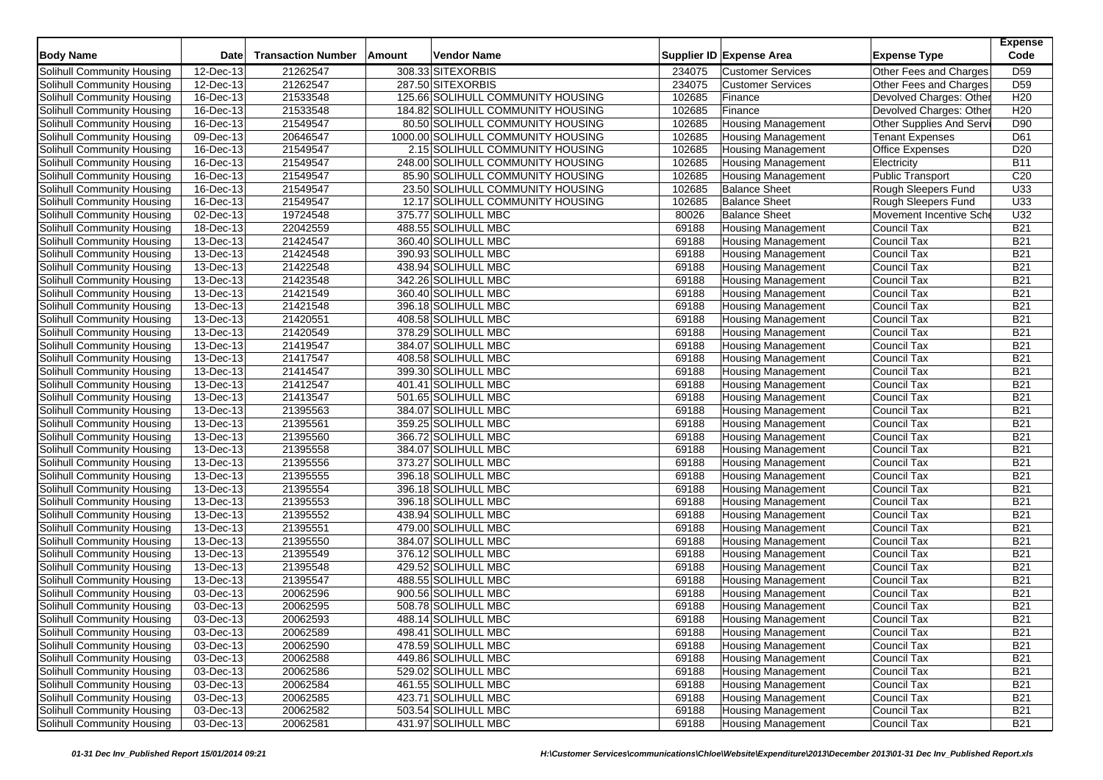| <b>Body Name</b>                  | <b>Date</b>             | <b>Transaction Number</b> | Amount | Vendor Name                        |        | Supplier ID Expense Area  | <b>Expense Type</b>      | <b>Expense</b><br>Code |
|-----------------------------------|-------------------------|---------------------------|--------|------------------------------------|--------|---------------------------|--------------------------|------------------------|
| Solihull Community Housing        | 12-Dec-13               | 21262547                  |        | 308.33 SITEXORBIS                  | 234075 | <b>Customer Services</b>  | Other Fees and Charges   | D <sub>59</sub>        |
| Solihull Community Housing        | 12-Dec-13               | 21262547                  |        | 287.50 SITEXORBIS                  | 234075 | <b>Customer Services</b>  | Other Fees and Charges   | D <sub>59</sub>        |
| Solihull Community Housing        | 16-Dec-13               | 21533548                  |        | 125.66 SOLIHULL COMMUNITY HOUSING  | 102685 | Finance                   | Devolved Charges: Other  | H <sub>20</sub>        |
| Solihull Community Housing        | $\overline{16}$ -Dec-13 | 21533548                  |        | 184.82 SOLIHULL COMMUNITY HOUSING  | 102685 | Finance                   | Devolved Charges: Other  | H <sub>20</sub>        |
| Solihull Community Housing        | $16$ -Dec-13            | 21549547                  |        | 80.50 SOLIHULL COMMUNITY HOUSING   | 102685 | <b>Housing Management</b> | Other Supplies And Servi | D90                    |
| Solihull Community Housing        | $09$ -Dec-13            | 20646547                  |        | 1000.00 SOLIHULL COMMUNITY HOUSING | 102685 | <b>Housing Management</b> | <b>Tenant Expenses</b>   | D61                    |
| Solihull Community Housing        | 16-Dec-13               | 21549547                  |        | 2.15 SOLIHULL COMMUNITY HOUSING    | 102685 | Housing Management        | <b>Office Expenses</b>   | D <sub>20</sub>        |
| Solihull Community Housing        | 16-Dec-13               | 21549547                  |        | 248.00 SOLIHULL COMMUNITY HOUSING  | 102685 | <b>Housing Management</b> | Electricity              | <b>B11</b>             |
| Solihull Community Housing        | 16-Dec-13               | 21549547                  |        | 85.90 SOLIHULL COMMUNITY HOUSING   | 102685 | <b>Housing Management</b> | <b>Public Transport</b>  | C <sub>20</sub>        |
| Solihull Community Housing        | $\overline{16}$ -Dec-13 | 21549547                  |        | 23.50 SOLIHULL COMMUNITY HOUSING   | 102685 | <b>Balance Sheet</b>      | Rough Sleepers Fund      | U33                    |
| Solihull Community Housing        | 16-Dec-13               | 21549547                  |        | 12.17 SOLIHULL COMMUNITY HOUSING   | 102685 | <b>Balance Sheet</b>      | Rough Sleepers Fund      | U33                    |
| Solihull Community Housing        | 02-Dec-13               | 19724548                  |        | 375.77 SOLIHULL MBC                | 80026  | <b>Balance Sheet</b>      | Movement Incentive Sche  | U32                    |
| Solihull Community Housing        | 18-Dec-13               | 22042559                  |        | 488.55 SOLIHULL MBC                | 69188  | <b>Housing Management</b> | Council Tax              | <b>B21</b>             |
| Solihull Community Housing        | 13-Dec-13               | 21424547                  |        | 360.40 SOLIHULL MBC                | 69188  | <b>Housing Management</b> | <b>Council Tax</b>       | <b>B21</b>             |
| Solihull Community Housing        | 13-Dec-13               | 21424548                  |        | 390.93 SOLIHULL MBC                | 69188  | <b>Housing Management</b> | <b>Council Tax</b>       | <b>B21</b>             |
| Solihull Community Housing        | 13-Dec-13               | 21422548                  |        | 438.94 SOLIHULL MBC                | 69188  | <b>Housing Management</b> | Council Tax              | <b>B21</b>             |
| Solihull Community Housing        | 13-Dec-13               | 21423548                  |        | 342.26 SOLIHULL MBC                | 69188  | <b>Housing Management</b> | Council Tax              | <b>B21</b>             |
| Solihull Community Housing        | $13$ -Dec-13            | 21421549                  |        | 360.40 SOLIHULL MBC                | 69188  | <b>Housing Management</b> | <b>Council Tax</b>       | <b>B21</b>             |
| Solihull Community Housing        | 13-Dec-13               | 21421548                  |        | 396.18 SOLIHULL MBC                | 69188  | <b>Housing Management</b> | Council Tax              | <b>B21</b>             |
| Solihull Community Housing        | 13-Dec-13               | 21420551                  |        | 408.58 SOLIHULL MBC                | 69188  | <b>Housing Management</b> | Council Tax              | <b>B21</b>             |
| Solihull Community Housing        | 13-Dec-13               | 21420549                  |        | 378.29 SOLIHULL MBC                | 69188  | <b>Housing Management</b> | <b>Council Tax</b>       | <b>B21</b>             |
| Solihull Community Housing        | 13-Dec-13               | 21419547                  |        | 384.07 SOLIHULL MBC                | 69188  | <b>Housing Management</b> | Council Tax              | <b>B21</b>             |
| Solihull Community Housing        | 13-Dec-13               | 21417547                  |        | 408.58 SOLIHULL MBC                | 69188  | <b>Housing Management</b> | Council Tax              | <b>B21</b>             |
| Solihull Community Housing        | 13-Dec-13               | 21414547                  |        | 399.30 SOLIHULL MBC                | 69188  | <b>Housing Management</b> | Council Tax              | <b>B21</b>             |
| Solihull Community Housing        | 13-Dec-13               | 21412547                  |        | 401.41 SOLIHULL MBC                | 69188  | <b>Housing Management</b> | Council Tax              | <b>B21</b>             |
| Solihull Community Housing        | 13-Dec-13               | 21413547                  |        | 501.65 SOLIHULL MBC                | 69188  | <b>Housing Management</b> | <b>Council Tax</b>       | <b>B21</b>             |
| Solihull Community Housing        | 13-Dec-13               | 21395563                  |        | 384.07 SOLIHULL MBC                | 69188  | <b>Housing Management</b> | <b>Council Tax</b>       | <b>B21</b>             |
| Solihull Community Housing        | 13-Dec-13               | 21395561                  |        | 359.25 SOLIHULL MBC                | 69188  | <b>Housing Management</b> | Council Tax              | <b>B21</b>             |
| Solihull Community Housing        | 13-Dec-13               | 21395560                  |        | 366.72 SOLIHULL MBC                | 69188  | <b>Housing Management</b> | <b>Council Tax</b>       | <b>B21</b>             |
| Solihull Community Housing        | 13-Dec-13               | 21395558                  |        | 384.07 SOLIHULL MBC                | 69188  | <b>Housing Management</b> | <b>Council Tax</b>       | <b>B21</b>             |
| Solihull Community Housing        | 13-Dec-13               | 21395556                  |        | 373.27 SOLIHULL MBC                | 69188  | <b>Housing Management</b> | <b>Council Tax</b>       | <b>B21</b>             |
| Solihull Community Housing        | 13-Dec-13               | 21395555                  |        | 396.18 SOLIHULL MBC                | 69188  | <b>Housing Management</b> | Council Tax              | <b>B21</b>             |
| Solihull Community Housing        | 13-Dec-13               | 21395554                  |        | 396.18 SOLIHULL MBC                | 69188  | <b>Housing Management</b> | <b>Council Tax</b>       | <b>B21</b>             |
| Solihull Community Housing        | 13-Dec-13               | 21395553                  |        | 396.18 SOLIHULL MBC                | 69188  | <b>Housing Management</b> | <b>Council Tax</b>       | <b>B21</b>             |
| Solihull Community Housing        | 13-Dec-13               | 21395552                  |        | 438.94 SOLIHULL MBC                | 69188  | <b>Housing Management</b> | <b>Council Tax</b>       | <b>B21</b>             |
| Solihull Community Housing        | 13-Dec-13               | 21395551                  |        | 479.00 SOLIHULL MBC                | 69188  | <b>Housing Management</b> | Council Tax              | <b>B21</b>             |
| Solihull Community Housing        | 13-Dec-13               | 21395550                  |        | 384.07 SOLIHULL MBC                | 69188  | <b>Housing Management</b> | Council Tax              | <b>B21</b>             |
| Solihull Community Housing        | 13-Dec-13               | 21395549                  |        | 376.12 SOLIHULL MBC                | 69188  | <b>Housing Management</b> | Council Tax              | <b>B21</b>             |
| Solihull Community Housing        | 13-Dec-13               | 21395548                  |        | 429.52 SOLIHULL MBC                | 69188  | <b>Housing Management</b> | <b>Council Tax</b>       | <b>B21</b>             |
| Solihull Community Housing        | 13-Dec-13               | 21395547                  |        | 488.55 SOLIHULL MBC                | 69188  | <b>Housing Management</b> | <b>Council Tax</b>       | <b>B21</b>             |
| Solihull Community Housing        | 03-Dec-13               | 20062596                  |        | 900.56 SOLIHULL MBC                | 69188  | <b>Housing Management</b> | Council Tax              | <b>B21</b>             |
| Solihull Community Housing        | 03-Dec-13               | 20062595                  |        | 508.78 SOLIHULL MBC                | 69188  | <b>Housing Management</b> | <b>Council Tax</b>       | <b>B21</b>             |
| Solihull Community Housing        | 03-Dec-13               | 20062593                  |        | 488.14 SOLIHULL MBC                | 69188  | <b>Housing Management</b> | <b>Council Tax</b>       | <b>B21</b>             |
| Solihull Community Housing        | 03-Dec-13               | 20062589                  |        | 498.41 SOLIHULL MBC                | 69188  | <b>Housing Management</b> | Council Tax              | <b>B21</b>             |
| Solihull Community Housing        | 03-Dec-13               | 20062590                  |        | 478.59 SOLIHULL MBC                | 69188  | <b>Housing Management</b> | Council Tax              | <b>B21</b>             |
| Solihull Community Housing        | 03-Dec-13               | 20062588                  |        | 449.86 SOLIHULL MBC                | 69188  | <b>Housing Management</b> | Council Tax              | <b>B21</b>             |
| Solihull Community Housing        | 03-Dec-13               | 20062586                  |        | 529.02 SOLIHULL MBC                | 69188  | <b>Housing Management</b> | <b>Council Tax</b>       | <b>B21</b>             |
| Solihull Community Housing        | 03-Dec-13               | 20062584                  |        | 461.55 SOLIHULL MBC                | 69188  | <b>Housing Management</b> | Council Tax              | <b>B21</b>             |
| <b>Solihull Community Housing</b> | 03-Dec-13               | 20062585                  |        | 423.71 SOLIHULL MBC                | 69188  | <b>Housing Management</b> | <b>Council Tax</b>       | <b>B21</b>             |
| <b>Solihull Community Housing</b> | 03-Dec-13               | 20062582                  |        | 503.54 SOLIHULL MBC                | 69188  | <b>Housing Management</b> | Council Tax              | <b>B21</b>             |
| Solihull Community Housing        | 03-Dec-13               | 20062581                  |        | 431.97 SOLIHULL MBC                | 69188  | <b>Housing Management</b> | Council Tax              | <b>B21</b>             |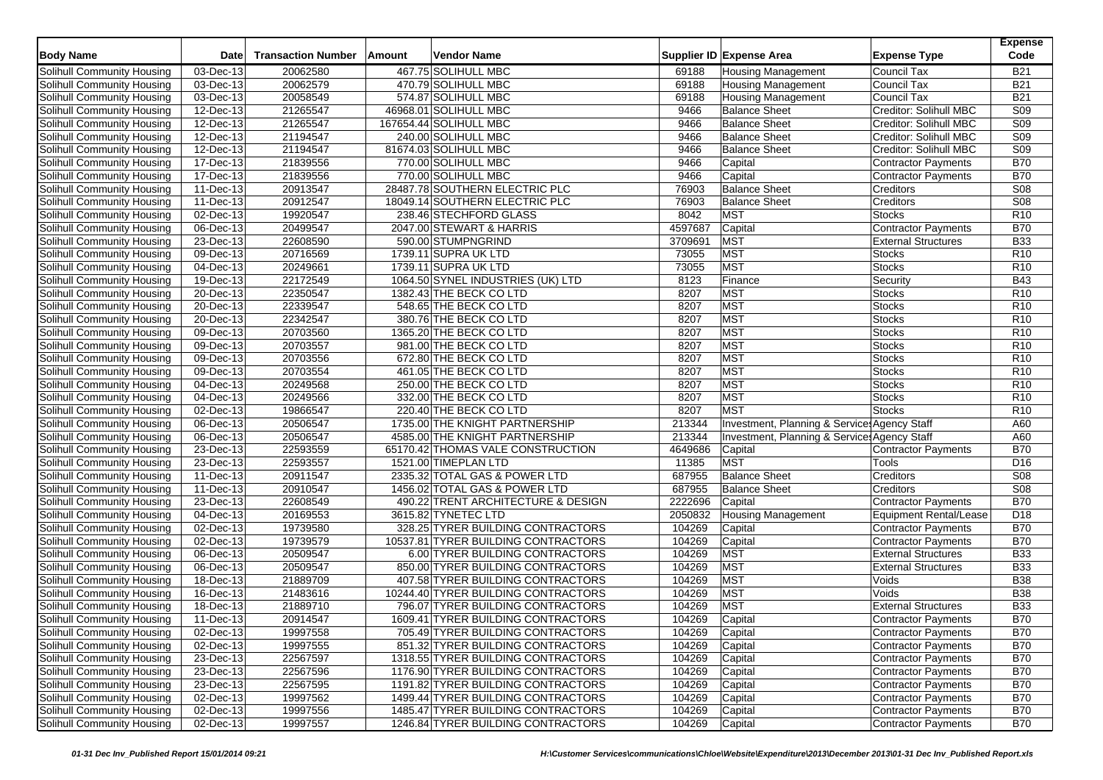| <b>Body Name</b>                  | <b>Date</b>                          | <b>Transaction Number</b> | Amount | Vendor Name                         |         | Supplier ID Expense Area                     | <b>Expense Type</b>           | <b>Expense</b><br>Code |
|-----------------------------------|--------------------------------------|---------------------------|--------|-------------------------------------|---------|----------------------------------------------|-------------------------------|------------------------|
| Solihull Community Housing        | 03-Dec-13                            | 20062580                  |        | 467.75 SOLIHULL MBC                 | 69188   | <b>Housing Management</b>                    | <b>Council Tax</b>            | <b>B21</b>             |
| Solihull Community Housing        | 03-Dec-13                            | 20062579                  |        | 470.79 SOLIHULL MBC                 | 69188   | <b>Housing Management</b>                    | <b>Council Tax</b>            | <b>B21</b>             |
| Solihull Community Housing        | 03-Dec-13                            | 20058549                  |        | 574.87 SOLIHULL MBC                 | 69188   | <b>Housing Management</b>                    | Council Tax                   | <b>B21</b>             |
| Solihull Community Housing        | $\overline{12}$ -Dec-13              | 21265547                  |        | 46968.01 SOLIHULL MBC               | 9466    | <b>Balance Sheet</b>                         | Creditor: Solihull MBC        | S09                    |
| Solihull Community Housing        | 12-Dec-13                            | 21265547                  |        | 167654.44 SOLIHULL MBC              | 9466    | <b>Balance Sheet</b>                         | Creditor: Solihull MBC        | S <sub>09</sub>        |
| Solihull Community Housing        | 12-Dec-13                            | 21194547                  |        | 240.00 SOLIHULL MBC                 | 9466    | <b>Balance Sheet</b>                         | Creditor: Solihull MBC        | S09                    |
| Solihull Community Housing        | 12-Dec-13                            | 21194547                  |        | 81674.03 SOLIHULL MBC               | 9466    | <b>Balance Sheet</b>                         | Creditor: Solihull MBC        | S <sub>09</sub>        |
| Solihull Community Housing        | 17-Dec-13                            | 21839556                  |        | 770.00 SOLIHULL MBC                 | 9466    | Capital                                      | <b>Contractor Payments</b>    | <b>B70</b>             |
| Solihull Community Housing        | 17-Dec-13                            | 21839556                  |        | 770.00 SOLIHULL MBC                 | 9466    | Capital                                      | Contractor Payments           | <b>B70</b>             |
| Solihull Community Housing        | $11-\text{Dec-13}$                   | 20913547                  |        | 28487.78 SOUTHERN ELECTRIC PLC      | 76903   | <b>Balance Sheet</b>                         | Creditors                     | S <sub>08</sub>        |
| Solihull Community Housing        | 11-Dec-13                            | 20912547                  |        | 18049.14 SOUTHERN ELECTRIC PLC      | 76903   | <b>Balance Sheet</b>                         | Creditors                     | S <sub>08</sub>        |
| Solihull Community Housing        | 02-Dec-13                            | 19920547                  |        | 238.46 STECHFORD GLASS              | 8042    | MST                                          | <b>Stocks</b>                 | R <sub>10</sub>        |
| Solihull Community Housing        | 06-Dec-13                            | 20499547                  |        | 2047.00 STEWART & HARRIS            | 4597687 | Capital                                      | <b>Contractor Payments</b>    | <b>B70</b>             |
| Solihull Community Housing        | 23-Dec-13                            | 22608590                  |        | 590.00 STUMPNGRIND                  | 3709691 | <b>MST</b>                                   | <b>External Structures</b>    | <b>B33</b>             |
| <b>Solihull Community Housing</b> | 09-Dec-13                            | 20716569                  |        | 1739.11 SUPRA UK LTD                | 73055   | <b>MST</b>                                   | <b>Stocks</b>                 | R10                    |
| Solihull Community Housing        | 04-Dec-13                            | 20249661                  |        | 1739.11 SUPRA UK LTD                | 73055   | MST                                          | <b>Stocks</b>                 | R <sub>10</sub>        |
| Solihull Community Housing        | 19-Dec-13                            | 22172549                  |        | 1064.50 SYNEL INDUSTRIES (UK) LTD   | 8123    | Finance                                      | Security                      | <b>B43</b>             |
| Solihull Community Housing        | 20-Dec-13                            | 22350547                  |        | 1382.43 THE BECK CO LTD             | 8207    | <b>MST</b>                                   | <b>Stocks</b>                 | R <sub>10</sub>        |
| Solihull Community Housing        | 20-Dec-13                            | 22339547                  |        | 548.65 THE BECK CO LTD              | 8207    | MST                                          | <b>Stocks</b>                 | R <sub>10</sub>        |
| Solihull Community Housing        | 20-Dec-13                            | 22342547                  |        | 380.76 THE BECK CO LTD              | 8207    | <b>MST</b>                                   | <b>Stocks</b>                 | R <sub>10</sub>        |
| Solihull Community Housing        | 09-Dec-13                            | 20703560                  |        | 1365.20 THE BECK CO LTD             | 8207    | <b>MST</b>                                   | <b>Stocks</b>                 | R <sub>10</sub>        |
| Solihull Community Housing        | $09$ -Dec-13                         | 20703557                  |        | 981.00 THE BECK CO LTD              | 8207    | <b>MST</b>                                   | <b>Stocks</b>                 | R <sub>10</sub>        |
| Solihull Community Housing        | 09-Dec-13                            | 20703556                  |        | 672.80 THE BECK CO LTD              | 8207    | <b>MST</b>                                   | Stocks                        | R10                    |
| Solihull Community Housing        | 09-Dec-13                            | 20703554                  |        | 461.05 THE BECK CO LTD              | 8207    | MST                                          | <b>Stocks</b>                 | R <sub>10</sub>        |
| Solihull Community Housing        | 04-Dec-13                            | 20249568                  |        | 250.00 THE BECK CO LTD              | 8207    | <b>MST</b>                                   | <b>Stocks</b>                 | R <sub>10</sub>        |
| Solihull Community Housing        | 04-Dec-13                            | 20249566                  |        | 332.00 THE BECK CO LTD              | 8207    | <b>MST</b>                                   | Stocks                        | R10                    |
| Solihull Community Housing        | $\overline{02\text{-}Dec\text{-}}13$ | 19866547                  |        | 220.40 THE BECK CO LTD              | 8207    | MST                                          | <b>Stocks</b>                 | R <sub>10</sub>        |
| Solihull Community Housing        | 06-Dec-13                            | 20506547                  |        | 1735.00 THE KNIGHT PARTNERSHIP      | 213344  | Investment, Planning & Services Agency Staff |                               | A60                    |
| Solihull Community Housing        | 06-Dec-13                            | 20506547                  |        | 4585.00 THE KNIGHT PARTNERSHIP      | 213344  | Investment, Planning & Service: Agency Staff |                               | A60                    |
| Solihull Community Housing        | 23-Dec-13                            | 22593559                  |        | 65170.42 THOMAS VALE CONSTRUCTION   | 4649686 | Capital                                      | <b>Contractor Payments</b>    | <b>B70</b>             |
| Solihull Community Housing        | 23-Dec-13                            | 22593557                  |        | 1521.00 TIMEPLAN LTD                | 11385   | <b>MST</b>                                   | Tools                         | D <sub>16</sub>        |
| Solihull Community Housing        | 11-Dec-13                            | 20911547                  |        | 2335.32 TOTAL GAS & POWER LTD       | 687955  | <b>Balance Sheet</b>                         | Creditors                     | S <sub>08</sub>        |
| Solihull Community Housing        | 11-Dec-13                            | 20910547                  |        | 1456.02 TOTAL GAS & POWER LTD       | 687955  | <b>Balance Sheet</b>                         | Creditors                     | S08                    |
| Solihull Community Housing        | 23-Dec-13                            | 22608549                  |        | 490.22 TRENT ARCHITECTURE & DESIGN  | 2222696 | Capital                                      | <b>Contractor Payments</b>    | <b>B70</b>             |
| Solihull Community Housing        | 04-Dec-13                            | 20169553                  |        | 3615.82 TYNETEC LTD                 | 2050832 | Housing Management                           | <b>Equipment Rental/Lease</b> | D18                    |
| Solihull Community Housing        | 02-Dec-13                            | 19739580                  |        | 328.25 TYRER BUILDING CONTRACTORS   | 104269  | Capital                                      | <b>Contractor Payments</b>    | <b>B70</b>             |
| Solihull Community Housing        | 02-Dec-13                            | 19739579                  |        | 10537.81 TYRER BUILDING CONTRACTORS | 104269  | Capital                                      | Contractor Payments           | <b>B70</b>             |
| Solihull Community Housing        | 06-Dec-13                            | 20509547                  |        | 6.00 TYRER BUILDING CONTRACTORS     | 104269  | <b>MST</b>                                   | <b>External Structures</b>    | <b>B33</b>             |
| Solihull Community Housing        | 06-Dec-13                            | 20509547                  |        | 850.00 TYRER BUILDING CONTRACTORS   | 104269  | MST                                          | <b>External Structures</b>    | <b>B33</b>             |
| Solihull Community Housing        | 18-Dec-13                            | 21889709                  |        | 407.58 TYRER BUILDING CONTRACTORS   | 104269  | <b>MST</b>                                   | Voids                         | <b>B38</b>             |
| Solihull Community Housing        | 16-Dec-13                            | 21483616                  |        | 10244.40 TYRER BUILDING CONTRACTORS | 104269  | <b>MST</b>                                   | Voids                         | <b>B38</b>             |
| Solihull Community Housing        | 18-Dec-13                            | 21889710                  |        | 796.07 TYRER BUILDING CONTRACTORS   | 104269  | <b>MST</b>                                   | <b>External Structures</b>    | <b>B33</b>             |
| Solihull Community Housing        | 11-Dec-13                            | 20914547                  |        | 1609.41 TYRER BUILDING CONTRACTORS  | 104269  | Capital                                      | <b>Contractor Payments</b>    | <b>B70</b>             |
| Solihull Community Housing        | 02-Dec-13                            | 19997558                  |        | 705.49 TYRER BUILDING CONTRACTORS   | 104269  | Capital                                      | <b>Contractor Payments</b>    | <b>B70</b>             |
| Solihull Community Housing        | $\overline{02\text{-}Dec\text{-}13}$ | 19997555                  |        | 851.32 TYRER BUILDING CONTRACTORS   | 104269  | Capital                                      | <b>Contractor Payments</b>    | <b>B70</b>             |
| Solihull Community Housing        | 23-Dec-13                            | 22567597                  |        | 1318.55 TYRER BUILDING CONTRACTORS  | 104269  | Capital                                      | <b>Contractor Payments</b>    | <b>B70</b>             |
| Solihull Community Housing        | 23-Dec-13                            | 22567596                  |        | 1176.90 TYRER BUILDING CONTRACTORS  | 104269  | Capital                                      | Contractor Payments           | <b>B70</b>             |
| Solihull Community Housing        | 23-Dec-13                            | 22567595                  |        | 1191.82 TYRER BUILDING CONTRACTORS  | 104269  | Capital                                      | <b>Contractor Payments</b>    | <b>B70</b>             |
| Solihull Community Housing        | 02-Dec-13                            | 19997562                  |        | 1499.44 TYRER BUILDING CONTRACTORS  | 104269  | Capital                                      | <b>Contractor Payments</b>    | <b>B70</b>             |
| Solihull Community Housing        | 02-Dec-13                            | 19997556                  |        | 1485.47 TYRER BUILDING CONTRACTORS  | 104269  | Capital                                      | Contractor Payments           | <b>B70</b>             |
| Solihull Community Housing        | 02-Dec-13                            | 19997557                  |        | 1246.84 TYRER BUILDING CONTRACTORS  | 104269  | Capital                                      | Contractor Payments           | <b>B70</b>             |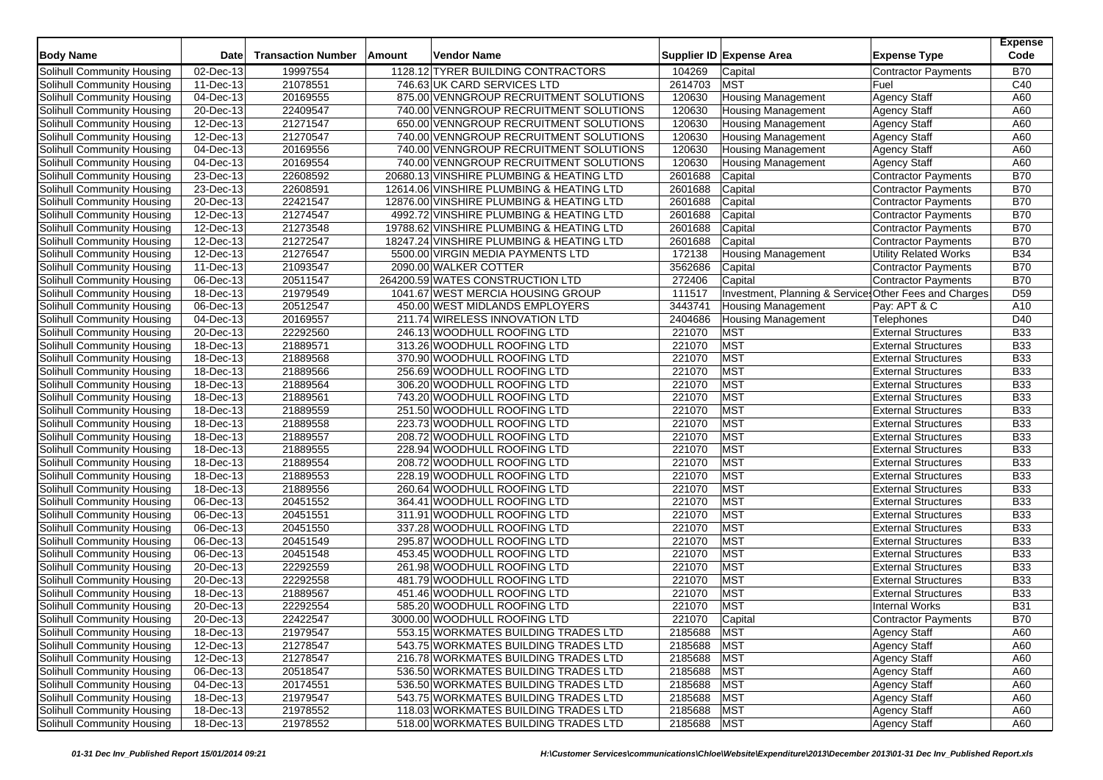| <b>Body Name</b>                  | <b>Date</b>             | <b>Transaction Number</b> | Amount | <b>Vendor Name</b>                       |             | Supplier ID Expense Area                               | <b>Expense Type</b>          | <b>Expense</b><br>Code |
|-----------------------------------|-------------------------|---------------------------|--------|------------------------------------------|-------------|--------------------------------------------------------|------------------------------|------------------------|
| Solihull Community Housing        | 02-Dec-13               | 19997554                  |        | 1128.12 TYRER BUILDING CONTRACTORS       | 104269      | Capital                                                | Contractor Payments          | <b>B70</b>             |
| Solihull Community Housing        | 11-Dec-13               | 21078551                  |        | 746.63 UK CARD SERVICES LTD              | 2614703     | <b>MST</b>                                             | Fuel                         | C40                    |
| Solihull Community Housing        | 04-Dec-13               | 20169555                  |        | 875.00 VENNGROUP RECRUITMENT SOLUTIONS   | 120630      | <b>Housing Management</b>                              | <b>Agency Staff</b>          | A60                    |
| Solihull Community Housing        | $\overline{20}$ -Dec-13 | 22409547                  |        | 740.00 VENNGROUP RECRUITMENT SOLUTIONS   | 120630      | <b>Housing Management</b>                              | <b>Agency Staff</b>          | A60                    |
| Solihull Community Housing        | 12-Dec-13               | 21271547                  |        | 650.00 VENNGROUP RECRUITMENT SOLUTIONS   | 120630      | <b>Housing Management</b>                              | <b>Agency Staff</b>          | A60                    |
| Solihull Community Housing        | 12-Dec-13               | 21270547                  |        | 740.00 VENNGROUP RECRUITMENT SOLUTIONS   | 120630      | Housing Management                                     | <b>Agency Staff</b>          | A60                    |
| Solihull Community Housing        | $\overline{04}$ -Dec-13 | 20169556                  |        | 740.00 VENNGROUP RECRUITMENT SOLUTIONS   | 120630      | <b>Housing Management</b>                              | <b>Agency Staff</b>          | A60                    |
| Solihull Community Housing        | 04-Dec-13               | 20169554                  |        | 740.00 VENNGROUP RECRUITMENT SOLUTIONS   | 120630      | <b>Housing Management</b>                              | <b>Agency Staff</b>          | A60                    |
| Solihull Community Housing        | 23-Dec-13               | 22608592                  |        | 20680.13 VINSHIRE PLUMBING & HEATING LTD | 2601688     | Capital                                                | <b>Contractor Payments</b>   | <b>B70</b>             |
| Solihull Community Housing        | $\overline{23}$ -Dec-13 | 22608591                  |        | 12614.06 VINSHIRE PLUMBING & HEATING LTD | 2601688     | Capital                                                | <b>Contractor Payments</b>   | <b>B70</b>             |
| Solihull Community Housing        | 20-Dec-13               | 22421547                  |        | 12876.00 VINSHIRE PLUMBING & HEATING LTD | 2601688     | Capital                                                | <b>Contractor Payments</b>   | <b>B70</b>             |
| Solihull Community Housing        | 12-Dec-13               | 21274547                  |        | 4992.72 VINSHIRE PLUMBING & HEATING LTD  | 2601688     | Capital                                                | <b>Contractor Payments</b>   | <b>B70</b>             |
| Solihull Community Housing        | 12-Dec-13               | 21273548                  |        | 19788.62 VINSHIRE PLUMBING & HEATING LTD | 2601688     | Capital                                                | Contractor Payments          | <b>B70</b>             |
| Solihull Community Housing        | 12-Dec-13               | 21272547                  |        | 18247.24 VINSHIRE PLUMBING & HEATING LTD | 2601688     | Capital                                                | <b>Contractor Payments</b>   | <b>B70</b>             |
| Solihull Community Housing        | 12-Dec-13               | 21276547                  |        | 5500.00 VIRGIN MEDIA PAYMENTS LTD        | 172138      | <b>Housing Management</b>                              | <b>Utility Related Works</b> | <b>B34</b>             |
| Solihull Community Housing        | 11-Dec-13               | 21093547                  |        | 2090.00 WALKER COTTER                    | 3562686     | Capital                                                | Contractor Payments          | <b>B70</b>             |
| Solihull Community Housing        | $\overline{06}$ -Dec-13 | 20511547                  |        | 264200.59 WATES CONSTRUCTION LTD         | 272406      | Capital                                                | <b>Contractor Payments</b>   | <b>B70</b>             |
| Solihull Community Housing        | 18-Dec-13               | 21979549                  |        | 1041.67 WEST MERCIA HOUSING GROUP        | 111517      | Investment, Planning & Services Other Fees and Charges |                              | D <sub>59</sub>        |
| Solihull Community Housing        | 06-Dec-13               | 20512547                  |        | 450.00 WEST MIDLANDS EMPLOYERS           | 3443741     | <b>Housing Management</b>                              | Pay: APT & C                 | A10                    |
| Solihull Community Housing        | 04-Dec-13               | 20169557                  |        | 211.74 WIRELESS INNOVATION LTD           | 2404686     | <b>Housing Management</b>                              | Telephones                   | D40                    |
| Solihull Community Housing        | 20-Dec-13               | 22292560                  |        | 246.13 WOODHULL ROOFING LTD              | 221070      | <b>MST</b>                                             | <b>External Structures</b>   | <b>B33</b>             |
| Solihull Community Housing        | 18-Dec-13               | 21889571                  |        | 313.26 WOODHULL ROOFING LTD              | 221070      | <b>MST</b>                                             | <b>External Structures</b>   | <b>B33</b>             |
| Solihull Community Housing        | 18-Dec-13               | 21889568                  |        | 370.90 WOODHULL ROOFING LTD              | 221070      | <b>MST</b>                                             | <b>External Structures</b>   | <b>B33</b>             |
| Solihull Community Housing        | 18-Dec-13               | 21889566                  |        | 256.69 WOODHULL ROOFING LTD              | 221070      | <b>MST</b>                                             | <b>External Structures</b>   | <b>B33</b>             |
| Solihull Community Housing        | 18-Dec-13               | 21889564                  |        | 306.20 WOODHULL ROOFING LTD              | 221070      | <b>MST</b>                                             | <b>External Structures</b>   | <b>B33</b>             |
| Solihull Community Housing        | 18-Dec-13               | 21889561                  |        | 743.20 WOODHULL ROOFING LTD              | 221070      | <b>MST</b>                                             | <b>External Structures</b>   | <b>B33</b>             |
| Solihull Community Housing        | 18-Dec-13               | 21889559                  |        | 251.50 WOODHULL ROOFING LTD              | 221070      | <b>MST</b>                                             | <b>External Structures</b>   | <b>B33</b>             |
| Solihull Community Housing        | 18-Dec-13               | 21889558                  |        | 223.73 WOODHULL ROOFING LTD              | 221070      | <b>MST</b>                                             | <b>External Structures</b>   | <b>B33</b>             |
| Solihull Community Housing        | 18-Dec-13               | 21889557                  |        | 208.72 WOODHULL ROOFING LTD              | 221070      | <b>MST</b>                                             | <b>External Structures</b>   | <b>B33</b>             |
| Solihull Community Housing        | 18-Dec-13               | 21889555                  |        | 228.94 WOODHULL ROOFING LTD              | 221070      | <b>MST</b>                                             | <b>External Structures</b>   | <b>B33</b>             |
| Solihull Community Housing        | $18$ -Dec-13            | 21889554                  |        | 208.72 WOODHULL ROOFING LTD              | 221070      | <b>MST</b>                                             | <b>External Structures</b>   | <b>B33</b>             |
| Solihull Community Housing        | 18-Dec-13               | 21889553                  |        | 228.19 WOODHULL ROOFING LTD              | 221070      | <b>MST</b>                                             | <b>External Structures</b>   | <b>B33</b>             |
| Solihull Community Housing        | 18-Dec-13               | 21889556                  |        | 260.64 WOODHULL ROOFING LTD              | 221070      | <b>MST</b>                                             | <b>External Structures</b>   | <b>B33</b>             |
| Solihull Community Housing        | 06-Dec-13               | 20451552                  |        | 364.41 WOODHULL ROOFING LTD              | 221070      | <b>MST</b>                                             | <b>External Structures</b>   | <b>B33</b>             |
| Solihull Community Housing        | 06-Dec-13               | 20451551                  |        | 311.91 WOODHULL ROOFING LTD              | 221070      | <b>MST</b>                                             | <b>External Structures</b>   | <b>B33</b>             |
| Solihull Community Housing        | 06-Dec-13               | 20451550                  |        | 337.28 WOODHULL ROOFING LTD              | 221070      | <b>MST</b>                                             | <b>External Structures</b>   | <b>B33</b>             |
| Solihull Community Housing        | 06-Dec-13               | 20451549                  |        | 295.87 WOODHULL ROOFING LTD              | 221070      | <b>MST</b>                                             | <b>External Structures</b>   | <b>B33</b>             |
| Solihull Community Housing        | 06-Dec-13               | 20451548                  |        | 453.45 WOODHULL ROOFING LTD              | 221070      | <b>MST</b>                                             | <b>External Structures</b>   | <b>B33</b>             |
| Solihull Community Housing        | 20-Dec-13               | 22292559                  |        | 261.98 WOODHULL ROOFING LTD              | 221070      | <b>MST</b>                                             | <b>External Structures</b>   | <b>B33</b>             |
| Solihull Community Housing        | 20-Dec-13               | 22292558                  |        | 481.79 WOODHULL ROOFING LTD              | 221070      | <b>MST</b>                                             | <b>External Structures</b>   | <b>B33</b>             |
| Solihull Community Housing        | 18-Dec-13               | 21889567                  |        | 451.46 WOODHULL ROOFING LTD              | 221070      | <b>MST</b>                                             | <b>External Structures</b>   | <b>B33</b>             |
| Solihull Community Housing        | 20-Dec-13               | 22292554                  |        | 585.20 WOODHULL ROOFING LTD              | 221070      | <b>MST</b>                                             | <b>Internal Works</b>        | <b>B31</b>             |
| Solihull Community Housing        | 20-Dec-13               | 22422547                  |        | 3000.00 WOODHULL ROOFING LTD             | 221070      | Capital                                                | <b>Contractor Payments</b>   | <b>B70</b>             |
| Solihull Community Housing        | 18-Dec-13               | 21979547                  |        | 553.15 WORKMATES BUILDING TRADES LTD     | 2185688 MST |                                                        | <b>Agency Staff</b>          | A60                    |
| Solihull Community Housing        | 12-Dec-13               | 21278547                  |        | 543.75 WORKMATES BUILDING TRADES LTD     | 2185688     | <b>MST</b>                                             | <b>Agency Staff</b>          | A60                    |
| Solihull Community Housing        | 12-Dec-13               | 21278547                  |        | 216.78 WORKMATES BUILDING TRADES LTD     | 2185688     | <b>MST</b>                                             | <b>Agency Staff</b>          | A60                    |
| Solihull Community Housing        | 06-Dec-13               | 20518547                  |        | 536.50 WORKMATES BUILDING TRADES LTD     | 2185688     | <b>MST</b>                                             | <b>Agency Staff</b>          | A60                    |
| Solihull Community Housing        | 04-Dec-13               | 20174551                  |        | 536.50 WORKMATES BUILDING TRADES LTD     | 2185688     | <b>MST</b>                                             | <b>Agency Staff</b>          | A60                    |
| Solihull Community Housing        | 18-Dec-13               | 21979547                  |        | 543.75 WORKMATES BUILDING TRADES LTD     | 2185688     | <b>MST</b>                                             | <b>Agency Staff</b>          | A60                    |
| <b>Solihull Community Housing</b> | 18-Dec-13               | 21978552                  |        | 118.03 WORKMATES BUILDING TRADES LTD     | 2185688     | <b>MST</b>                                             | <b>Agency Staff</b>          | A60                    |
| Solihull Community Housing        | 18-Dec-13               | 21978552                  |        | 518.00 WORKMATES BUILDING TRADES LTD     | 2185688 MST |                                                        | <b>Agency Staff</b>          | A60                    |